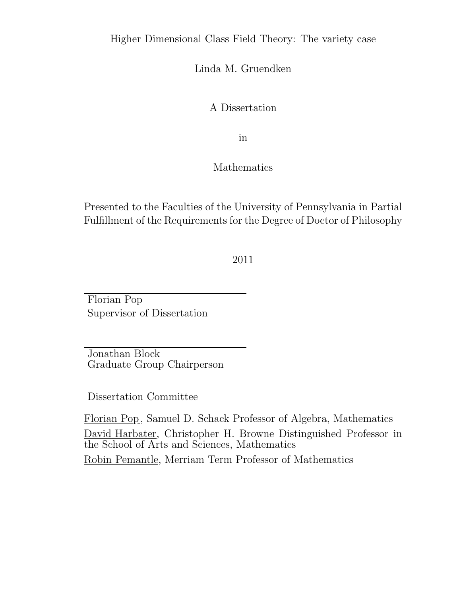#### Higher Dimensional Class Field Theory: The variety case

Linda M. Gruendken

A Dissertation

in

Mathematics

Presented to the Faculties of the University of Pennsylvania in Partial Fulfillment of the Requirements for the Degree of Doctor of Philosophy

2011

Florian Pop Supervisor of Dissertation

Jonathan Block Graduate Group Chairperson

Dissertation Committee

Florian Pop, Samuel D. Schack Professor of Algebra, Mathematics David Harbater, Christopher H. Browne Distinguished Professor in the School of Arts and Sciences, Mathematics Robin Pemantle, Merriam Term Professor of Mathematics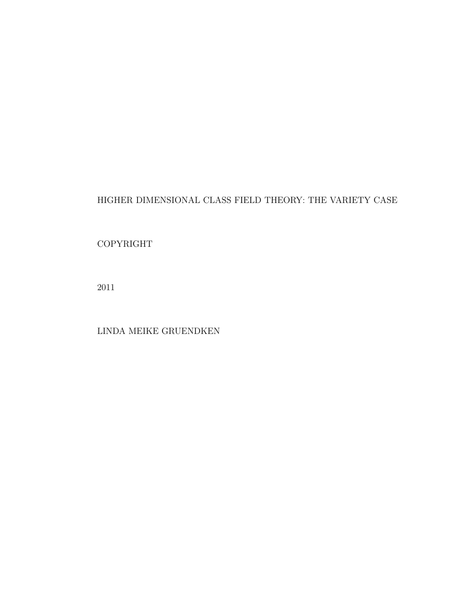#### HIGHER DIMENSIONAL CLASS FIELD THEORY: THE VARIETY CASE

#### COPYRIGHT

2011

LINDA MEIKE GRUENDKEN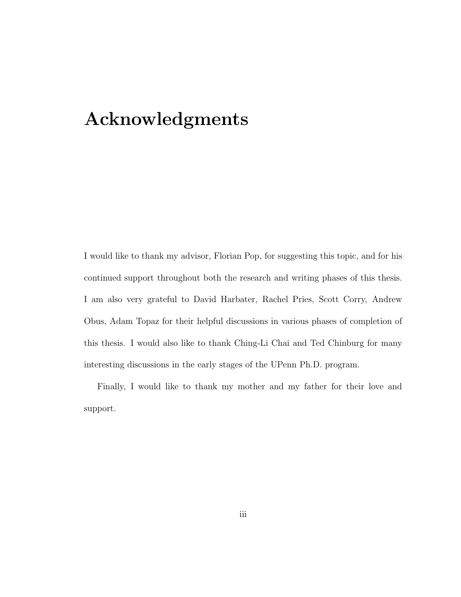## Acknowledgments

I would like to thank my advisor, Florian Pop, for suggesting this topic, and for his continued support throughout both the research and writing phases of this thesis. I am also very grateful to David Harbater, Rachel Pries, Scott Corry, Andrew Obus, Adam Topaz for their helpful discussions in various phases of completion of this thesis. I would also like to thank Ching-Li Chai and Ted Chinburg for many interesting discussions in the early stages of the UPenn Ph.D. program.

Finally, I would like to thank my mother and my father for their love and support.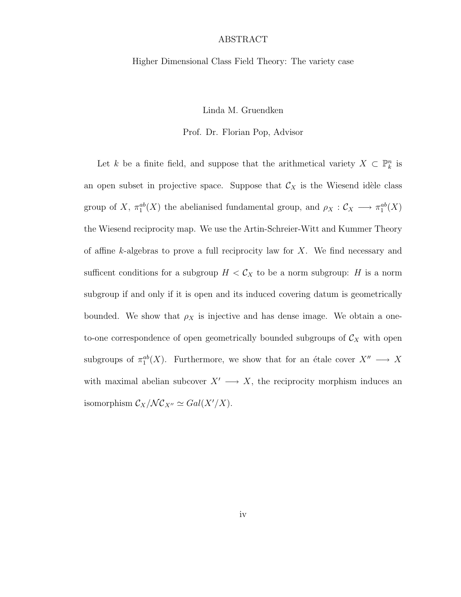#### ABSTRACT

#### Higher Dimensional Class Field Theory: The variety case

Linda M. Gruendken

Prof. Dr. Florian Pop, Advisor

Let k be a finite field, and suppose that the arithmetical variety  $X \subset \mathbb{P}_k^n$  is an open subset in projective space. Suppose that  $\mathcal{C}_X$  is the Wiesend idèle class group of X,  $\pi_1^{ab}(X)$  the abelianised fundamental group, and  $\rho_X : \mathcal{C}_X \longrightarrow \pi_1^{ab}(X)$ the Wiesend reciprocity map. We use the Artin-Schreier-Witt and Kummer Theory of affine k-algebras to prove a full reciprocity law for  $X$ . We find necessary and sufficent conditions for a subgroup  $H < C_X$  to be a norm subgroup: H is a norm subgroup if and only if it is open and its induced covering datum is geometrically bounded. We show that  $\rho_X$  is injective and has dense image. We obtain a oneto-one correspondence of open geometrically bounded subgroups of  $\mathcal{C}_X$  with open subgroups of  $\pi_1^{ab}(X)$ . Furthermore, we show that for an étale cover  $X'' \longrightarrow X$ with maximal abelian subcover  $X' \longrightarrow X$ , the reciprocity morphism induces an isomorphism  $\mathcal{C}_X/\mathcal{NC}_{X''} \simeq Gal(X'/X)$ .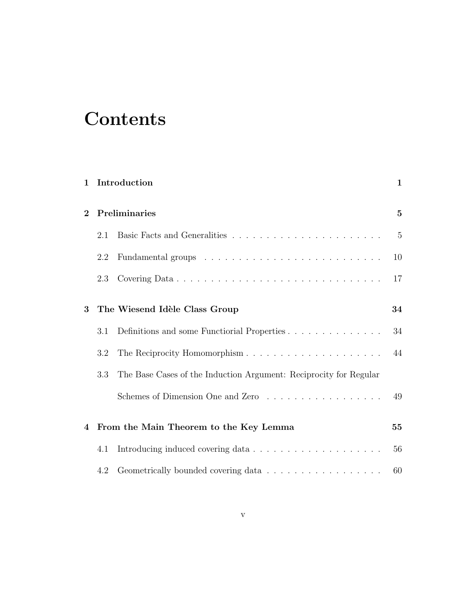# **Contents**

| $\mathbf{1}$                       | Introduction |                                                                   |                |
|------------------------------------|--------------|-------------------------------------------------------------------|----------------|
| $\mathbf{2}$                       |              | Preliminaries                                                     | $\mathbf{5}$   |
|                                    | 2.1          |                                                                   | $\overline{5}$ |
|                                    | 2.2          |                                                                   | 10             |
|                                    | 2.3          |                                                                   | 17             |
| The Wiesend Idèle Class Group<br>3 |              |                                                                   | 34             |
|                                    | 3.1          | Definitions and some Functional Properties                        | 34             |
|                                    | 3.2          |                                                                   | 44             |
|                                    | 3.3          | The Base Cases of the Induction Argument: Reciprocity for Regular |                |
|                                    |              | Schemes of Dimension One and Zero                                 | 49             |
| 4                                  |              | From the Main Theorem to the Key Lemma                            | 55             |
|                                    | 4.1          |                                                                   | 56             |
|                                    | 4.2          | Geometrically bounded covering data                               | 60             |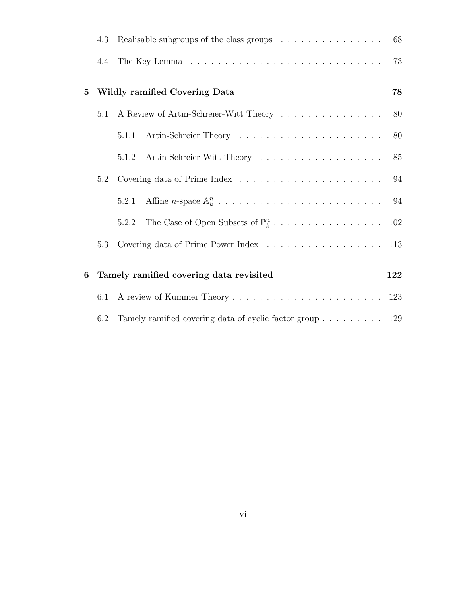|          | 4.3 | Realisable subgroups of the class groups                 | 68  |
|----------|-----|----------------------------------------------------------|-----|
|          | 4.4 |                                                          | 73  |
| $\bf{5}$ |     | Wildly ramified Covering Data                            | 78  |
|          | 5.1 | A Review of Artin-Schreier-Witt Theory                   | 80  |
|          |     | 5.1.1                                                    | 80  |
|          |     | Artin-Schreier-Witt Theory<br>5.1.2                      | 85  |
|          | 5.2 |                                                          | 94  |
|          |     | 5.2.1                                                    | 94  |
|          |     | 5.2.2                                                    |     |
|          | 5.3 |                                                          | 113 |
| 6        |     | Tamely ramified covering data revisited                  | 122 |
|          | 6.1 |                                                          |     |
|          | 6.2 | Tamely ramified covering data of cyclic factor group 129 |     |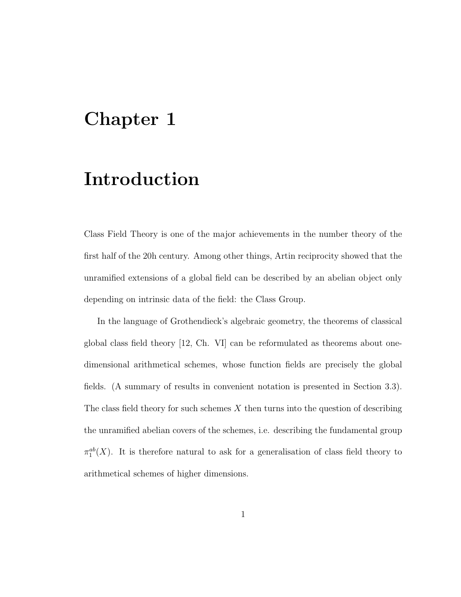## Chapter 1

## Introduction

Class Field Theory is one of the major achievements in the number theory of the first half of the 20h century. Among other things, Artin reciprocity showed that the unramified extensions of a global field can be described by an abelian object only depending on intrinsic data of the field: the Class Group.

In the language of Grothendieck's algebraic geometry, the theorems of classical global class field theory [12, Ch. VI] can be reformulated as theorems about onedimensional arithmetical schemes, whose function fields are precisely the global fields. (A summary of results in convenient notation is presented in Section 3.3). The class field theory for such schemes  $X$  then turns into the question of describing the unramified abelian covers of the schemes, i.e. describing the fundamental group  $\pi_1^{ab}(X)$ . It is therefore natural to ask for a generalisation of class field theory to arithmetical schemes of higher dimensions.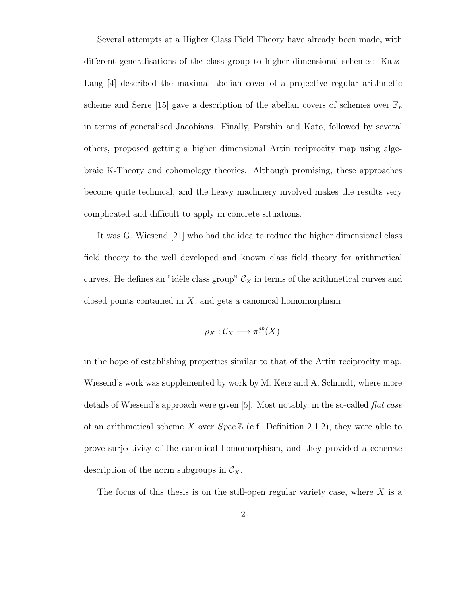Several attempts at a Higher Class Field Theory have already been made, with different generalisations of the class group to higher dimensional schemes: Katz-Lang [4] described the maximal abelian cover of a projective regular arithmetic scheme and Serre [15] gave a description of the abelian covers of schemes over  $\mathbb{F}_p$ in terms of generalised Jacobians. Finally, Parshin and Kato, followed by several others, proposed getting a higher dimensional Artin reciprocity map using algebraic K-Theory and cohomology theories. Although promising, these approaches become quite technical, and the heavy machinery involved makes the results very complicated and difficult to apply in concrete situations.

It was G. Wiesend [21] who had the idea to reduce the higher dimensional class field theory to the well developed and known class field theory for arithmetical curves. He defines an "idèle class group"  $\mathcal{C}_X$  in terms of the arithmetical curves and closed points contained in  $X$ , and gets a canonical homomorphism

$$
\rho_X : \mathcal{C}_X \longrightarrow \pi_1^{ab}(X)
$$

in the hope of establishing properties similar to that of the Artin reciprocity map. Wiesend's work was supplemented by work by M. Kerz and A. Schmidt, where more details of Wiesend's approach were given [5]. Most notably, in the so-called *flat case* of an arithmetical scheme X over  $Spec \mathbb{Z}$  (c.f. Definition 2.1.2), they were able to prove surjectivity of the canonical homomorphism, and they provided a concrete description of the norm subgroups in  $\mathcal{C}_X$ .

The focus of this thesis is on the still-open regular variety case, where  $X$  is a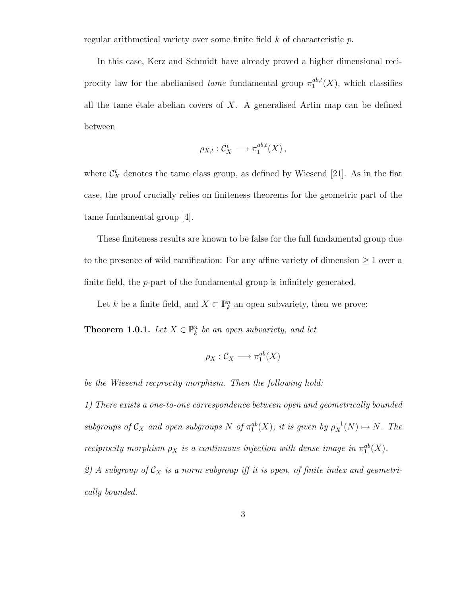regular arithmetical variety over some finite field  $k$  of characteristic  $p$ .

In this case, Kerz and Schmidt have already proved a higher dimensional reciprocity law for the abelianised *tame* fundamental group  $\pi_1^{ab,t}$  $i_1^{ab,t}(X)$ , which classifies all the tame étale abelian covers of  $X$ . A generalised Artin map can be defined between

$$
\rho_{X,t}: \mathcal{C}^t_X \longrightarrow \pi_1^{ab,t}(X)\,,
$$

where  $\mathcal{C}_X^t$  denotes the tame class group, as defined by Wiesend [21]. As in the flat case, the proof crucially relies on finiteness theorems for the geometric part of the tame fundamental group [4].

These finiteness results are known to be false for the full fundamental group due to the presence of wild ramification: For any affine variety of dimension  $\geq 1$  over a finite field, the *p*-part of the fundamental group is infinitely generated.

Let k be a finite field, and  $X \subset \mathbb{P}_k^n$  an open subvariety, then we prove:

**Theorem 1.0.1.** Let  $X \in \mathbb{P}_k^n$  be an open subvariety, and let

$$
\rho_X : \mathcal{C}_X \longrightarrow \pi_1^{ab}(X)
$$

be the Wiesend recprocity morphism. Then the following hold:

1) There exists a one-to-one correspondence between open and geometrically bounded subgroups of  $\mathcal{C}_X$  and open subgroups  $\overline{N}$  of  $\pi_1^{ab}(X)$ ; it is given by  $\rho_X^{-1}(\overline{N}) \mapsto \overline{N}$ . The reciprocity morphism  $\rho_X$  is a continuous injection with dense image in  $\pi_1^{ab}(X)$ . 2) A subgroup of  $C_X$  is a norm subgroup iff it is open, of finite index and geometrically bounded.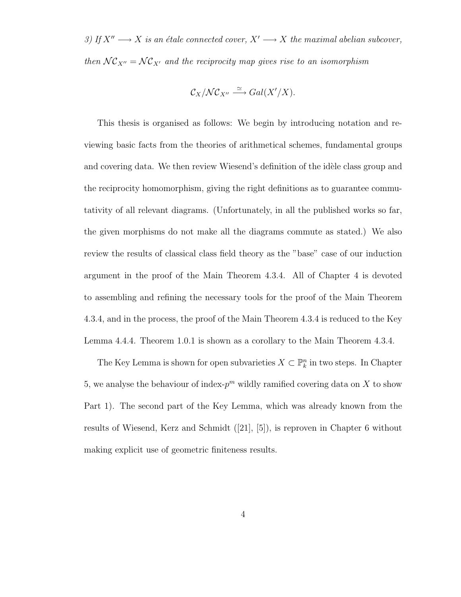3) If  $X'' \longrightarrow X$  is an étale connected cover,  $X' \longrightarrow X$  the maximal abelian subcover, then  $\mathcal{NC}_{X''} = \mathcal{NC}_{X'}$  and the reciprocity map gives rise to an isomorphism

$$
\mathcal{C}_X/\mathcal{NC}_{X''} \xrightarrow{\simeq} Gal(X'/X).
$$

This thesis is organised as follows: We begin by introducing notation and reviewing basic facts from the theories of arithmetical schemes, fundamental groups and covering data. We then review Wiesend's definition of the idèle class group and the reciprocity homomorphism, giving the right definitions as to guarantee commutativity of all relevant diagrams. (Unfortunately, in all the published works so far, the given morphisms do not make all the diagrams commute as stated.) We also review the results of classical class field theory as the "base" case of our induction argument in the proof of the Main Theorem 4.3.4. All of Chapter 4 is devoted to assembling and refining the necessary tools for the proof of the Main Theorem 4.3.4, and in the process, the proof of the Main Theorem 4.3.4 is reduced to the Key Lemma 4.4.4. Theorem 1.0.1 is shown as a corollary to the Main Theorem 4.3.4.

The Key Lemma is shown for open subvarieties  $X \subset \mathbb{P}^n_k$  in two steps. In Chapter 5, we analyse the behaviour of index- $p^m$  wildly ramified covering data on X to show Part 1). The second part of the Key Lemma, which was already known from the results of Wiesend, Kerz and Schmidt ([21], [5]), is reproven in Chapter 6 without making explicit use of geometric finiteness results.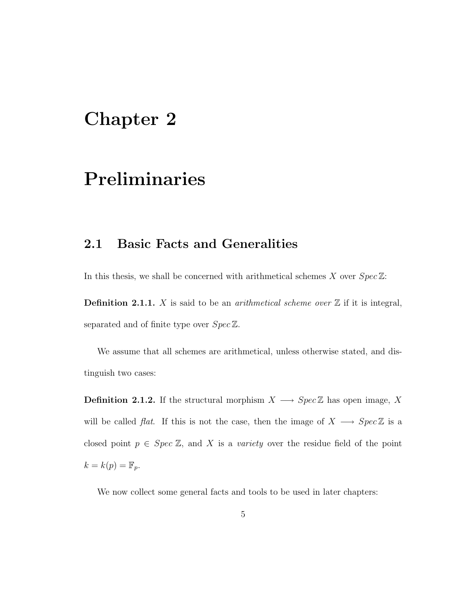## Chapter 2

## Preliminaries

### 2.1 Basic Facts and Generalities

In this thesis, we shall be concerned with arithmetical schemes X over  $Spec\mathbb{Z}$ :

**Definition 2.1.1.** X is said to be an *arithmetical scheme over*  $\mathbb{Z}$  if it is integral, separated and of finite type over  $Spec \mathbb{Z}$ .

We assume that all schemes are arithmetical, unless otherwise stated, and distinguish two cases:

**Definition 2.1.2.** If the structural morphism  $X \longrightarrow Spec \mathbb{Z}$  has open image, X will be called *flat*. If this is not the case, then the image of  $X \longrightarrow Spec \mathbb{Z}$  is a closed point  $p \in Spec Z$ , and X is a variety over the residue field of the point  $k = k(p) = \mathbb{F}_p.$ 

We now collect some general facts and tools to be used in later chapters: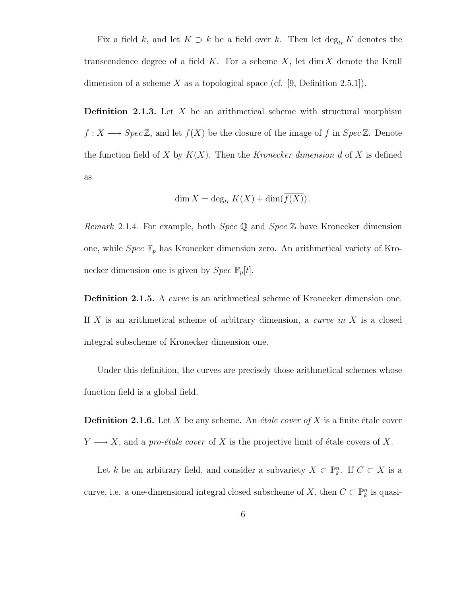Fix a field k, and let  $K \supset k$  be a field over k. Then let  $\deg_{tr} K$  denotes the transcendence degree of a field  $K$ . For a scheme  $X$ , let dim  $X$  denote the Krull dimension of a scheme X as a topological space (cf. [9, Definition 2.5.1]).

**Definition 2.1.3.** Let  $X$  be an arithmetical scheme with structural morphism  $f: X \longrightarrow \text{Spec } \mathbb{Z}$ , and let  $\overline{f(X)}$  be the closure of the image of f in  $\text{Spec } \mathbb{Z}$ . Denote the function field of X by  $K(X)$ . Then the Kronecker dimension d of X is defined as

$$
\dim X = \deg_{tr} K(X) + \dim(f(X)).
$$

*Remark* 2.1.4. For example, both *Spec*  $\mathbb{Q}$  and *Spec*  $\mathbb{Z}$  have Kronecker dimension one, while  $Spec \ \mathbb{F}_p$  has Kronecker dimension zero. An arithmetical variety of Kronecker dimension one is given by  $Spec \ \mathbb{F}_p[t].$ 

**Definition 2.1.5.** A *curve* is an arithmetical scheme of Kronecker dimension one. If X is an arithmetical scheme of arbitrary dimension, a *curve in* X is a closed integral subscheme of Kronecker dimension one.

Under this definition, the curves are precisely those arithmetical schemes whose function field is a global field.

**Definition 2.1.6.** Let X be any scheme. An *étale cover of* X is a finite étale cover  $Y \longrightarrow X$ , and a pro-étale cover of X is the projective limit of étale covers of X.

Let k be an arbitrary field, and consider a subvariety  $X \subset \mathbb{P}_k^n$ . If  $C \subset X$  is a curve, i.e. a one-dimensional integral closed subscheme of X, then  $C \subset \mathbb{P}_k^n$  is quasi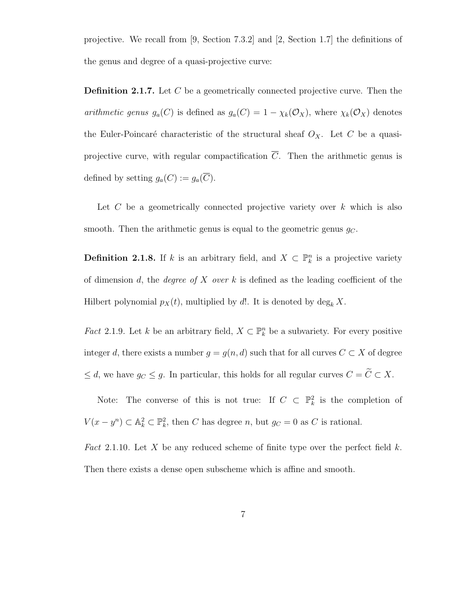projective. We recall from [9, Section 7.3.2] and [2, Section 1.7] the definitions of the genus and degree of a quasi-projective curve:

Definition 2.1.7. Let C be a geometrically connected projective curve. Then the arithmetic genus  $g_a(C)$  is defined as  $g_a(C) = 1 - \chi_k(\mathcal{O}_X)$ , where  $\chi_k(\mathcal{O}_X)$  denotes the Euler-Poincaré characteristic of the structural sheaf  $O_X$ . Let C be a quasiprojective curve, with regular compactification  $\overline{C}$ . Then the arithmetic genus is defined by setting  $g_a(C) := g_a(\overline{C}).$ 

Let  $C$  be a geometrically connected projective variety over  $k$  which is also smooth. Then the arithmetic genus is equal to the geometric genus  $q_C$ .

**Definition 2.1.8.** If k is an arbitrary field, and  $X \subset \mathbb{P}_k^n$  is a projective variety of dimension d, the *degree of X over* k is defined as the leading coefficient of the Hilbert polynomial  $p_X(t)$ , multiplied by d!. It is denoted by  $\deg_k X$ .

*Fact* 2.1.9. Let k be an arbitrary field,  $X \subset \mathbb{P}_{k}^{n}$  be a subvariety. For every positive integer d, there exists a number  $g = g(n, d)$  such that for all curves  $C \subset X$  of degree  $\leq d$ , we have  $g_C \leq g$ . In particular, this holds for all regular curves  $C = \widetilde{C} \subset X$ .

Note: The converse of this is not true: If  $C \subset \mathbb{P}_k^2$  is the completion of  $V(x - y^n) \subset \mathbb{A}_k^2 \subset \mathbb{P}_k^2$ , then C has degree n, but  $g_C = 0$  as C is rational.

Fact 2.1.10. Let X be any reduced scheme of finite type over the perfect field  $k$ . Then there exists a dense open subscheme which is affine and smooth.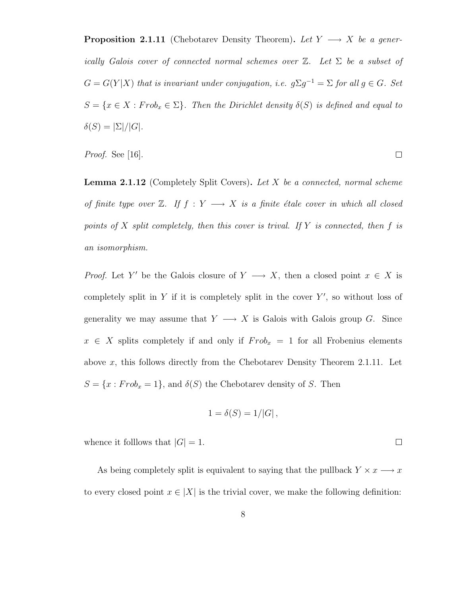**Proposition 2.1.11** (Chebotarev Density Theorem). Let  $Y \longrightarrow X$  be a generically Galois cover of connected normal schemes over  $\mathbb{Z}$ . Let  $\Sigma$  be a subset of  $G = G(Y|X)$  that is invariant under conjugation, i.e.  $g\Sigma g^{-1} = \Sigma$  for all  $g \in G$ . Set  $S = \{x \in X : Frob_x \in \Sigma\}$ . Then the Dirichlet density  $\delta(S)$  is defined and equal to  $\delta(S) = |\Sigma|/|G|.$ 

Proof. See [16].

**Lemma 2.1.12** (Completely Split Covers). Let  $X$  be a connected, normal scheme of finite type over  $\mathbb{Z}$ . If  $f : Y \longrightarrow X$  is a finite étale cover in which all closed points of X split completely, then this cover is trival. If Y is connected, then f is an isomorphism.

*Proof.* Let Y' be the Galois closure of  $Y \longrightarrow X$ , then a closed point  $x \in X$  is completely split in  $Y$  if it is completely split in the cover  $Y'$ , so without loss of generality we may assume that  $Y \longrightarrow X$  is Galois with Galois group G. Since  $x \in X$  splits completely if and only if  $Frob_x = 1$  for all Frobenius elements above x, this follows directly from the Chebotarev Density Theorem 2.1.11. Let  $S = \{x : Frob_x = 1\}$ , and  $\delta(S)$  the Chebotarev density of S. Then

$$
1 = \delta(S) = 1/|G|,
$$

whence it folllows that  $|G| = 1$ .

As being completely split is equivalent to saying that the pullback  $Y \times x \longrightarrow x$ to every closed point  $x \in |X|$  is the trivial cover, we make the following definition:

 $\Box$ 

 $\Box$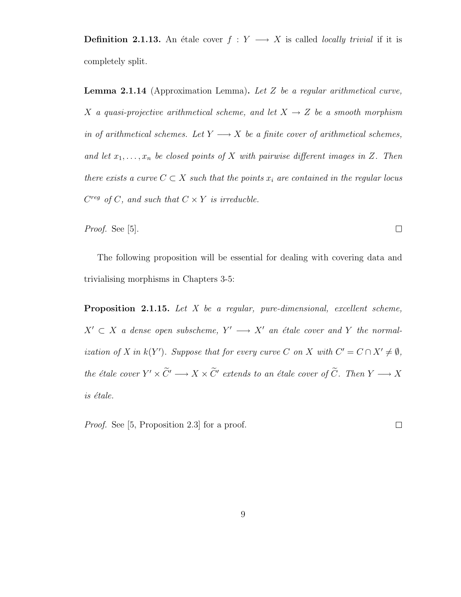**Definition 2.1.13.** An étale cover  $f : Y \longrightarrow X$  is called *locally trivial* if it is completely split.

**Lemma 2.1.14** (Approximation Lemma). Let Z be a regular arithmetical curve, X a quasi-projective arithmetical scheme, and let  $X \rightarrow Z$  be a smooth morphism in of arithmetical schemes. Let  $Y \longrightarrow X$  be a finite cover of arithmetical schemes, and let  $x_1, \ldots, x_n$  be closed points of X with pairwise different images in Z. Then there exists a curve  $C \subset X$  such that the points  $x_i$  are contained in the regular locus  $C^{reg}$  of C, and such that  $C \times Y$  is irreducble.

Proof. See [5].

The following proposition will be essential for dealing with covering data and trivialising morphisms in Chapters 3-5:

**Proposition 2.1.15.** Let  $X$  be a regular, pure-dimensional, excellent scheme,  $X' \subset X$  a dense open subscheme,  $Y' \longrightarrow X'$  an étale cover and Y the normalization of X in  $k(Y')$ . Suppose that for every curve C on X with  $C' = C \cap X' \neq \emptyset$ , the étale cover  $Y' \times \tilde{C}' \longrightarrow X \times \tilde{C}'$  extends to an étale cover of  $\tilde{C}$ . Then  $Y \longrightarrow X$ is étale.

Proof. See [5, Proposition 2.3] for a proof.

 $\Box$ 

 $\Box$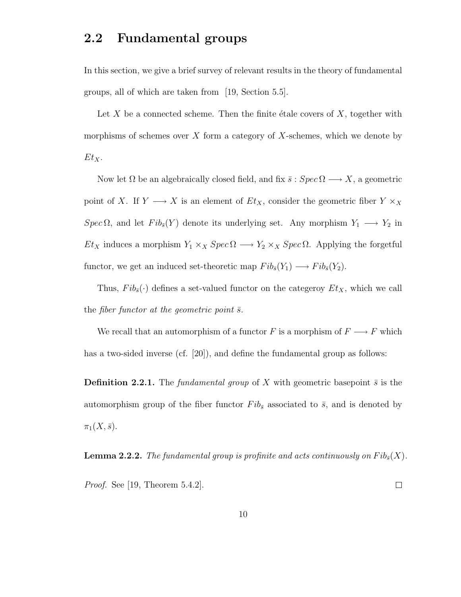## 2.2 Fundamental groups

In this section, we give a brief survey of relevant results in the theory of fundamental groups, all of which are taken from [19, Section 5.5].

Let X be a connected scheme. Then the finite étale covers of  $X$ , together with morphisms of schemes over  $X$  form a category of  $X$ -schemes, which we denote by  $Et_X.$ 

Now let  $\Omega$  be an algebraically closed field, and fix  $\bar{s}: Spec \Omega \longrightarrow X$ , a geometric point of X. If  $Y \longrightarrow X$  is an element of  $Et_X$ , consider the geometric fiber  $Y \times_X$  $Spec \Omega$ , and let  $Fib_{\bar{s}}(Y)$  denote its underlying set. Any morphism  $Y_1 \longrightarrow Y_2$  in  $Et_X$  induces a morphism  $Y_1 \times_X Spec \Omega \longrightarrow Y_2 \times_X Spec \Omega$ . Applying the forgetful functor, we get an induced set-theoretic map  $Fib_{\bar{s}}(Y_1) \longrightarrow Fib_{\bar{s}}(Y_2)$ .

Thus,  $Fib_{\bar{s}}(\cdot)$  defines a set-valued functor on the categeroy  $Et_X$ , which we call the fiber functor at the geometric point  $\bar{s}$ .

We recall that an automorphism of a functor  $F$  is a morphism of  $F\longrightarrow F$  which has a two-sided inverse (cf. [20]), and define the fundamental group as follows:

**Definition 2.2.1.** The fundamental group of X with geometric basepoint  $\bar{s}$  is the automorphism group of the fiber functor  $Fib_{\bar{s}}$  associated to  $\bar{s}$ , and is denoted by  $\pi_1(X,\bar s)$ .

**Lemma 2.2.2.** The fundamental group is profinite and acts continuously on  $Fib_{\bar{s}}(X)$ .

Proof. See [19, Theorem 5.4.2].  $\Box$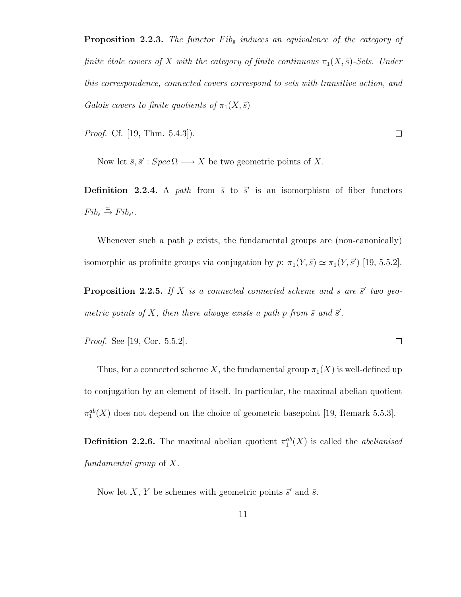**Proposition 2.2.3.** The functor  $Fib_{\bar{s}}$  induces an equivalence of the category of finite étale covers of X with the category of finite continuous  $\pi_1(X, \bar{s})$ -Sets. Under this correspondence, connected covers correspond to sets with transitive action, and Galois covers to finite quotients of  $\pi_1(X,\overline{s})$ 

*Proof.* Cf. [19, Thm. 5.4.3]).

 $\Box$ 

 $\Box$ 

Now let  $\bar{s}, \bar{s}' : Spec \Omega \longrightarrow X$  be two geometric points of X.

**Definition 2.2.4.** A path from  $\bar{s}$  to  $\bar{s}'$  is an isomorphism of fiber functors  $Fib_s \stackrel{\simeq}{\rightarrow} Fib_{s'}.$ 

Whenever such a path p exists, the fundamental groups are (non-canonically) isomorphic as profinite groups via conjugation by  $p: \pi_1(Y, \bar{s}) \simeq \pi_1(Y, \bar{s}')$  [19, 5.5.2].

**Proposition 2.2.5.** If X is a connected connected scheme and s are  $\vec{s}'$  two geometric points of X, then there always exists a path p from  $\bar{s}$  and  $\bar{s}'$ .

*Proof.* See [19, Cor. 5.5.2].

Thus, for a connected scheme X, the fundamental group  $\pi_1(X)$  is well-defined up to conjugation by an element of itself. In particular, the maximal abelian quotient  $\pi_1^{ab}(X)$  does not depend on the choice of geometric basepoint [19, Remark 5.5.3].

**Definition 2.2.6.** The maximal abelian quotient  $\pi_1^{ab}(X)$  is called the *abelianised* fundamental group of X.

Now let X, Y be schemes with geometric points  $\bar{s}'$  and  $\bar{s}$ .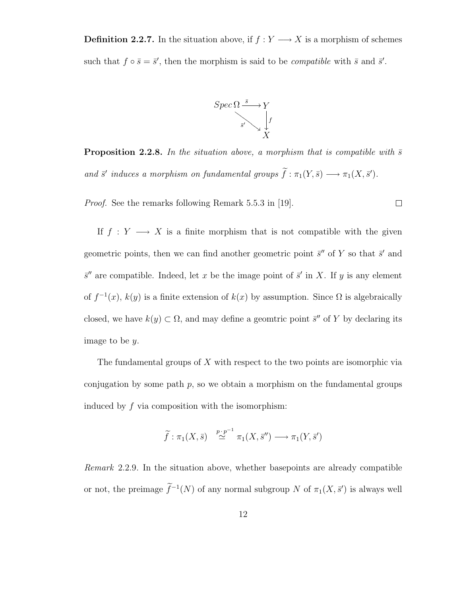**Definition 2.2.7.** In the situation above, if  $f: Y \longrightarrow X$  is a morphism of schemes such that  $f \circ \bar{s} = \bar{s}'$ , then the morphism is said to be *compatible* with  $\bar{s}$  and  $\bar{s}'$ .



**Proposition 2.2.8.** In the situation above, a morphism that is compatible with  $\bar{s}$ and  $\bar{s}'$  induces a morphism on fundamental groups  $\bar{f} : \pi_1(Y, \bar{s}) \longrightarrow \pi_1(X, \bar{s}')$ .

Proof. See the remarks following Remark 5.5.3 in [19].

 $\Box$ 

If  $f: Y \longrightarrow X$  is a finite morphism that is not compatible with the given geometric points, then we can find another geometric point  $\bar{s}$ " of Y so that  $\bar{s}$ ' and  $\bar{s}$ <sup>"</sup> are compatible. Indeed, let x be the image point of  $\bar{s}$ <sup>'</sup> in X. If y is any element of  $f^{-1}(x)$ ,  $k(y)$  is a finite extension of  $k(x)$  by assumption. Since  $\Omega$  is algebraically closed, we have  $k(y) \subset \Omega$ , and may define a geomtric point  $\bar{s}''$  of Y by declaring its image to be y.

The fundamental groups of X with respect to the two points are isomorphic via conjugation by some path  $p$ , so we obtain a morphism on the fundamental groups induced by  $f$  via composition with the isomorphism:

$$
\widetilde{f} : \pi_1(X, \overline{s}) \stackrel{p \cdot p^{-1}}{\simeq} \pi_1(X, \overline{s}'') \longrightarrow \pi_1(Y, \overline{s}')
$$

Remark 2.2.9. In the situation above, whether basepoints are already compatible or not, the preimage  $\tilde{f}^{-1}(N)$  of any normal subgroup N of  $\pi_1(X, \bar{s}')$  is always well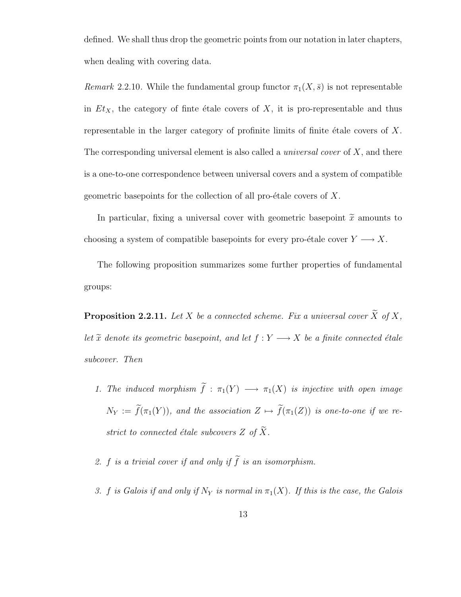defined. We shall thus drop the geometric points from our notation in later chapters, when dealing with covering data.

Remark 2.2.10. While the fundamental group functor  $\pi_1(X,\bar{s})$  is not representable in  $Et<sub>X</sub>$ , the category of finte étale covers of X, it is pro-representable and thus representable in the larger category of profinite limits of finite étale covers of  $X$ . The corresponding universal element is also called a *universal cover* of  $X$ , and there is a one-to-one correspondence between universal covers and a system of compatible geometric basepoints for the collection of all pro- $\acute{e}$ tale covers of X.

In particular, fixing a universal cover with geometric basepoint  $\tilde{x}$  amounts to choosing a system of compatible basepoints for every pro-étale cover  $Y \longrightarrow X$ .

The following proposition summarizes some further properties of fundamental groups:

**Proposition 2.2.11.** Let X be a connected scheme. Fix a universal cover  $\widetilde{X}$  of X, let  $\widetilde{x}$  denote its geometric basepoint, and let  $f:Y\longrightarrow X$  be a finite connected étale subcover. Then

- 1. The induced morphism  $\widetilde{f}: \pi_1(Y) \longrightarrow \pi_1(X)$  is injective with open image  $N_Y := \widetilde{f}(\pi_1(Y))$ , and the association  $Z \mapsto \widetilde{f}(\pi_1(Z))$  is one-to-one if we restrict to connected étale subcovers Z of  $\widetilde{X}$ .
- 2. f is a trivial cover if and only if  $\widetilde{f}$  is an isomorphism.
- 3. f is Galois if and only if  $N_Y$  is normal in  $\pi_1(X)$ . If this is the case, the Galois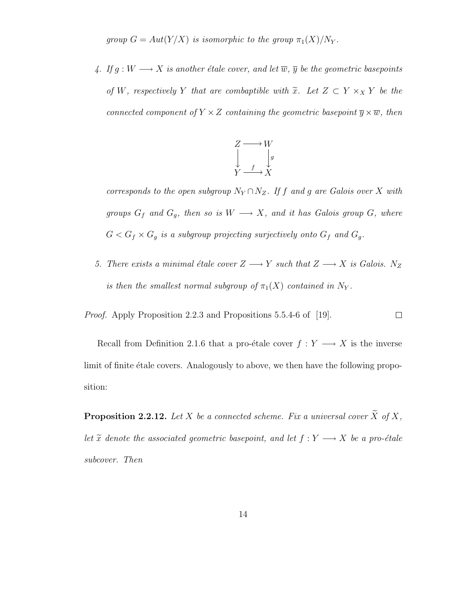group  $G = Aut(Y/X)$  is isomorphic to the group  $\pi_1(X)/N_Y$ .

4. If  $g: W \longrightarrow X$  is another étale cover, and let  $\overline{w}, \overline{y}$  be the geometric basepoints of W, respectively Y that are combaptible with  $\tilde{x}$ . Let  $Z \subset Y \times_X Y$  be the connected component of  $Y \times Z$  containing the geometric basepoint  $\overline{y} \times \overline{w}$ , then

$$
\begin{array}{ccc}\nZ & \longrightarrow & W \\
\downarrow & & \downarrow g \\
Y & \longrightarrow & X\n\end{array}
$$

corresponds to the open subgroup  $N_Y \cap N_Z$ . If f and g are Galois over X with groups  $G_f$  and  $G_g$ , then so is  $W \longrightarrow X$ , and it has Galois group G, where  $G < G_f \times G_g$  is a subgroup projecting surjectively onto  $G_f$  and  $G_g.$ 

5. There exists a minimal étale cover  $Z \longrightarrow Y$  such that  $Z \longrightarrow X$  is Galois. N<sub>Z</sub> is then the smallest normal subgroup of  $\pi_1(X)$  contained in N<sub>Y</sub>.

Proof. Apply Proposition 2.2.3 and Propositions 5.5.4-6 of [19].  $\Box$ 

Recall from Definition 2.1.6 that a pro-étale cover  $f : Y \longrightarrow X$  is the inverse limit of finite etale covers. Analogously to above, we then have the following proposition:

**Proposition 2.2.12.** Let X be a connected scheme. Fix a universal cover  $\widetilde{X}$  of X, let  $\tilde{x}$  denote the associated geometric basepoint, and let  $f : Y \longrightarrow X$  be a pro-étale subcover. Then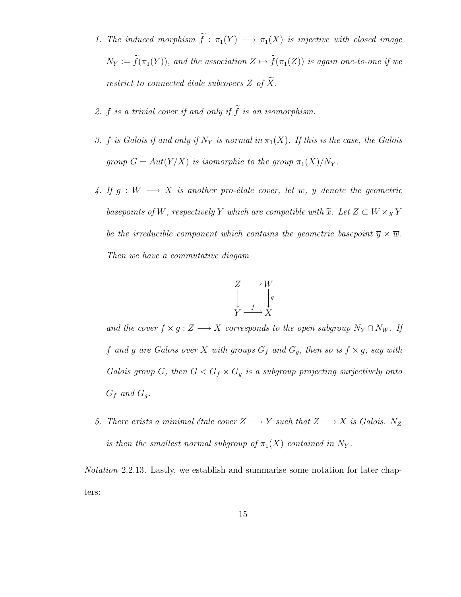- 1. The induced morphism  $\widetilde{f}: \pi_1(Y) \longrightarrow \pi_1(X)$  is injective with closed image  $N_Y := \widetilde{f}(\pi_1(Y))$ , and the association  $Z \mapsto \widetilde{f}(\pi_1(Z))$  is again one-to-one if we restrict to connected étale subcovers  $Z$  of  $\widetilde{X}$ .
- 2. f is a trivial cover if and only if  $\widetilde{f}$  is an isomorphism.
- 3. f is Galois if and only if  $N_Y$  is normal in  $\pi_1(X)$ . If this is the case, the Galois group  $G = Aut(Y/X)$  is isomorphic to the group  $\pi_1(X)/N_Y$ .
- 4. If  $g: W \longrightarrow X$  is another pro-étale cover, let  $\overline{w}$ ,  $\overline{y}$  denote the geometric basepoints of W, respectively Y which are compatible with  $\widetilde{x}$ . Let  $Z \subset W \times_X Y$ be the irreducible component which contains the geometric basepoint  $\overline{y} \times \overline{w}$ . Then we have a commutative diagam

$$
\begin{array}{ccc}\nZ & \longrightarrow & W \\
\downarrow & & \downarrow g \\
Y & \longrightarrow & X\n\end{array}
$$

and the cover  $f \times g : Z \longrightarrow X$  corresponds to the open subgroup  $N_Y \cap N_W$ . If f and g are Galois over X with groups  $G_f$  and  $G_g$ , then so is  $f \times g$ , say with Galois group G, then  $G < G_f \times G_g$  is a subgroup projecting surjectively onto  $G_f$  and  $G_g$ .

5. There exists a minimal étale cover  $Z \longrightarrow Y$  such that  $Z \longrightarrow X$  is Galois. N<sub>Z</sub> is then the smallest normal subgroup of  $\pi_1(X)$  contained in  $N_Y$ .

Notation 2.2.13. Lastly, we establish and summarise some notation for later chapters: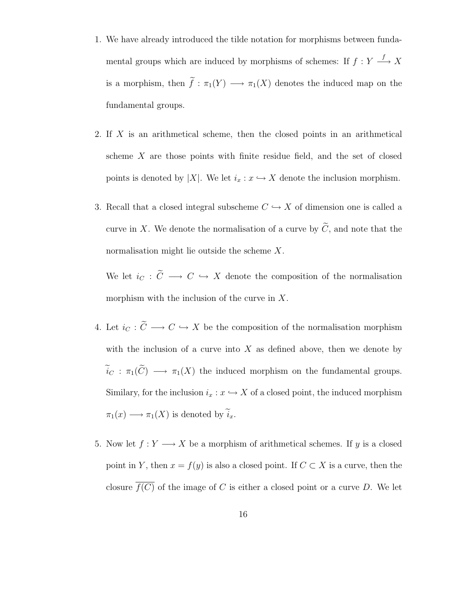- 1. We have already introduced the tilde notation for morphisms between fundamental groups which are induced by morphisms of schemes: If  $f: Y \longrightarrow X$ is a morphism, then  $\tilde{f}: \pi_1(Y) \longrightarrow \pi_1(X)$  denotes the induced map on the fundamental groups.
- 2. If X is an arithmetical scheme, then the closed points in an arithmetical scheme X are those points with finite residue field, and the set of closed points is denoted by |X|. We let  $i_x : x \hookrightarrow X$  denote the inclusion morphism.
- 3. Recall that a closed integral subscheme  $C \hookrightarrow X$  of dimension one is called a curve in X. We denote the normalisation of a curve by  $\widetilde{C}$ , and note that the normalisation might lie outside the scheme X.

We let  $i_C : \tilde{C} \longrightarrow C \hookrightarrow X$  denote the composition of the normalisation morphism with the inclusion of the curve in  $X$ .

- 4. Let  $i_{C} : \widetilde{C} \longrightarrow C \hookrightarrow X$  be the composition of the normalisation morphism with the inclusion of a curve into  $X$  as defined above, then we denote by  $\widetilde{i}_C : \pi_1(\widetilde{C}) \longrightarrow \pi_1(X)$  the induced morphism on the fundamental groups. Similary, for the inclusion  $i_x : x \hookrightarrow X$  of a closed point, the induced morphism  $\pi_1(x) \longrightarrow \pi_1(X)$  is denoted by  $\tilde{i}_x$ .
- 5. Now let  $f: Y \longrightarrow X$  be a morphism of arithmetical schemes. If y is a closed point in Y, then  $x = f(y)$  is also a closed point. If  $C \subset X$  is a curve, then the closure  $\overline{f(C)}$  of the image of C is either a closed point or a curve D. We let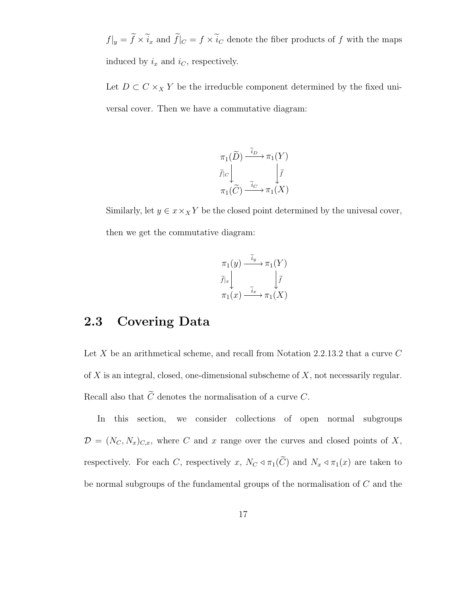$f|_y = \tilde{f} \times \tilde{i}_x$  and  $\tilde{f}|_C = f \times \tilde{i}_C$  denote the fiber products of  $f$  with the maps induced by  $i_x$  and  $i_c$ , respectively.

Let  $D \subset C \times_X Y$  be the irreducble component determined by the fixed universal cover. Then we have a commutative diagram:

$$
\pi_1(\widetilde{D}) \xrightarrow{\widetilde{i}_D} \pi_1(Y)
$$

$$
\widetilde{f}|_C \downarrow \qquad \qquad \downarrow \widetilde{f}
$$

$$
\pi_1(\widetilde{C}) \xrightarrow{\widetilde{i}_C} \pi_1(X)
$$

Similarly, let  $y \in x \times_X Y$  be the closed point determined by the univesal cover, then we get the commutative diagram:

$$
\pi_1(y) \xrightarrow{\widetilde{i}_y} \pi_1(Y)
$$
\n
$$
\widetilde{f}|_x \downarrow \qquad \qquad \downarrow \widetilde{f}
$$
\n
$$
\pi_1(x) \xrightarrow{\widetilde{i}_x} \pi_1(X)
$$

### 2.3 Covering Data

Let  $X$  be an arithmetical scheme, and recall from Notation 2.2.13.2 that a curve  $C$ of  $X$  is an integral, closed, one-dimensional subscheme of  $X$ , not necessarily regular. Recall also that  $\widetilde{C}$  denotes the normalisation of a curve C.

In this section, we consider collections of open normal subgroups  $\mathcal{D} = (N_C, N_x)_{C,x}$ , where C and x range over the curves and closed points of X, respectively. For each C, respectively x,  $N_C \triangleleft \pi_1(\widetilde{C})$  and  $N_x \triangleleft \pi_1(x)$  are taken to be normal subgroups of the fundamental groups of the normalisation of C and the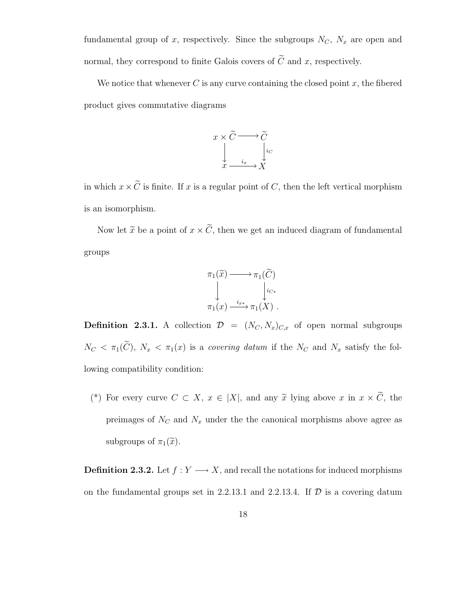fundamental group of x, respectively. Since the subgroups  $N_C$ ,  $N_x$  are open and normal, they correspond to finite Galois covers of  $\tilde{C}$  and x, respectively.

We notice that whenever  $C$  is any curve containing the closed point  $x$ , the fibered product gives commutative diagrams



in which  $x \times \widetilde{C}$  is finite. If x is a regular point of C, then the left vertical morphism is an isomorphism.

Now let  $\tilde{x}$  be a point of  $x \times \tilde{C}$ , then we get an induced diagram of fundamental groups



**Definition 2.3.1.** A collection  $\mathcal{D} = (N_C, N_x)_{C,x}$  of open normal subgroups  $N_C < \pi_1(\widetilde{C})$ ,  $N_x < \pi_1(x)$  is a covering datum if the  $N_C$  and  $N_x$  satisfy the following compatibility condition:

(\*) For every curve  $C \subset X$ ,  $x \in |X|$ , and any  $\tilde{x}$  lying above  $x$  in  $x \times \tilde{C}$ , the preimages of  $N_C$  and  $N_x$  under the the canonical morphisms above agree as subgroups of  $\pi_1(\tilde{x})$ .

**Definition 2.3.2.** Let  $f: Y \longrightarrow X$ , and recall the notations for induced morphisms on the fundamental groups set in 2.2.13.1 and 2.2.13.4. If  $D$  is a covering datum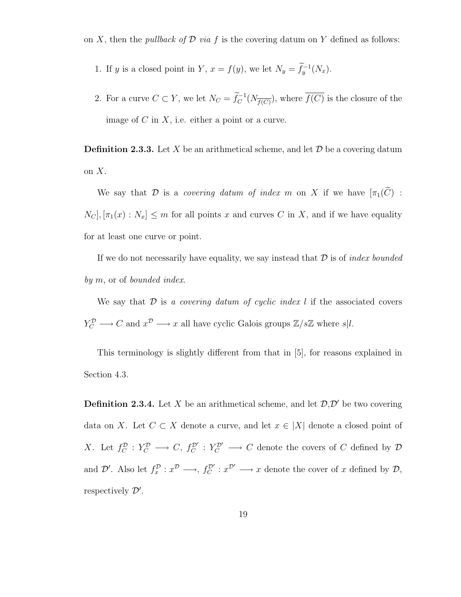on X, then the *pullback of*  $\mathcal D$  *via* f is the covering datum on Y defined as follows:

- 1. If y is a closed point in Y,  $x = f(y)$ , we let  $N_y = \tilde{f}_y^{-1}(N_x)$ .
- 2. For a curve  $C \subset Y$ , we let  $N_C = \tilde{f}_C^{-1}(N_{\overline{f(C)}})$ , where  $\overline{f(C)}$  is the closure of the image of  $C$  in  $X$ , i.e. either a point or a curve.

**Definition 2.3.3.** Let X be an arithmetical scheme, and let  $\mathcal{D}$  be a covering datum on  $X$ .

We say that D is a covering datum of index m on X if we have  $[\pi_1(\widetilde{C})$  :  $N_C$ ,  $[\pi_1(x): N_x] \leq m$  for all points x and curves C in X, and if we have equality for at least one curve or point.

If we do not necessarily have equality, we say instead that  $\mathcal D$  is of *index bounded* by m, or of bounded index.

We say that  $\mathcal D$  is a covering datum of cyclic index l if the associated covers  $Y_C^{\mathcal{D}} \longrightarrow C$  and  $x^{\mathcal{D}} \longrightarrow x$  all have cyclic Galois groups  $\mathbb{Z}/s\mathbb{Z}$  where  $s|l$ .

This terminology is slightly different from that in [5], for reasons explained in Section 4.3.

**Definition 2.3.4.** Let X be an arithmetical scheme, and let  $\mathcal{D}, \mathcal{D}'$  be two covering data on X. Let  $C \subset X$  denote a curve, and let  $x \in |X|$  denote a closed point of X. Let  $f_C^{\mathcal{D}}: Y_C^{\mathcal{D}} \longrightarrow C$ ,  $f_C^{\mathcal{D}'}: Y_C^{\mathcal{D}'} \longrightarrow C$  denote the covers of C defined by  $\mathcal{D}$ and  $\mathcal{D}'$ . Also let  $f_x^{\mathcal{D}}: x^{\mathcal{D}} \longrightarrow, f_C^{\mathcal{D}'}: x^{\mathcal{D}'} \longrightarrow x$  denote the cover of x defined by  $\mathcal{D}$ , respectively  $\mathcal{D}'$ .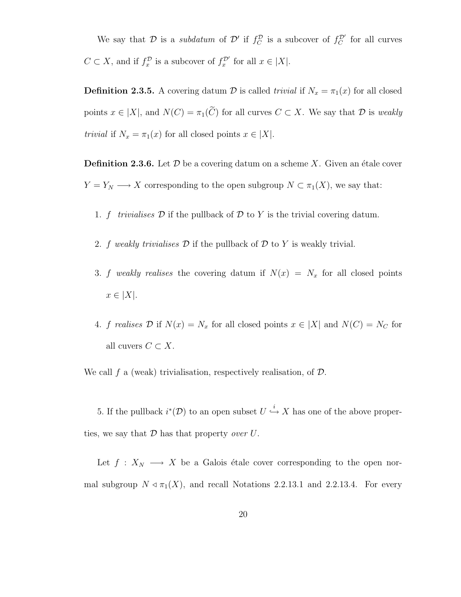We say that D is a subdatum of D' if  $f_C^D$  is a subcover of  $f_C^{D'}$  for all curves  $C \subset X$ , and if  $f_x^{\mathcal{D}}$  is a subcover of  $f_x^{\mathcal{D}'}$  for all  $x \in |X|$ .

**Definition 2.3.5.** A covering datum D is called *trivial* if  $N_x = \pi_1(x)$  for all closed points  $x \in |X|$ , and  $N(C) = \pi_1(\widetilde{C})$  for all curves  $C \subset X$ . We say that  $\mathcal D$  is weakly trivial if  $N_x = \pi_1(x)$  for all closed points  $x \in |X|$ .

**Definition 2.3.6.** Let  $\mathcal{D}$  be a covering datum on a scheme X. Given an étale cover  $Y = Y_N \longrightarrow X$  corresponding to the open subgroup  $N \subset \pi_1(X)$ , we say that:

- 1. f trivialises  $\mathcal D$  if the pullback of  $\mathcal D$  to Y is the trivial covering datum.
- 2. f weakly trivialises  $\mathcal D$  if the pullback of  $\mathcal D$  to  $Y$  is weakly trivial.
- 3. f weakly realises the covering datum if  $N(x) = N_x$  for all closed points  $x \in |X|$ .
- 4. f realises D if  $N(x) = N_x$  for all closed points  $x \in |X|$  and  $N(C) = N_C$  for all cuvers  $C \subset X$ .

We call  $f$  a (weak) trivialisation, respectively realisation, of  $\mathcal{D}$ .

5. If the pullback  $i^*(\mathcal{D})$  to an open subset  $U \stackrel{i}{\hookrightarrow} X$  has one of the above properties, we say that  $\mathcal D$  has that property over  $U$ .

Let  $f: X_N \longrightarrow X$  be a Galois étale cover corresponding to the open normal subgroup  $N \triangleleft \pi_1(X)$ , and recall Notations 2.2.13.1 and 2.2.13.4. For every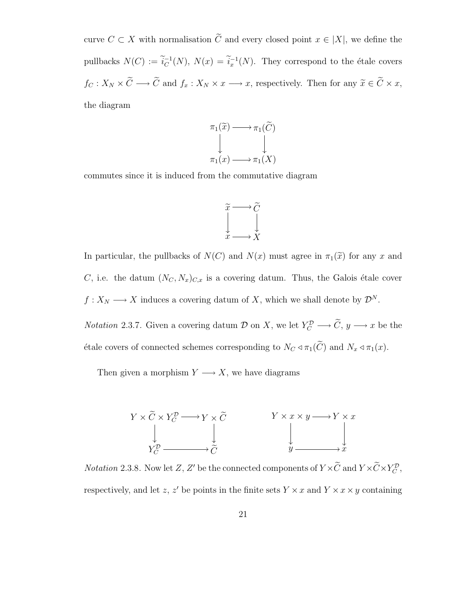curve  $C \subset X$  with normalisation  $\widetilde{C}$  and every closed point  $x \in |X|$ , we define the pullbacks  $N(C) := \widetilde{i}_C^{-1}$  $C^{-1}(N)$ ,  $N(x) = i_x^{-1}(N)$ . They correspond to the étale covers  $f_C: X_N \times \widetilde{C} \longrightarrow \widetilde{C}$  and  $f_x: X_N \times x \longrightarrow x$ , respectively. Then for any  $\widetilde{x} \in \widetilde{C} \times x$ , the diagram



commutes since it is induced from the commutative diagram



In particular, the pullbacks of  $N(C)$  and  $N(x)$  must agree in  $\pi_1(\tilde{x})$  for any x and C, i.e. the datum  $(N_C, N_x)_{C,x}$  is a covering datum. Thus, the Galois étale cover  $f: X_N \longrightarrow X$  induces a covering datum of X, which we shall denote by  $\mathcal{D}^N$ .

*Notation* 2.3.7. Given a covering datum  $\mathcal{D}$  on X, we let  $Y_C^{\mathcal{D}} \longrightarrow \tilde{C}$ ,  $y \longrightarrow x$  be the étale covers of connected schemes corresponding to  $N_C \triangleleft \pi_1(\widetilde{C})$  and  $N_x \triangleleft \pi_1(x)$ .

Then given a morphism  $Y \longrightarrow X$ , we have diagrams

$$
Y \times \widetilde{C} \times Y_C^{\mathcal{D}} \longrightarrow Y \times \widetilde{C}
$$
\n
$$
\downarrow \qquad \qquad Y \times x \times y \longrightarrow Y \times x
$$
\n
$$
Y_C^{\mathcal{D}} \longrightarrow \widetilde{C}
$$
\n
$$
\downarrow \qquad \qquad \downarrow \qquad \qquad \downarrow \qquad \qquad \downarrow
$$
\n
$$
y \longrightarrow x
$$

*Notation* 2.3.8. Now let Z, Z' be the connected components of  $Y \times \tilde{C}$  and  $Y \times \tilde{C} \times Y_C^D$ , respectively, and let z, z' be points in the finite sets  $Y \times x$  and  $Y \times x \times y$  containing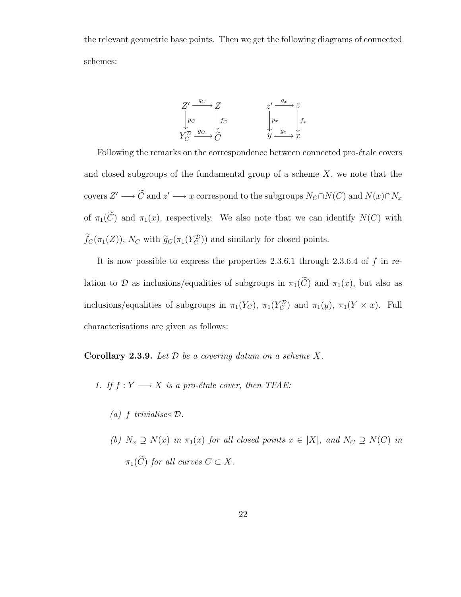the relevant geometric base points. Then we get the following diagrams of connected schemes:



Following the remarks on the correspondence between connected pro-étale covers and closed subgroups of the fundamental group of a scheme  $X$ , we note that the covers  $Z' \longrightarrow \tilde{C}$  and  $z' \longrightarrow x$  correspond to the subgroups  $N_C \cap N(C)$  and  $N(x) \cap N_x$ of  $\pi_1(\widetilde{C})$  and  $\pi_1(x)$ , respectively. We also note that we can identify  $N(C)$  with  $\tilde{f}_C(\pi_1(Z)), N_C$  with  $\tilde{g}_C(\pi_1(Y_C^D))$  and similarly for closed points.

It is now possible to express the properties 2.3.6.1 through 2.3.6.4 of f in relation to D as inclusions/equalities of subgroups in  $\pi_1(\widetilde{C})$  and  $\pi_1(x)$ , but also as inclusions/equalities of subgroups in  $\pi_1(Y_C)$ ,  $\pi_1(Y_C^D)$  and  $\pi_1(y)$ ,  $\pi_1(Y \times x)$ . Full characterisations are given as follows:

**Corollary 2.3.9.** Let  $D$  be a covering datum on a scheme  $X$ .

- 1. If  $f: Y \longrightarrow X$  is a pro-étale cover, then TFAE:
	- (a) f trivialises D.
	- (b)  $N_x \supseteq N(x)$  in  $\pi_1(x)$  for all closed points  $x \in |X|$ , and  $N_C \supseteq N(C)$  in  $\pi_1(\widetilde{C})$  for all curves  $C \subset X$ .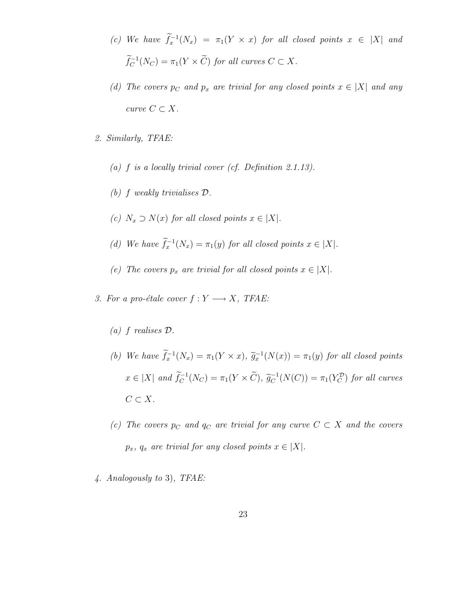- (c) We have  $f_x^{-1}(N_x) = \pi_1(Y \times x)$  for all closed points  $x \in |X|$  and  $\widetilde{f}_C^{-1}(N_C) = \pi_1(Y \times \widetilde{C})$  for all curves  $C \subset X$ .
- (d) The covers  $p_C$  and  $p_x$  are trivial for any closed points  $x \in |X|$  and any curve  $C \subset X$ .
- 2. Similarly, TFAE:
	- (a)  $f$  is a locally trivial cover (cf. Definition 2.1.13).
	- (b) f weakly trivialises D.
	- (c)  $N_x \supset N(x)$  for all closed points  $x \in |X|$ .
	- (d) We have  $\hat{f}_x^{-1}(N_x) = \pi_1(y)$  for all closed points  $x \in |X|$ .
	- (e) The covers  $p_x$  are trivial for all closed points  $x \in |X|$ .
- 3. For a pro-étale cover  $f: Y \longrightarrow X$ , TFAE:
	- (a) f realises D.
	- (b) We have  $\tilde{f}_x^{-1}(N_x) = \pi_1(Y \times x)$ ,  $\tilde{g}_x^{-1}(N(x)) = \pi_1(y)$  for all closed points  $x \in |X|$  and  $\widetilde{f}_C^{-1}(N_C) = \pi_1(Y \times \widetilde{C}), \widetilde{g}_C^{-1}$  $C^{-1}(N(C)) = \pi_1(Y_C^D)$  for all curves  $C \subset X$ .
	- (c) The covers  $p_C$  and  $q_C$  are trivial for any curve  $C \subset X$  and the covers  $p_x$ ,  $q_x$  are trivial for any closed points  $x \in |X|$ .
- 4. Analogously to 3), TFAE: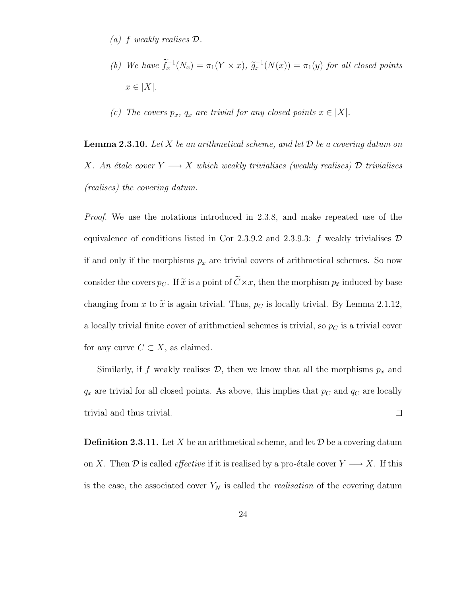- (a) f weakly realises D.
- (b) We have  $f_x^{-1}(N_x) = \pi_1(Y \times x)$ ,  $\tilde{g}_x^{-1}(N(x)) = \pi_1(y)$  for all closed points  $x \in |X|$ .
- (c) The covers  $p_x$ ,  $q_x$  are trivial for any closed points  $x \in |X|$ .

**Lemma 2.3.10.** Let X be an arithmetical scheme, and let  $\mathcal{D}$  be a covering datum on X. An étale cover  $Y \longrightarrow X$  which weakly trivialises (weakly realises) D trivialises (realises) the covering datum.

Proof. We use the notations introduced in 2.3.8, and make repeated use of the equivalence of conditions listed in Cor 2.3.9.2 and 2.3.9.3: f weakly trivialises  $D$ if and only if the morphisms  $p_x$  are trivial covers of arithmetical schemes. So now consider the covers  $p_C$ . If  $\tilde{x}$  is a point of  $\tilde{C} \times x$ , then the morphism  $p_{\tilde{x}}$  induced by base changing from x to  $\tilde{x}$  is again trivial. Thus,  $p_C$  is locally trivial. By Lemma 2.1.12, a locally trivial finite cover of arithmetical schemes is trivial, so  $p<sub>C</sub>$  is a trivial cover for any curve  $C \subset X$ , as claimed.

Similarly, if f weakly realises  $\mathcal{D}$ , then we know that all the morphisms  $p_x$  and  $q_x$  are trivial for all closed points. As above, this implies that  $p_x$  and  $q_y$  are locally trivial and thus trivial.  $\Box$ 

**Definition 2.3.11.** Let X be an arithmetical scheme, and let  $\mathcal{D}$  be a covering datum on X. Then D is called *effective* if it is realised by a pro-étale cover  $Y \longrightarrow X$ . If this is the case, the associated cover  $Y_N$  is called the *realisation* of the covering datum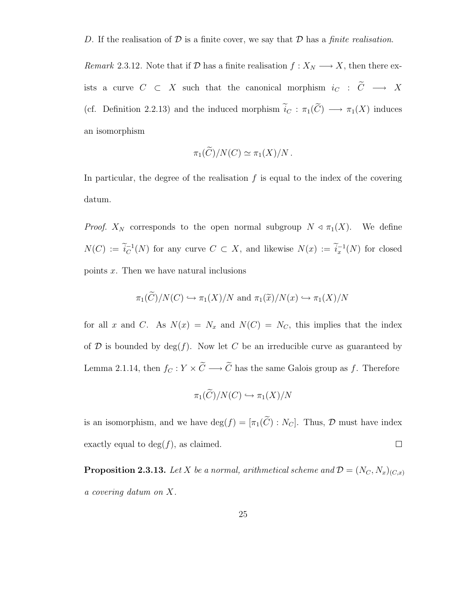D. If the realisation of D is a finite cover, we say that D has a *finite realisation*.

Remark 2.3.12. Note that if  $D$  has a finite realisation  $f: X_N \longrightarrow X$ , then there exists a curve  $C \subset X$  such that the canonical morphism  $i_C : \tilde{C} \longrightarrow X$ (cf. Definition 2.2.13) and the induced morphism  $\tilde{i}_C : \pi_1(\tilde{C}) \longrightarrow \pi_1(X)$  induces an isomorphism

$$
\pi_1(\widetilde{C})/N(C) \simeq \pi_1(X)/N.
$$

In particular, the degree of the realisation  $f$  is equal to the index of the covering datum.

*Proof.*  $X_N$  corresponds to the open normal subgroup  $N \triangleleft \pi_1(X)$ . We define  $N(C) := \widetilde{i}_C^{-1}$  $C^{-1}(N)$  for any curve  $C \subset X$ , and likewise  $N(x) := \tilde{i}_x^{-1}(N)$  for closed points x. Then we have natural inclusions

$$
\pi_1(\widetilde{C})/N(C) \hookrightarrow \pi_1(X)/N
$$
 and  $\pi_1(\widetilde{x})/N(x) \hookrightarrow \pi_1(X)/N$ 

for all x and C. As  $N(x) = N_x$  and  $N(C) = N_c$ , this implies that the index of  $D$  is bounded by  $deg(f)$ . Now let C be an irreducible curve as guaranteed by Lemma 2.1.14, then  $f_C : Y \times \widetilde{C} \longrightarrow \widetilde{C}$  has the same Galois group as f. Therefore

$$
\pi_1(\widetilde{C})/N(C) \hookrightarrow \pi_1(X)/N
$$

is an isomorphism, and we have  $\deg(f) = [\pi_1(\tilde{C}) : N_C]$ . Thus,  $\mathcal D$  must have index exactly equal to  $deg(f)$ , as claimed.  $\Box$ 

**Proposition 2.3.13.** Let X be a normal, arithmetical scheme and  $\mathcal{D} = (N_C, N_x)_{(C,x)}$ a covering datum on X.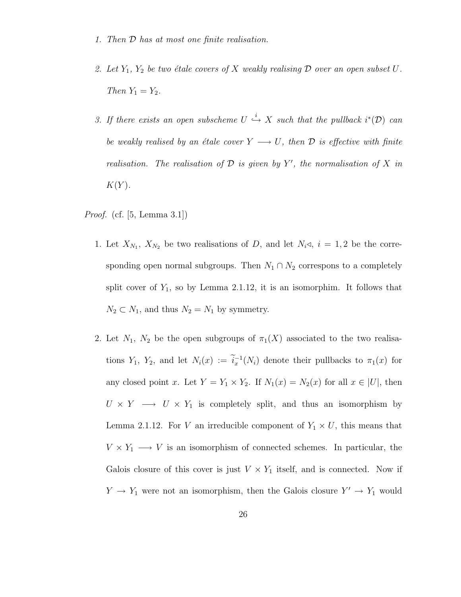- 1. Then D has at most one finite realisation.
- 2. Let  $Y_1$ ,  $Y_2$  be two étale covers of X weakly realising  $D$  over an open subset U. Then  $Y_1 = Y_2$ .
- 3. If there exists an open subscheme  $U \stackrel{i}{\hookrightarrow} X$  such that the pullback  $i^*(\mathcal{D})$  can be weakly realised by an étale cover  $Y \longrightarrow U$ , then  $D$  is effective with finite realisation. The realisation of  $D$  is given by Y', the normalisation of X in  $K(Y)$ .

Proof. (cf. [5, Lemma 3.1])

- 1. Let  $X_{N_1}$ ,  $X_{N_2}$  be two realisations of D, and let  $N_i \triangleleft$ ,  $i = 1, 2$  be the corresponding open normal subgroups. Then  $N_1 \cap N_2$  correspons to a completely split cover of  $Y_1$ , so by Lemma 2.1.12, it is an isomorphim. It follows that  $N_2 \subset N_1$ , and thus  $N_2 = N_1$  by symmetry.
- 2. Let  $N_1$ ,  $N_2$  be the open subgroups of  $\pi_1(X)$  associated to the two realisations  $Y_1$ ,  $Y_2$ , and let  $N_i(x) := \tilde{i}_x^{-1}(N_i)$  denote their pullbacks to  $\pi_1(x)$  for any closed point x. Let  $Y = Y_1 \times Y_2$ . If  $N_1(x) = N_2(x)$  for all  $x \in |U|$ , then  $U \times Y \longrightarrow U \times Y_1$  is completely split, and thus an isomorphism by Lemma 2.1.12. For V an irreducible component of  $Y_1 \times U$ , this means that  $V \times Y_1 \longrightarrow V$  is an isomorphism of connected schemes. In particular, the Galois closure of this cover is just  $V \times Y_1$  itself, and is connected. Now if  $Y \to Y_1$  were not an isomorphism, then the Galois closure  $Y' \to Y_1$  would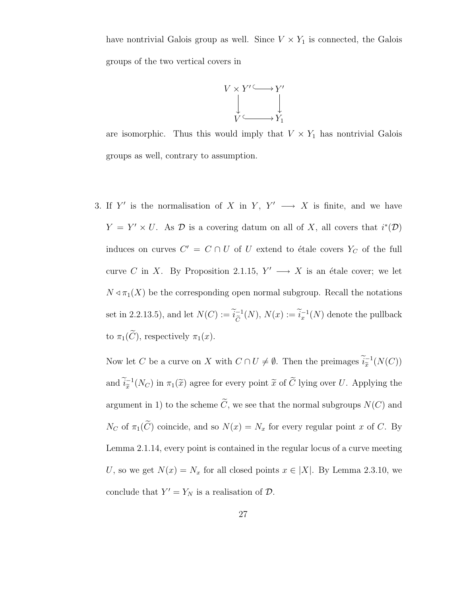have nontrivial Galois group as well. Since  $V \times Y_1$  is connected, the Galois groups of the two vertical covers in



are isomorphic. Thus this would imply that  $V \times Y_1$  has nontrivial Galois groups as well, contrary to assumption.

3. If Y' is the normalisation of X in Y, Y'  $\longrightarrow$  X is finite, and we have  $Y = Y' \times U$ . As D is a covering datum on all of X, all covers that  $i^*(\mathcal{D})$ induces on curves  $C' = C \cap U$  of U extend to étale covers  $Y_C$  of the full curve C in X. By Proposition 2.1.15,  $Y' \longrightarrow X$  is an étale cover; we let  $N \triangleleft \pi_1(X)$  be the corresponding open normal subgroup. Recall the notations set in 2.2.13.5), and let  $N(C) := \tilde{i}_{\tilde{C}}^{-1}$  $\widetilde{C}^{-1}(N), N(x) := \widetilde{i}_x^{-1}(N)$  denote the pullback to  $\pi_1(\widetilde{C})$ , respectively  $\pi_1(x)$ .

Now let C be a curve on X with  $C \cap U \neq \emptyset$ . Then the preimages  $\widetilde{i}_{\widetilde{x}}^{-1}$  $_{\widetilde{x}}^{-1}(N(C))$ and  $\widetilde{i}_{\widetilde{x}}^{-1}$  $\tilde{x}^{-1}(N_C)$  in  $\pi_1(\tilde{x})$  agree for every point  $\tilde{x}$  of C lying over U. Applying the argument in 1) to the scheme  $\widetilde{C}$ , we see that the normal subgroups  $N(C)$  and  $N_C$  of  $\pi_1(\widetilde{C})$  coincide, and so  $N(x) = N_x$  for every regular point x of C. By Lemma 2.1.14, every point is contained in the regular locus of a curve meeting U, so we get  $N(x) = N_x$  for all closed points  $x \in |X|$ . By Lemma 2.3.10, we conclude that  $Y' = Y_N$  is a realisation of  $D$ .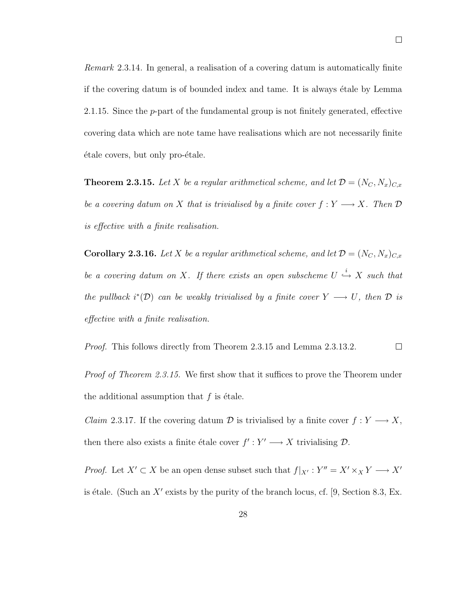Remark 2.3.14. In general, a realisation of a covering datum is automatically finite if the covering datum is of bounded index and tame. It is always étale by Lemma 2.1.15. Since the p-part of the fundamental group is not finitely generated, effective covering data which are note tame have realisations which are not necessarily finite  $\acute{e}$ tale covers, but only pro- $\acute{e}$ tale.

**Theorem 2.3.15.** Let X be a regular arithmetical scheme, and let  $\mathcal{D} = (N_C, N_x)_{C,x}$ be a covering datum on X that is trivialised by a finite cover  $f: Y \longrightarrow X$ . Then  $D$ is effective with a finite realisation.

**Corollary 2.3.16.** Let X be a regular arithmetical scheme, and let  $\mathcal{D} = (N_C, N_x)_{C,x}$ be a covering datum on X. If there exists an open subscheme  $U \stackrel{i}{\hookrightarrow} X$  such that the pullback  $i^*(\mathcal{D})$  can be weakly trivialised by a finite cover  $Y \longrightarrow U$ , then  $\mathcal D$  is effective with a finite realisation.

Proof. This follows directly from Theorem 2.3.15 and Lemma 2.3.13.2.  $\Box$ 

*Proof of Theorem 2.3.15.* We first show that it suffices to prove the Theorem under the additional assumption that  $f$  is étale.

*Claim* 2.3.17. If the covering datum  $\mathcal D$  is trivialised by a finite cover  $f: Y \longrightarrow X$ , then there also exists a finite étale cover  $f': Y' \longrightarrow X$  trivialising  $D$ .

*Proof.* Let  $X' \subset X$  be an open dense subset such that  $f|_{X'} : Y'' = X' \times_X Y \longrightarrow X'$ is étale. (Such an  $X'$  exists by the purity of the branch locus, cf. [9, Section 8.3, Ex.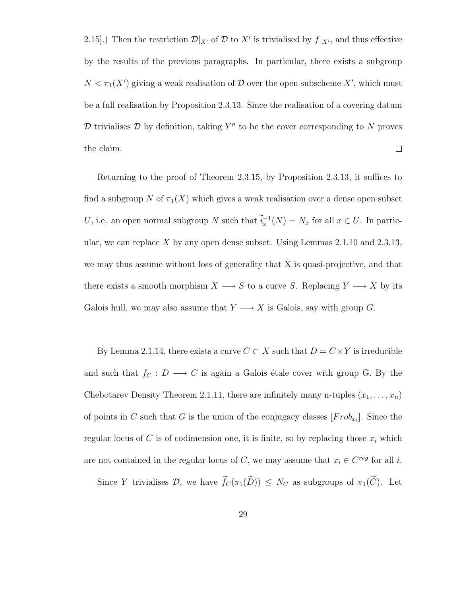2.15.]) Then the restriction  $\mathcal{D}|_{X'}$  of  $\mathcal D$  to  $X'$  is trivialised by  $f|_{X'}$ , and thus effective by the results of the previous paragraphs. In particular, there exists a subgroup  $N < \pi_1(X')$  giving a weak realisation of  $\mathcal D$  over the open subscheme  $X'$ , which must be a full realisation by Proposition 2.3.13. Since the realisation of a covering datum  $D$  trivialises  $D$  by definition, taking Y'' to be the cover corresponding to N proves  $\Box$ the claim.

Returning to the proof of Theorem 2.3.15, by Proposition 2.3.13, it suffices to find a subgroup N of  $\pi_1(X)$  which gives a weak realisation over a dense open subset U, i.e. an open normal subgroup N such that  $\tilde{i}_x^{-1}(N) = N_x$  for all  $x \in U$ . In particular, we can replace X by any open dense subset. Using Lemmas  $2.1.10$  and  $2.3.13$ , we may thus assume without loss of generality that X is quasi-projective, and that there exists a smooth morphism  $X \longrightarrow S$  to a curve S. Replacing  $Y \longrightarrow X$  by its Galois hull, we may also assume that  $Y \longrightarrow X$  is Galois, say with group G.

By Lemma 2.1.14, there exists a curve  $C \subset X$  such that  $D = C \times Y$  is irreducible and such that  $f_C : D \longrightarrow C$  is again a Galois étale cover with group G. By the Chebotarev Density Theorem 2.1.11, there are infinitely many n-tuples  $(x_1, \ldots, x_n)$ of points in C such that G is the union of the conjugacy classes  $[Frob_{x_i}]$ . Since the regular locus of C is of codimension one, it is finite, so by replacing those  $x_i$  which are not contained in the regular locus of C, we may assume that  $x_i \in C^{reg}$  for all i.

Since Y trivialises D, we have  $\widetilde{f}_C(\pi_1(\widetilde{D})) \leq N_C$  as subgroups of  $\pi_1(\widetilde{C})$ . Let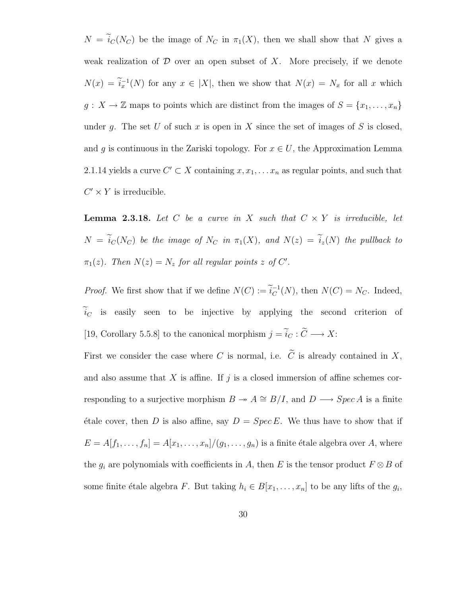$N = \tilde{i}_C(N_C)$  be the image of  $N_C$  in  $\pi_1(X)$ , then we shall show that N gives a weak realization of  $D$  over an open subset of  $X$ . More precisely, if we denote  $N(x) = i_x^{-1}(N)$  for any  $x \in |X|$ , then we show that  $N(x) = N_x$  for all x which  $g: X \to \mathbb{Z}$  maps to points which are distinct from the images of  $S = \{x_1, \ldots, x_n\}$ under g. The set U of such x is open in X since the set of images of S is closed, and g is continuous in the Zariski topology. For  $x \in U$ , the Approximation Lemma 2.1.14 yields a curve  $C' \subset X$  containing  $x, x_1, \ldots, x_n$  as regular points, and such that  $C' \times Y$  is irreducible.

**Lemma 2.3.18.** Let C be a curve in X such that  $C \times Y$  is irreducible, let  $N = \tilde{i}_C(N_C)$  be the image of  $N_C$  in  $\pi_1(X)$ , and  $N(z) = \tilde{i}_z(N)$  the pullback to  $\pi_1(z)$ . Then  $N(z) = N_z$  for all regular points z of C'.

*Proof.* We first show that if we define  $N(C) := \tilde{i}_C^{-1}$  $_C^{-1}(N)$ , then  $N(C) = N_C$ . Indeed,  $\tilde{i}_C$  is easily seen to be injective by applying the second criterion of [19, Corollary 5.5.8] to the canonical morphism  $j = \widetilde{i}_C : \widetilde{C} \longrightarrow X{\rm :}$ 

First we consider the case where C is normal, i.e.  $\widetilde{C}$  is already contained in X, and also assume that  $X$  is affine. If  $j$  is a closed immersion of affine schemes corresponding to a surjective morphism  $B \to A \cong B/I$ , and  $D \longrightarrow Spec A$  is a finite  $\forall$  etale cover, then D is also affine, say  $D = Spec E$ . We thus have to show that if  $E = A[f_1, \ldots, f_n] = A[x_1, \ldots, x_n]/(g_1, \ldots, g_n)$  is a finite étale algebra over A, where the  $g_i$  are polynomials with coefficients in A, then E is the tensor product  $F \otimes B$  of some finite étale algebra F. But taking  $h_i \in B[x_1, \ldots, x_n]$  to be any lifts of the  $g_i$ ,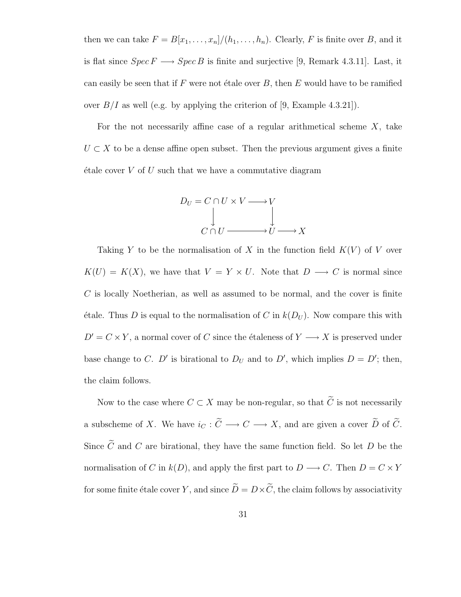then we can take  $F = B[x_1, \ldots, x_n]/(h_1, \ldots, h_n)$ . Clearly, F is finite over B, and it is flat since  $Spec F \longrightarrow Spec B$  is finite and surjective [9, Remark 4.3.11]. Last, it can easily be seen that if F were not étale over  $B$ , then E would have to be ramified over  $B/I$  as well (e.g. by applying the criterion of [9, Example 4.3.21]).

For the not necessarily affine case of a regular arithmetical scheme  $X$ , take  $U \subset X$  to be a dense affine open subset. Then the previous argument gives a finite  $\acute{e}$ tale cover V of U such that we have a commutative diagram



Taking Y to be the normalisation of X in the function field  $K(V)$  of V over  $K(U) = K(X)$ , we have that  $V = Y \times U$ . Note that  $D \longrightarrow C$  is normal since  $C$  is locally Noetherian, as well as assumed to be normal, and the cover is finite  $\phi$  etale. Thus D is equal to the normalisation of C in  $k(D_U)$ . Now compare this with  $D' = C \times Y$ , a normal cover of C since the étaleness of  $Y \longrightarrow X$  is preserved under base change to C. D' is birational to  $D_U$  and to D', which implies  $D = D'$ ; then, the claim follows.

Now to the case where  $C \subset X$  may be non-regular, so that  $\widetilde{C}$  is not necessarily a subscheme of X. We have  $i_C : \widetilde{C} \longrightarrow C \longrightarrow X$ , and are given a cover  $\widetilde{D}$  of  $\widetilde{C}$ . Since  $\widetilde{C}$  and  $C$  are birational, they have the same function field. So let  $D$  be the normalisation of C in  $k(D)$ , and apply the first part to  $D \longrightarrow C$ . Then  $D = C \times Y$ for some finite étale cover  $Y,$  and since  $\widetilde{D}=D\times \widetilde{C},$  the claim follows by associativity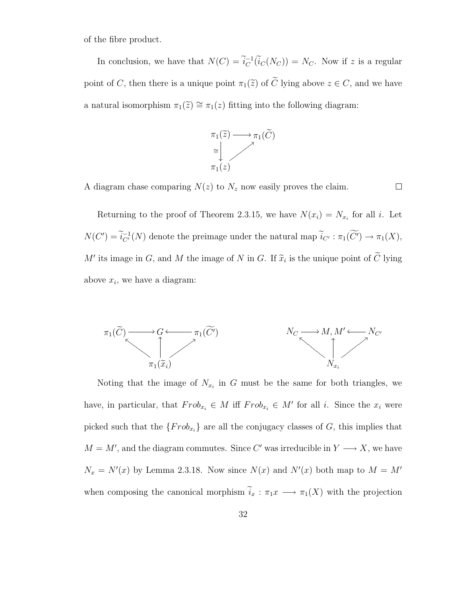of the fibre product.

In conclusion, we have that  $N(C) = \tilde{i}_C^{-1}$  $C^{-1}(i_C(N_C)) = N_C$ . Now if z is a regular point of C, then there is a unique point  $\pi_1(\tilde{z})$  of  $\tilde{C}$  lying above  $z \in C$ , and we have a natural isomorphism  $\pi_1(\tilde{z}) \cong \pi_1(z)$  fitting into the following diagram:



A diagram chase comparing  $N(z)$  to  $N_z$  now easily proves the claim.

 $\Box$ 

Returning to the proof of Theorem 2.3.15, we have  $N(x_i) = N_{x_i}$  for all i. Let  $N(C') = \widetilde{i}_{C'}^{-1}(N)$  denote the preimage under the natural map  $\widetilde{i}_{C'} : \pi_1(\widetilde{C'}) \to \pi_1(X)$ , M' its image in G, and M the image of N in G. If  $\tilde{x}_i$  is the unique point of  $\tilde{C}$  lying above  $x_i$ , we have a diagram:



Noting that the image of  $N_{x_i}$  in G must be the same for both triangles, we have, in particular, that  $Frob_{x_i} \in M$  iff  $Frob_{x_i} \in M'$  for all i. Since the  $x_i$  were picked such that the  $\{Frob_{x_i}\}\$ are all the conjugacy classes of G, this implies that  $M = M'$ , and the diagram commutes. Since C' was irreducible in  $Y \longrightarrow X$ , we have  $N_x = N'(x)$  by Lemma 2.3.18. Now since  $N(x)$  and  $N'(x)$  both map to  $M = M'$ when composing the canonical morphism  $\tilde{i}_x : \pi_1 x \longrightarrow \pi_1(X)$  with the projection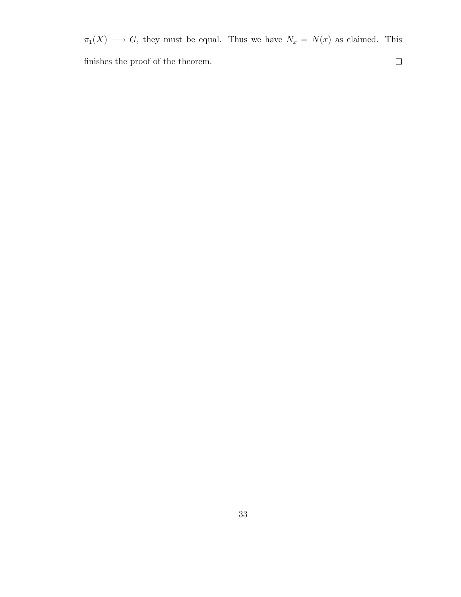$\pi_1(X) \longrightarrow G$ , they must be equal. Thus we have  $N_x = N(x)$  as claimed. This finishes the proof of the theorem.  $\Box$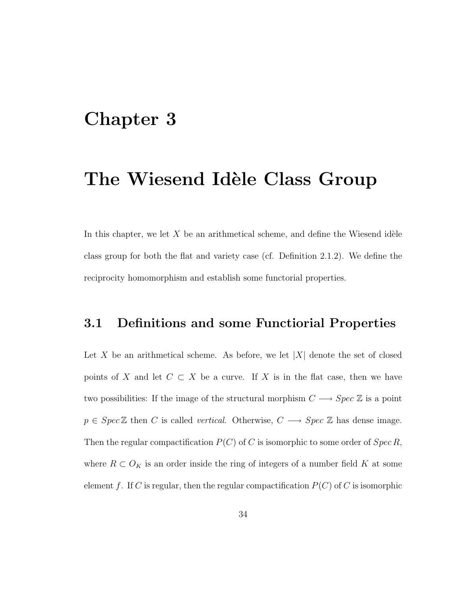## Chapter 3

## The Wiesend Idèle Class Group

In this chapter, we let  $X$  be an arithmetical scheme, and define the Wiesend idèle class group for both the flat and variety case (cf. Definition 2.1.2). We define the reciprocity homomorphism and establish some functorial properties.

#### 3.1 Definitions and some Functiorial Properties

Let X be an arithmetical scheme. As before, we let  $|X|$  denote the set of closed points of X and let  $C \subset X$  be a curve. If X is in the flat case, then we have two possibilities: If the image of the structural morphism  $C \longrightarrow Spec\ \mathbb{Z}$  is a point  $p \in Spec \mathbb{Z}$  then C is called *vertical*. Otherwise,  $C \longrightarrow Spec \mathbb{Z}$  has dense image. Then the regular compactification  $P(C)$  of C is isomorphic to some order of  $Spec R$ , where  $R \subset O_K$  is an order inside the ring of integers of a number field K at some element f. If C is regular, then the regular compactification  $P(C)$  of C is isomorphic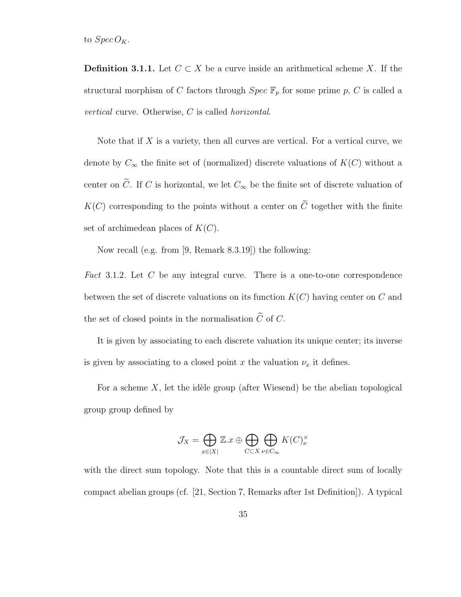to  $Spec\,O_K$ .

**Definition 3.1.1.** Let  $C \subset X$  be a curve inside an arithmetical scheme X. If the structural morphism of C factors through  $Spec \ \mathbb{F}_p$  for some prime p, C is called a vertical curve. Otherwise, C is called horizontal.

Note that if  $X$  is a variety, then all curves are vertical. For a vertical curve, we denote by  $C_{\infty}$  the finite set of (normalized) discrete valuations of  $K(C)$  without a center on  $\tilde{C}$ . If C is horizontal, we let  $C_{\infty}$  be the finite set of discrete valuation of  $K(C)$  corresponding to the points without a center on  $\widetilde{C}$  together with the finite set of archimedean places of  $K(C)$ .

Now recall (e.g. from [9, Remark 8.3.19]) the following:

Fact 3.1.2. Let C be any integral curve. There is a one-to-one correspondence between the set of discrete valuations on its function  $K(C)$  having center on C and the set of closed points in the normalisation  $\tilde{C}$  of C.

It is given by associating to each discrete valuation its unique center; its inverse is given by associating to a closed point x the valuation  $\nu_x$  it defines.

For a scheme  $X$ , let the idèle group (after Wiesend) be the abelian topological group group defined by

$$
\mathcal{J}_X = \bigoplus_{x \in |X|} \mathbb{Z}.x \oplus \bigoplus_{C \subset X} \bigoplus_{\nu \in C_{\infty}} K(C)_{\nu}^{\times}
$$

with the direct sum topology. Note that this is a countable direct sum of locally compact abelian groups (cf. [21, Section 7, Remarks after 1st Definition]). A typical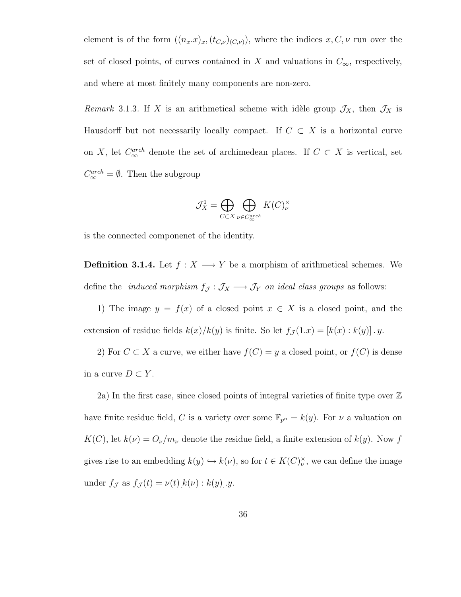element is of the form  $((n_x.x)_x,(t_{C,\nu})(c_{\nu}))$ , where the indices  $x, C, \nu$  run over the set of closed points, of curves contained in X and valuations in  $C_{\infty}$ , respectively, and where at most finitely many components are non-zero.

Remark 3.1.3. If X is an arithmetical scheme with idèle group  $\mathcal{J}_X$ , then  $\mathcal{J}_X$  is Hausdorff but not necessarily locally compact. If  $C \subset X$  is a horizontal curve on X, let  $C_{\infty}^{arch}$  denote the set of archimedean places. If  $C \subset X$  is vertical, set  $C_{\infty}^{arch} = \emptyset$ . Then the subgroup

$$
\mathcal{J}_X^1 = \bigoplus_{C \subset X} \bigoplus_{\nu \in C_{\infty}^{arch}} K(C)^{\times}_{\nu}
$$

is the connected componenet of the identity.

**Definition 3.1.4.** Let  $f : X \longrightarrow Y$  be a morphism of arithmetical schemes. We define the *induced morphism*  $f_{\mathcal{J}} : \mathcal{J}_X \longrightarrow \mathcal{J}_Y$  *on ideal class groups* as follows:

1) The image  $y = f(x)$  of a closed point  $x \in X$  is a closed point, and the extension of residue fields  $k(x)/k(y)$  is finite. So let  $f_{\mathcal{J}}(1.x) = [k(x) : k(y)] \cdot y$ .

2) For  $C \subset X$  a curve, we either have  $f(C) = y$  a closed point, or  $f(C)$  is dense in a curve  $D \subset Y$ .

2a) In the first case, since closed points of integral varieties of finite type over Z have finite residue field, C is a variety over some  $\mathbb{F}_{p^n} = k(y)$ . For  $\nu$  a valuation on  $K(C)$ , let  $k(\nu) = O_{\nu}/m_{\nu}$  denote the residue field, a finite extension of  $k(y)$ . Now f gives rise to an embedding  $k(y) \hookrightarrow k(y)$ , so for  $t \in K(C)_{\nu}^{\times}$ , we can define the image under  $f_{\mathcal{J}}$  as  $f_{\mathcal{J}}(t) = \nu(t)[k(\nu):k(y)].y$ .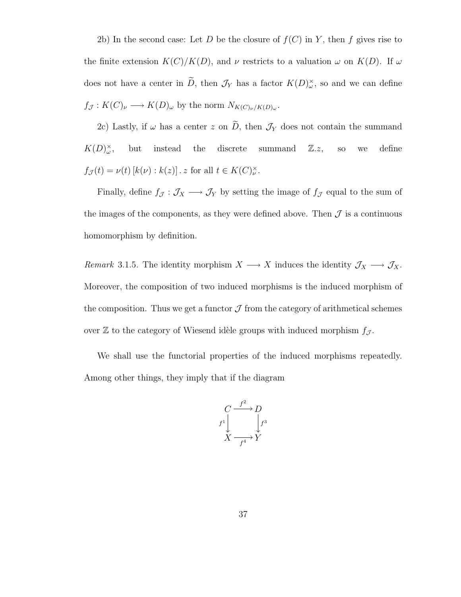2b) In the second case: Let D be the closure of  $f(C)$  in Y, then f gives rise to the finite extension  $K(C)/K(D)$ , and  $\nu$  restricts to a valuation  $\omega$  on  $K(D)$ . If  $\omega$ does not have a center in  $\tilde{D}$ , then  $\mathcal{J}_Y$  has a factor  $K(D)_{\omega}^{\times}$ , so and we can define  $f_{\mathcal{J}}: K(C)_{\nu} \longrightarrow K(D)_{\omega}$  by the norm  $N_{K(C)_{\nu}/K(D)_{\omega}}$ .

2c) Lastly, if  $\omega$  has a center z on  $\widetilde{D}$ , then  $\mathcal{J}_Y$  does not contain the summand  $K(D)_{\omega}^{\times}$ but instead the discrete summand  $\mathbb{Z}.z$ , so we define  $f_{\mathcal{J}}(t) = \nu(t) [k(\nu) : k(z)]$ . z for all  $t \in K(C)_{\nu}^{\times}$ .

Finally, define  $f_{\mathcal{J}}: \mathcal{J}_X \longrightarrow \mathcal{J}_Y$  by setting the image of  $f_{\mathcal{J}}$  equal to the sum of the images of the components, as they were defined above. Then  $\mathcal J$  is a continuous homomorphism by definition.

Remark 3.1.5. The identity morphism  $X \longrightarrow X$  induces the identity  $\mathcal{J}_X \longrightarrow \mathcal{J}_X$ . Moreover, the composition of two induced morphisms is the induced morphism of the composition. Thus we get a functor  $\mathcal J$  from the category of arithmetical schemes over  $\mathbb Z$  to the category of Wiesend idèle groups with induced morphism  $f_{\mathcal J}$ .

We shall use the functorial properties of the induced morphisms repeatedly. Among other things, they imply that if the diagram

$$
\begin{array}{ccc}\nC & \xrightarrow{f^2} & D \\
\downarrow f^1 & & \downarrow f^3 \\
X & \xrightarrow{f^4} & Y\n\end{array}
$$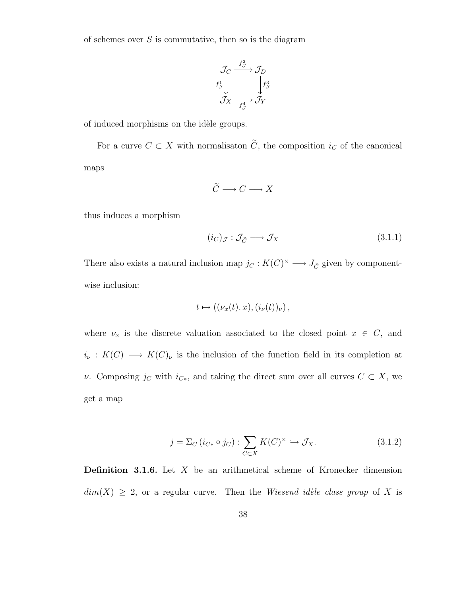of schemes over  $S$  is commutative, then so is the diagram

$$
\begin{array}{ccc}\n\mathcal{J}_C & \xrightarrow{f^2_{\mathcal{J}}} & \mathcal{J}_D \\
f^1_{\mathcal{J}} & & f^3_{\mathcal{J}} \\
\mathcal{J}_X & \xrightarrow{f^4_{\mathcal{J}}} & \mathcal{J}_Y\n\end{array}
$$

of induced morphisms on the idèle groups.

For a curve  $C \subset X$  with normalisaton  $\widetilde{C}$ , the composition  $i_C$  of the canonical maps

$$
\widetilde{C} \longrightarrow C \longrightarrow X
$$

thus induces a morphism

$$
(i_C)_{\mathcal{J}} : \mathcal{J}_{\widetilde{C}} \longrightarrow \mathcal{J}_X \tag{3.1.1}
$$

There also exists a natural inclusion map  $j_C : K(C)^{\times} \longrightarrow J_{\widetilde{C}}$  given by componentwise inclusion:

$$
t\mapsto ((\nu_x(t).x),(i_{\nu}(t))_{\nu}),
$$

where  $\nu_x$  is the discrete valuation associated to the closed point  $x \in C$ , and  $i_{\nu}: K(C) \longrightarrow K(C)_{\nu}$  is the inclusion of the function field in its completion at  $ν$ . Composing  $j<sub>C</sub>$  with  $i<sub>C∗</sub>$ , and taking the direct sum over all curves  $C \subset X$ , we get a map

$$
j = \Sigma_C (i_{C*} \circ j_C) : \sum_{C \subset X} K(C)^{\times} \hookrightarrow \mathcal{J}_X.
$$
 (3.1.2)

**Definition 3.1.6.** Let  $X$  be an arithmetical scheme of Kronecker dimension  $dim(X) \geq 2$ , or a regular curve. Then the Wiesend idèle class group of X is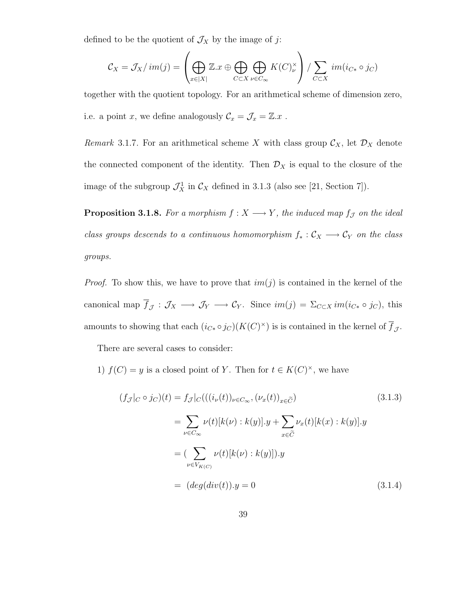defined to be the quotient of  $\mathcal{J}_X$  by the image of  $j\colon$ 

$$
C_X = \mathcal{J}_X / im(j) = \left( \bigoplus_{x \in |X|} \mathbb{Z}.x \oplus \bigoplus_{C \subset X} \bigoplus_{\nu \in C_{\infty}} K(C)_{\nu}^{\times} \right) / \sum_{C \subset X} im(i_{C*} \circ j_C)
$$

together with the quotient topology. For an arithmetical scheme of dimension zero, i.e. a point  $x$ , we define analogously  $\mathcal{C}_x = \mathcal{J}_x = \mathbb{Z}.x$ .

Remark 3.1.7. For an arithmetical scheme X with class group  $\mathcal{C}_X$ , let  $\mathcal{D}_X$  denote the connected component of the identity. Then  $\mathcal{D}_X$  is equal to the closure of the image of the subgroup  $\mathcal{J}_X^1$  in  $\mathcal{C}_X$  defined in 3.1.3 (also see [21, Section 7]).

**Proposition 3.1.8.** For a morphism  $f : X \longrightarrow Y$ , the induced map  $f_{\mathcal{J}}$  on the ideal class groups descends to a continuous homomorphism  $f_* : C_X \longrightarrow C_Y$  on the class groups.

*Proof.* To show this, we have to prove that  $im(j)$  is contained in the kernel of the canonical map  $\overline{f}_{\mathcal{J}} : \mathcal{J}_X \longrightarrow \mathcal{J}_Y \longrightarrow \mathcal{C}_Y$ . Since  $im(j) = \sum_{C \subset X} im(i_{C*} \circ j_C)$ , this amounts to showing that each  $(i_{C*} \circ j_C)(K(C)^{\times})$  is is contained in the kernel of  $\overline{f}_{\mathcal{J}}$ .

There are several cases to consider:

1)  $f(C) = y$  is a closed point of Y. Then for  $t \in K(C)^{\times}$ , we have

$$
(f_{\mathcal{J}}|_{C} \circ j_{C})(t) = f_{\mathcal{J}}|_{C}(((i_{\nu}(t))_{\nu \in C_{\infty}}, (\nu_{x}(t))_{x \in \widetilde{C}}))
$$
(3.1.3)  

$$
= \sum_{\nu \in C_{\infty}} \nu(t)[k(\nu) : k(y)].y + \sum_{x \in \widetilde{C}} \nu_{x}(t)[k(x) : k(y)].y
$$
  

$$
= (\sum_{\nu \in V_{K(C)}} \nu(t)[k(\nu) : k(y)]).y
$$
  

$$
= (deg(div(t)).y = 0
$$
(3.1.4)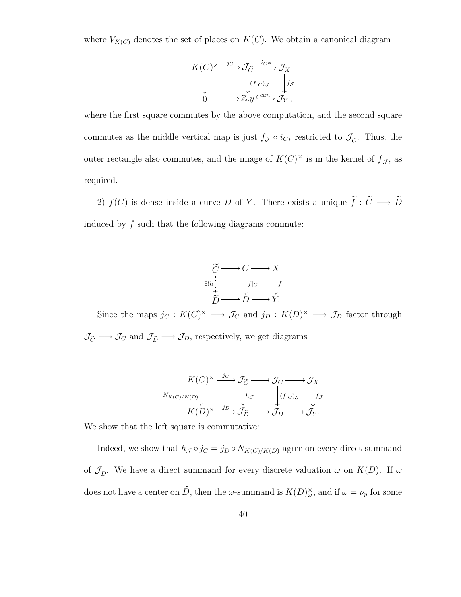where  $V_{K(C)}$  denotes the set of places on  $K(C)$ . We obtain a canonical diagram

$$
K(C)^{\times} \xrightarrow{j_C} \mathcal{J}_{\widetilde{C}} \xrightarrow{i_C*} \mathcal{J}_X
$$
  
\n
$$
\downarrow \qquad \qquad \downarrow f_{\mathcal{J}}
$$
  
\n
$$
\downarrow \qquad \qquad \downarrow f_{\mathcal{J}}
$$
  
\n
$$
\downarrow \qquad \qquad \downarrow f_{\mathcal{J}}
$$
  
\n
$$
\downarrow \qquad \qquad \downarrow f_{\mathcal{J}}
$$

where the first square commutes by the above computation, and the second square commutes as the middle vertical map is just  $f_{\mathcal{J}} \circ i_{C*}$  restricted to  $\mathcal{J}_{\tilde{C}}$ . Thus, the outer rectangle also commutes, and the image of  $K(C)^{\times}$  is in the kernel of  $\overline{f}_{\mathcal{J}}$ , as required.

2)  $f(C)$  is dense inside a curve D of Y. There exists a unique  $\tilde{f}: \tilde{C} \longrightarrow \tilde{D}$ induced by  $f$  such that the following diagrams commute:

$$
\widetilde{C} \longrightarrow C \longrightarrow X
$$
  
\n
$$
\exists! h \downarrow \downarrow \downarrow \downarrow
$$
  
\n
$$
\widetilde{D} \longrightarrow D \longrightarrow Y.
$$

Since the maps  $j_C: K(C)^{\times} \longrightarrow \mathcal{J}_C$  and  $j_D: K(D)^{\times} \longrightarrow \mathcal{J}_D$  factor through  $\mathcal{J}_{\widetilde{C}}\longrightarrow\mathcal{J}_{C}$  and  $\mathcal{J}_{\widetilde{D}}\longrightarrow\mathcal{J}_{D},$  respectively, we get diagrams

$$
K(C)^{\times} \xrightarrow{j_C} \mathcal{J}_{\widetilde{C}} \longrightarrow \mathcal{J}_{C} \longrightarrow \mathcal{J}_{X}
$$
  

$$
N_{K(C)/K(D)} \downarrow \qquad \qquad \downarrow h_{\mathcal{J}} \qquad \qquad \downarrow (f|_{C})_{\mathcal{J}} \qquad \downarrow f_{\mathcal{J}}
$$
  

$$
K(D)^{\times} \xrightarrow{j_D} \mathcal{J}_{\widetilde{D}} \longrightarrow \mathcal{J}_{D} \longrightarrow \mathcal{J}_{Y}.
$$

We show that the left square is commutative:

Indeed, we show that  $h_{\mathcal{J}} \circ j_C = j_D \circ N_{K(C)/K(D)}$  agree on every direct summand of  $\mathcal{J}_{\tilde{D}}$ . We have a direct summand for every discrete valuation  $\omega$  on  $K(D)$ . If  $\omega$ does not have a center on  $\tilde{D}$ , then the  $\omega$ -summand is  $K(D)_{\omega}^{\times}$ , and if  $\omega = \nu_{\tilde{y}}$  for some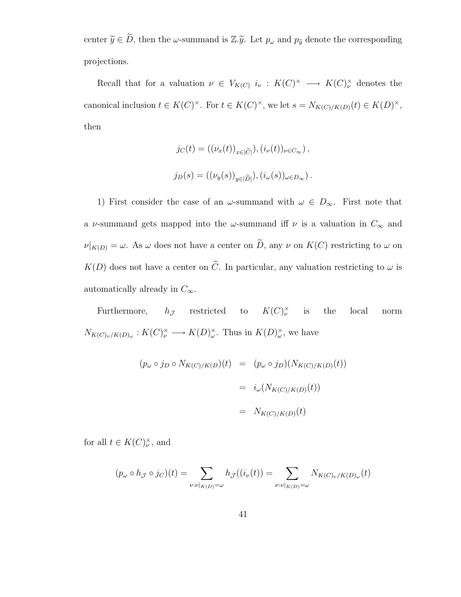center  $\tilde{y} \in \tilde{D}$ , then the  $\omega$ -summand is  $\mathbb{Z}.\tilde{y}$ . Let  $p_{\omega}$  and  $p_{\tilde{y}}$  denote the corresponding projections.

Recall that for a valuation  $\nu \in V_{K(C)}$   $i_{\nu} : K(C)^{\times} \longrightarrow K(C)^{\times}_{\nu}$  denotes the canonical inclusion  $t \in K(C)^{\times}$ . For  $t \in K(C)^{\times}$ , we let  $s = N_{K(C)/K(D)}(t) \in K(D)^{\times}$ , then

$$
j_C(t) = ((\nu_x(t))_{x \in |\widetilde{C}|}), (i_{\nu}(t))_{\nu \in C_{\infty}}),
$$
  

$$
j_D(s) = ((\nu_y(s))_{y \in |\widetilde{D}|}), (i_{\omega}(s))_{\omega \in D_{\infty}}).
$$

1) First consider the case of an  $\omega$ -summand with  $\omega \in D_{\infty}$ . First note that a v-summand gets mapped into the  $\omega$ -summand iff  $\nu$  is a valuation in  $C_{\infty}$  and  $\nu|_{K(D)} = \omega$ . As  $\omega$  does not have a center on  $\widetilde{D}$ , any  $\nu$  on  $K(C)$  restricting to  $\omega$  on  $K(D)$  does not have a center on  $\tilde{C}$ . In particular, any valuation restricting to  $\omega$  is automatically already in  $C_{\infty}$ .

Furthermore,  $h_{\mathcal{J}}$  restricted to  $K(C)^{\times}_{\nu}$ the local norm  $N_{K(C)\nu/K(D)\omega}: K(C)_{\nu}^{\times} \longrightarrow K(D)_{\omega}^{\times}$ . Thus in  $K(D)_{\omega}^{\times}$ , we have

$$
(p_{\omega} \circ j_D \circ N_{K(C)/K(D)}(t) = (p_{\omega} \circ j_D)(N_{K(C)/K(D)}(t))
$$

$$
= i_{\omega}(N_{K(C)/K(D)}(t))
$$

$$
= N_{K(C)/K(D)}(t)
$$

for all  $t \in K(C)_{\nu}^{\times}$ , and

$$
(p_{\omega} \circ h_{\mathcal{J}} \circ j_{C})(t) = \sum_{\nu : \nu|_{K(D)} = \omega} h_{\mathcal{J}}((i_{\nu}(t)) = \sum_{\nu : \nu|_{K(D)} = \omega} N_{K(C)_{\nu}/K(D)_{\omega}}(t)
$$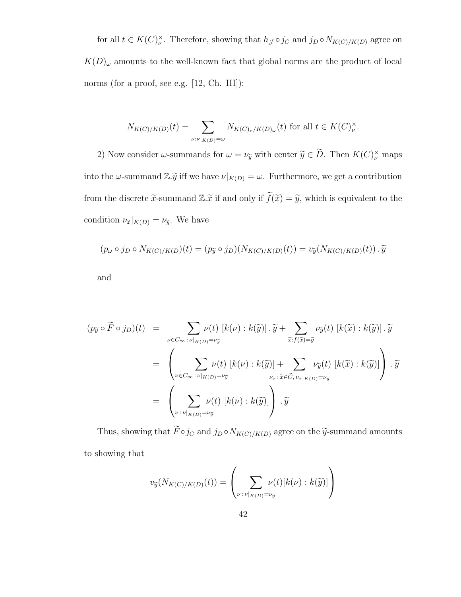for all  $t \in K(C)_{\nu}^{\times}$ . Therefore, showing that  $h_{\mathcal{J}} \circ j_{C}$  and  $j_{D} \circ N_{K(C)/K(D)}$  agree on  $K(D)_{\omega}$  amounts to the well-known fact that global norms are the product of local norms (for a proof, see e.g. [12, Ch. III]):

$$
N_{K(C)/K(D)}(t) = \sum_{\nu:\nu|_{K(D)}=\omega} N_{K(C)\nu/K(D)\omega}(t) \text{ for all } t \in K(C)_{\nu}^{\times}.
$$

2) Now consider  $\omega$ -summands for  $\omega = \nu_{\tilde{y}}$  with center  $\tilde{y} \in D$ . Then  $K(C)^{\times}_{\nu}$  maps into the  $\omega$ -summand  $\mathbb{Z}\tilde{y}$  iff we have  $\nu|_{K(D)} = \omega$ . Furthermore, we get a contribution from the discrete  $\tilde{x}$ -summand  $\mathbb{Z}.\tilde{x}$  if and only if  $\tilde{f}(\tilde{x}) = \tilde{y}$ , which is equivalent to the condition  $\nu_{\widetilde{x}}|_{K(D)} = \nu_{\widetilde{y}}$ . We have

$$
(p_{\omega} \circ j_D \circ N_{K(C)/K(D)}(t) = (p_{\widetilde{y}} \circ j_D)(N_{K(C)/K(D)}(t)) = v_{\widetilde{y}}(N_{K(C)/K(D)}(t)) \cdot \widetilde{y}
$$

and

$$
(p_{\widetilde{y}} \circ \widetilde{F} \circ j_{D})(t) = \sum_{\nu \in C_{\infty} : \nu|_{K(D)} = \nu_{\widetilde{y}}} \nu(t) [k(\nu) : k(\widetilde{y})] \cdot \widetilde{y} + \sum_{\widetilde{x}: f(\widetilde{x}) = \widetilde{y}} \nu_{\widetilde{y}}(t) [k(\widetilde{x}) : k(\widetilde{y})] \cdot \widetilde{y}
$$
  
\n
$$
= \left( \sum_{\nu \in C_{\infty} : \nu|_{K(D)} = \nu_{\widetilde{y}}} \nu(t) [k(\nu) : k(\widetilde{y})] + \sum_{\nu_{\widetilde{x}} : \widetilde{x} \in \widetilde{C}, \nu_{\widetilde{x}}|_{K(D)} = \nu_{\widetilde{y}}} \nu_{\widetilde{y}}(t) [k(\widetilde{x}) : k(\widetilde{y})] \right) \cdot \widetilde{y}
$$
  
\n
$$
= \left( \sum_{\nu : \nu|_{K(D)} = \nu_{\widetilde{y}}} \nu(t) [k(\nu) : k(\widetilde{y})] \right) \cdot \widetilde{y}
$$

Thus, showing that  $\widetilde{F} \circ j_C$  and  $j_D \circ N_{K(C)/K(D)}$  agree on the  $\widetilde{y}$ -summand amounts to showing that

$$
v_{\widetilde{y}}(N_{K(C)/K(D)}(t)) = \left(\sum_{\nu \,:\, \nu|_{K(D)} = \nu_{\widetilde{y}}} \nu(t)[k(\nu):k(\widetilde{y})]\right)
$$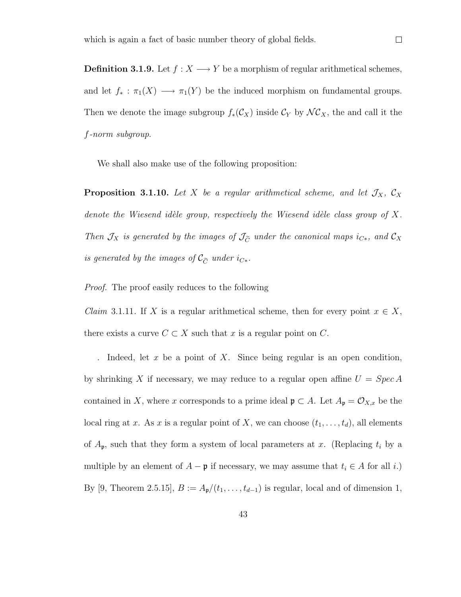**Definition 3.1.9.** Let  $f : X \longrightarrow Y$  be a morphism of regular arithmetical schemes, and let  $f_* : \pi_1(X) \longrightarrow \pi_1(Y)$  be the induced morphism on fundamental groups. Then we denote the image subgroup  $f_*(\mathcal{C}_X)$  inside  $\mathcal{C}_Y$  by  $\mathcal{NC}_X$ , the and call it the f-norm subgroup.

We shall also make use of the following proposition:

**Proposition 3.1.10.** Let X be a regular arithmetical scheme, and let  $\mathcal{J}_X$ ,  $\mathcal{C}_X$ denote the Wiesend idèle group, respectively the Wiesend idèle class group of  $X$ . Then  $\mathcal{J}_X$  is generated by the images of  $\mathcal{J}_{\tilde{C}}$  under the canonical maps  $i_{C*}$ , and  $\mathcal{C}_X$ is generated by the images of  $\mathcal{C}_{\widetilde{C}}$  under  $i_{C*}.$ 

Proof. The proof easily reduces to the following

*Claim* 3.1.11. If X is a regular arithmetical scheme, then for every point  $x \in X$ , there exists a curve  $C \subset X$  such that x is a regular point on C.

. Indeed, let  $x$  be a point of  $X$ . Since being regular is an open condition, by shrinking X if necessary, we may reduce to a regular open affine  $U = Spec A$ contained in X, where x corresponds to a prime ideal  $\mathfrak{p} \subset A$ . Let  $A_{\mathfrak{p}} = \mathcal{O}_{X,x}$  be the local ring at x. As x is a regular point of X, we can choose  $(t_1, \ldots, t_d)$ , all elements of  $A_{\mathfrak{p}}$ , such that they form a system of local parameters at x. (Replacing  $t_i$  by a multiple by an element of  $A - \mathfrak{p}$  if necessary, we may assume that  $t_i \in A$  for all i.) By [9, Theorem 2.5.15],  $B := A_{p}/(t_1, \ldots, t_{d-1})$  is regular, local and of dimension 1,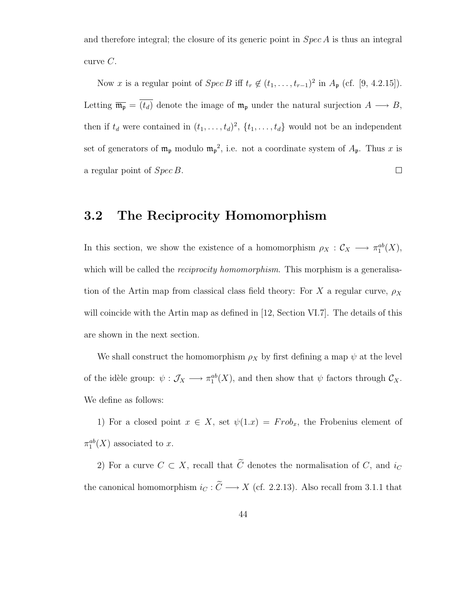and therefore integral; the closure of its generic point in  $Spec A$  is thus an integral curve  $C$ .

Now x is a regular point of  $Spec B$  iff  $t_r \notin (t_1, \ldots, t_{r-1})^2$  in  $A_{\mathfrak{p}}$  (cf. [9, 4.2.15]). Letting  $\overline{\mathfrak{m}_{\mathfrak{p}}} = \overline{(t_d)}$  denote the image of  $\mathfrak{m}_{\mathfrak{p}}$  under the natural surjection  $A \longrightarrow B$ , then if  $t_d$  were contained in  $(t_1, \ldots, t_d)^2$ ,  $\{t_1, \ldots, t_d\}$  would not be an independent set of generators of  $\mathfrak{m}_{\mathfrak{p}}$  modulo  $\mathfrak{m}_{\mathfrak{p}}^2$ , i.e. not a coordinate system of  $A_{\mathfrak{p}}$ . Thus x is a regular point of Spec B.  $\Box$ 

### 3.2 The Reciprocity Homomorphism

In this section, we show the existence of a homomorphism  $\rho_X : \mathcal{C}_X \longrightarrow \pi_1^{ab}(X)$ , which will be called the *reciprocity homomorphism*. This morphism is a generalisation of the Artin map from classical class field theory: For X a regular curve,  $\rho_X$ will coincide with the Artin map as defined in [12, Section VI.7]. The details of this are shown in the next section.

We shall construct the homomorphism  $\rho_X$  by first defining a map  $\psi$  at the level of the idèle group:  $\psi : \mathcal{J}_X \longrightarrow \pi_1^{ab}(X)$ , and then show that  $\psi$  factors through  $\mathcal{C}_X$ . We define as follows:

1) For a closed point  $x \in X$ , set  $\psi(1.x) = Frob_x$ , the Frobenius element of  $\pi_1^{ab}(X)$  associated to x.

2) For a curve  $C \subset X$ , recall that  $\widetilde{C}$  denotes the normalisation of C, and  $i_C$ the canonical homomorphism  $i_C : \widetilde{C} \longrightarrow X$  (cf. 2.2.13). Also recall from 3.1.1 that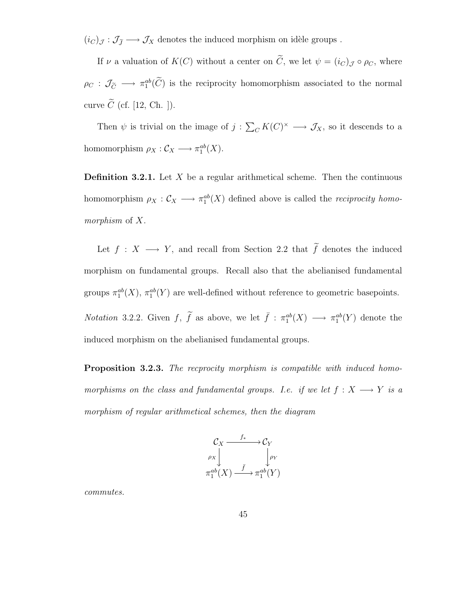$(i_C)_{\mathcal{J}} : \mathcal{J}_{\widetilde{J}} \longrightarrow \mathcal{J}_X$  denotes the induced morphism on idèle groups.

If  $\nu$  a valuation of  $K(C)$  without a center on  $\tilde{C}$ , we let  $\psi = (i_C)_{\mathcal{J}} \circ \rho_C$ , where  $\rho_C: \mathcal{J}_{\widetilde{C}} \longrightarrow \pi_1^{ab}(\widetilde{C})$  is the reciprocity homomorphism associated to the normal curve  $\widetilde{C}$  (cf. [12, Ch. ]).

Then  $\psi$  is trivial on the image of  $j: \sum_{C} K(C)^{\times} \longrightarrow \mathcal{J}_X$ , so it descends to a homomorphism  $\rho_X : \mathcal{C}_X \longrightarrow \pi_1^{ab}(X)$ .

**Definition 3.2.1.** Let X be a regular arithmetical scheme. Then the continuous homomorphism  $\rho_X : C_X \longrightarrow \pi_1^{ab}(X)$  defined above is called the *reciprocity homo*morphism of X.

Let  $f : X \longrightarrow Y$ , and recall from Section 2.2 that  $\widetilde{f}$  denotes the induced morphism on fundamental groups. Recall also that the abelianised fundamental groups  $\pi_1^{ab}(X)$ ,  $\pi_1^{ab}(Y)$  are well-defined without reference to geometric basepoints. *Notation* 3.2.2. Given  $f$ ,  $\tilde{f}$  as above, we let  $\bar{f}$  :  $\pi_1^{ab}(X) \longrightarrow \pi_1^{ab}(Y)$  denote the induced morphism on the abelianised fundamental groups.

Proposition 3.2.3. The recprocity morphism is compatible with induced homomorphisms on the class and fundamental groups. I.e. if we let  $f : X \longrightarrow Y$  is a morphism of regular arithmetical schemes, then the diagram



commutes.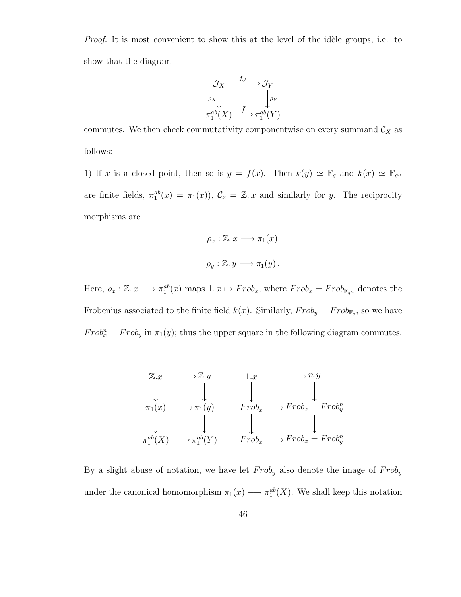*Proof.* It is most convenient to show this at the level of the idèle groups, i.e. to show that the diagram



commutes. We then check commutativity componentwise on every summand  $\mathcal{C}_X$  as follows:

1) If x is a closed point, then so is  $y = f(x)$ . Then  $k(y) \simeq \mathbb{F}_q$  and  $k(x) \simeq \mathbb{F}_{q^n}$ are finite fields,  $\pi_1^{ab}(x) = \pi_1(x)$ ,  $\mathcal{C}_x = \mathbb{Z}$ . x and similarly for y. The reciprocity morphisms are

$$
\rho_x : \mathbb{Z}. x \longrightarrow \pi_1(x)
$$
  

$$
\rho_y : \mathbb{Z}. y \longrightarrow \pi_1(y).
$$

Here,  $\rho_x : \mathbb{Z}. x \longrightarrow \pi_1^{ab}(x)$  maps  $1. x \mapsto Frob_x$ , where  $Frob_x = Frob_{\mathbb{F}_{q^n}}$  denotes the Frobenius associated to the finite field  $k(x)$ . Similarly,  $Frob_{\mathbb{F}_q}$ , so we have  $Frob_x^n = Frob_y$  in  $\pi_1(y)$ ; thus the upper square in the following diagram commutes.



By a slight abuse of notation, we have let  $Frob_y$  also denote the image of  $Frob_y$ under the canonical homomorphism  $\pi_1(x) \longrightarrow \pi_1^{ab}(X)$ . We shall keep this notation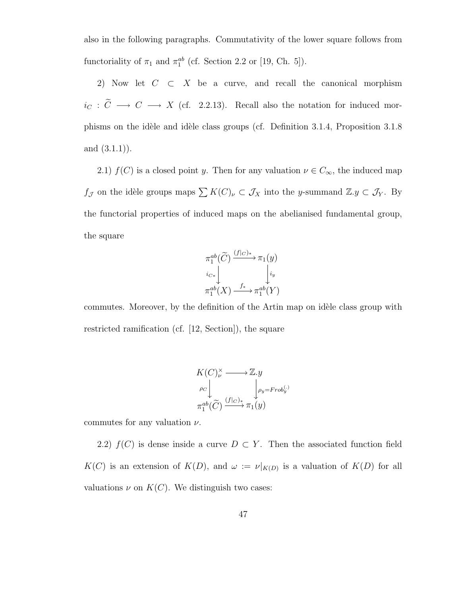also in the following paragraphs. Commutativity of the lower square follows from functoriality of  $\pi_1$  and  $\pi_1^{ab}$  (cf. Section 2.2 or [19, Ch. 5]).

2) Now let  $C \subset X$  be a curve, and recall the canonical morphism  $i_C : \widetilde{C} \longrightarrow C \longrightarrow X$  (cf. 2.2.13). Recall also the notation for induced morphisms on the idèle and idèle class groups (cf. Definition 3.1.4, Proposition 3.1.8 and  $(3.1.1)$ .

2.1)  $f(C)$  is a closed point y. Then for any valuation  $\nu \in C_{\infty}$ , the induced map  $f_{\mathcal{J}}$  on the idèle groups maps  $\sum K(C)_{\nu} \subset \mathcal{J}_X$  into the y-summand  $\mathbb{Z}.y \subset \mathcal{J}_Y$ . By the functorial properties of induced maps on the abelianised fundamental group, the square

$$
\pi_1^{ab}(\widetilde{C}) \xrightarrow{(f|C)*} \pi_1(y)
$$
\n
$$
i_{C*} \downarrow \qquad \qquad i_{y}
$$
\n
$$
\pi_1^{ab}(X) \xrightarrow{f_*} \pi_1^{ab}(Y)
$$

commutes. Moreover, by the definition of the Artin map on idèle class group with restricted ramification (cf. [12, Section]), the square

$$
K(C)_{\nu}^{\times} \longrightarrow \mathbb{Z}.y
$$
  
\n
$$
\rho_C \downarrow \qquad \qquad \downarrow \rho_y = \text{Frob}_{y}^{(.)}
$$
  
\n
$$
\pi_1^{ab}(\widetilde{C}) \xrightarrow{(f|_{C})_*} \pi_1(y)
$$

commutes for any valuation  $\nu$ .

2.2)  $f(C)$  is dense inside a curve  $D \subset Y$ . Then the associated function field  $K(C)$  is an extension of  $K(D)$ , and  $\omega := \nu|_{K(D)}$  is a valuation of  $K(D)$  for all valuations  $\nu$  on  $K(C)$ . We distinguish two cases: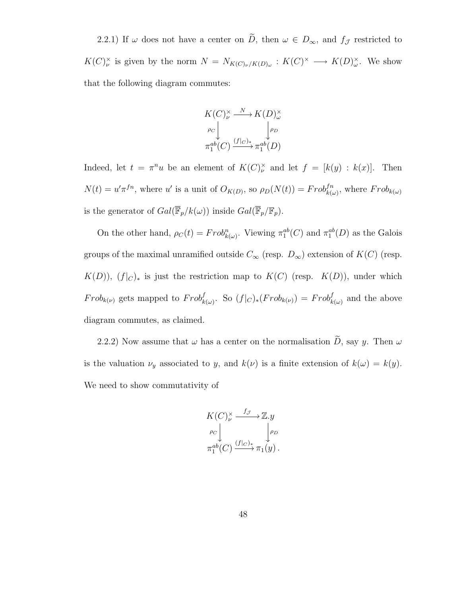2.2.1) If  $\omega$  does not have a center on  $\widetilde{D}$ , then  $\omega \in D_{\infty}$ , and  $f_{\mathcal{J}}$  restricted to  $K(C)_{\nu}^{\times}$  is given by the norm  $N = N_{K(C)\nu/K(D)\omega} : K(C)^{\times} \longrightarrow K(D)_{\omega}^{\times}$ . We show that the following diagram commutes:

$$
K(C)_{\nu}^{\times} \xrightarrow{N} K(D)_{\omega}^{\times}
$$
  
\n
$$
\rho_C \downarrow \qquad \qquad \downarrow \rho_D
$$
  
\n
$$
\pi_1^{ab}(C) \xrightarrow{(f|_C)_*} \pi_1^{ab}(D)
$$

Indeed, let  $t = \pi^n u$  be an element of  $K(C)_{\nu}^{\times}$  and let  $f = [k(y) : k(x)]$ . Then  $N(t) = u'\pi^{fn}$ , where u' is a unit of  $O_{K(D)}$ , so  $\rho_D(N(t)) = Frob_{k(\omega)}^{fn}$ , where  $Frob_{k(\omega)}$ is the generator of  $Gal(\overline{\mathbb{F}}_p/k(\omega))$  inside  $Gal(\overline{\mathbb{F}}_p/\mathbb{F}_p)$ .

On the other hand,  $\rho_C(t) = Frob_{k(\omega)}^n$ . Viewing  $\pi_1^{ab}(C)$  and  $\pi_1^{ab}(D)$  as the Galois groups of the maximal unramified outside  $C_{\infty}$  (resp.  $D_{\infty}$ ) extension of  $K(C)$  (resp.  $K(D)$ ,  $(f|_C)_*$  is just the restriction map to  $K(C)$  (resp.  $K(D)$ ), under which  $Frob_{k(\nu)}$  gets mapped to  $Frob_{k(\omega)}^f$ . So  $(f|_C)_*(Frob_{k(\nu)}) = Frob_{k(\omega)}^f$  and the above diagram commutes, as claimed.

2.2.2) Now assume that  $\omega$  has a center on the normalisation  $\widetilde{D}$ , say y. Then  $\omega$ is the valuation  $\nu_y$  associated to y, and  $k(\nu)$  is a finite extension of  $k(\omega) = k(y)$ . We need to show commutativity of

$$
K(C)_{\nu}^{\times} \xrightarrow{f_{\mathcal{J}}} \mathbb{Z}.y
$$
  
\n
$$
\rho_C \downarrow \qquad \downarrow \rho_D
$$
  
\n
$$
\pi_1^{ab}(C) \xrightarrow{(f|_C)_*} \pi_1(y).
$$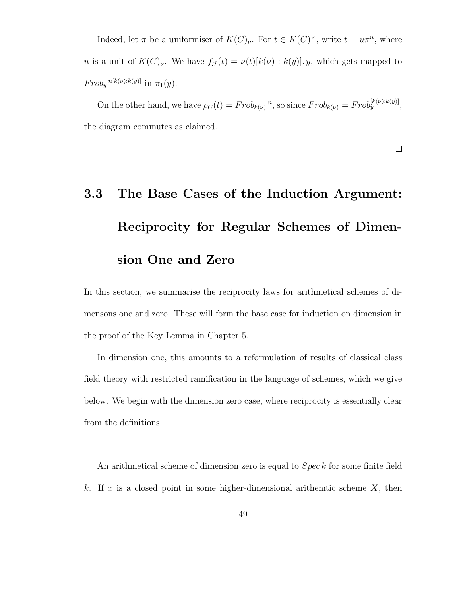Indeed, let  $\pi$  be a uniformiser of  $K(C)<sub>\nu</sub>$ . For  $t \in K(C)^{\times}$ , write  $t = u\pi^{n}$ , where u is a unit of  $K(C)<sub>\nu</sub>$ . We have  $f_{\mathcal{J}}(t) = \nu(t)[k(\nu): k(y)]$ . y, which gets mapped to  $Frob_y^{n[k(\nu):k(y)]}$  in  $\pi_1(y)$ .

On the other hand, we have  $\rho_C(t) = Frob_{k(\nu)}^n$ , so since  $Frob_{k(\nu)}^{\{k(\nu):k(y)\}}$ , the diagram commutes as claimed.

 $\Box$ 

## 3.3 The Base Cases of the Induction Argument: Reciprocity for Regular Schemes of Dimension One and Zero

In this section, we summarise the reciprocity laws for arithmetical schemes of dimensons one and zero. These will form the base case for induction on dimension in the proof of the Key Lemma in Chapter 5.

In dimension one, this amounts to a reformulation of results of classical class field theory with restricted ramification in the language of schemes, which we give below. We begin with the dimension zero case, where reciprocity is essentially clear from the definitions.

An arithmetical scheme of dimension zero is equal to *Spec k* for some finite field k. If x is a closed point in some higher-dimensional arithemtic scheme  $X$ , then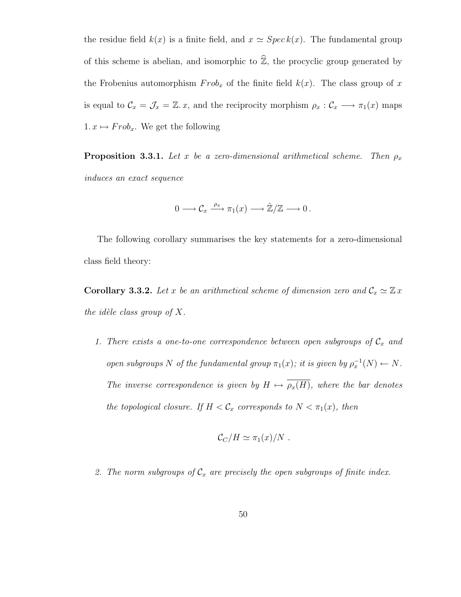the residue field  $k(x)$  is a finite field, and  $x \approx Spec k(x)$ . The fundamental group of this scheme is abelian, and isomorphic to  $\widehat{\mathbb{Z}}$ , the procyclic group generated by the Frobenius automorphism  $Frob_x$  of the finite field  $k(x)$ . The class group of x is equal to  $\mathcal{C}_x = \mathcal{J}_x = \mathbb{Z}$ . x, and the reciprocity morphism  $\rho_x : \mathcal{C}_x \longrightarrow \pi_1(x)$  maps 1.  $x \mapsto Frob_x$ . We get the following

**Proposition 3.3.1.** Let x be a zero-dimensional arithmetical scheme. Then  $\rho_x$ induces an exact sequence

$$
0 \longrightarrow \mathcal{C}_x \xrightarrow{\rho_x} \pi_1(x) \longrightarrow \hat{\mathbb{Z}}/\mathbb{Z} \longrightarrow 0.
$$

The following corollary summarises the key statements for a zero-dimensional class field theory:

**Corollary 3.3.2.** Let x be an arithmetical scheme of dimension zero and  $C_x \simeq \mathbb{Z} x$ the idèle class group of  $X$ .

1. There exists a one-to-one correspondence between open subgroups of  $C_x$  and open subgroups N of the fundamental group  $\pi_1(x)$ ; it is given by  $\rho_x^{-1}(N) \leftarrow N$ . The inverse correspondence is given by  $H \mapsto \overline{\rho_x(H)}$ , where the bar denotes the topological closure. If  $H < C_x$  corresponds to  $N < \pi_1(x)$ , then

$$
\mathcal{C}_C/H \simeq \pi_1(x)/N.
$$

2. The norm subgroups of  $C_x$  are precisely the open subgroups of finite index.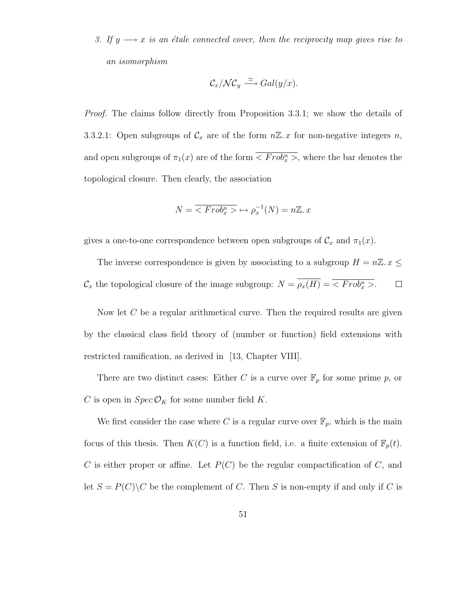3. If  $y \rightarrow x$  is an étale connected cover, then the reciprocity map gives rise to an isomorphism

$$
\mathcal{C}_x/\mathcal{NC}_y \stackrel{\simeq}{\longrightarrow} Gal(y/x).
$$

*Proof.* The claims follow directly from Proposition 3.3.1; we show the details of 3.3.2.1: Open subgroups of  $\mathcal{C}_x$  are of the form  $n\mathbb{Z}.x$  for non-negative integers n, and open subgroups of  $\pi_1(x)$  are of the form  $\overline{}$ , where the bar denotes the topological closure. Then clearly, the association

$$
N = \overline{Frob_x^n} > \overline{\rho_x}^1(N) = n\mathbb{Z}.x
$$

gives a one-to-one correspondence between open subgroups of  $\mathcal{C}_x$  and  $\pi_1(x)$ .

The inverse correspondence is given by associating to a subgroup  $H = n\mathbb{Z}$ .  $x \leq$  $\mathcal{C}_x$  the topological closure of the image subgroup:  $N = \rho_x(H) = \langle Frob_x^n \rangle$ .  $\Box$ 

Now let C be a regular arithmetical curve. Then the required results are given by the classical class field theory of (number or function) field extensions with restricted ramification, as derived in [13, Chapter VIII].

There are two distinct cases: Either C is a curve over  $\mathbb{F}_p$  for some prime p, or C is open in  $Spec \mathcal{O}_K$  for some number field K.

We first consider the case where C is a regular curve over  $\mathbb{F}_p$ , which is the main focus of this thesis. Then  $K(C)$  is a function field, i.e. a finite extension of  $\mathbb{F}_p(t)$ .  $C$  is either proper or affine. Let  $P(C)$  be the regular compactification of  $C$ , and let  $S = P(C) \backslash C$  be the complement of C. Then S is non-empty if and only if C is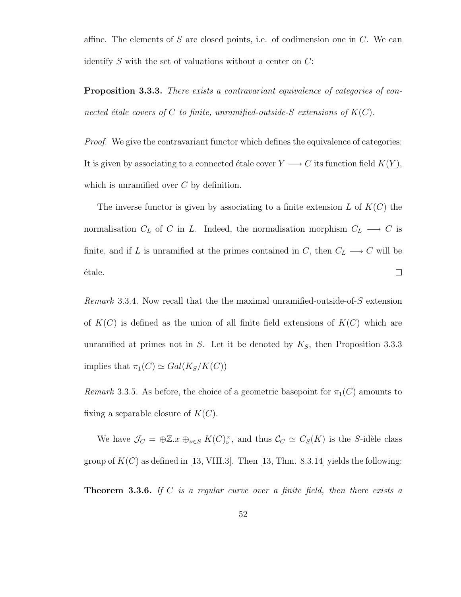affine. The elements of S are closed points, i.e. of codimension one in  $C$ . We can identify  $S$  with the set of valuations without a center on  $C$ :

**Proposition 3.3.3.** There exists a contravariant equivalence of categories of connected étale covers of C to finite, unramified-outside-S extensions of  $K(C)$ .

Proof. We give the contravariant functor which defines the equivalence of categories: It is given by associating to a connected étale cover  $Y\longrightarrow C$  its function field  $K(Y),$ which is unramified over  $C$  by definition.

The inverse functor is given by associating to a finite extension  $L$  of  $K(C)$  the normalisation  $C_L$  of C in L. Indeed, the normalisation morphism  $C_L \longrightarrow C$  is finite, and if L is unramified at the primes contained in C, then  $C_L \longrightarrow C$  will be étale.  $\Box$ 

Remark 3.3.4. Now recall that the the maximal unramified-outside-of-S extension of  $K(C)$  is defined as the union of all finite field extensions of  $K(C)$  which are unramified at primes not in S. Let it be denoted by  $K<sub>S</sub>$ , then Proposition 3.3.3 implies that  $\pi_1(C) \simeq Gal(K_S/K(C))$ 

Remark 3.3.5. As before, the choice of a geometric basepoint for  $\pi_1(C)$  amounts to fixing a separable closure of  $K(C)$ .

We have  $\mathcal{J}_C = \bigoplus \mathbb{Z}.x \bigoplus_{\nu \in S} K(C)_{\nu}^{\times}$ , and thus  $\mathcal{C}_C \simeq C_S(K)$  is the S-idèle class group of  $K(C)$  as defined in [13, VIII.3]. Then [13, Thm. 8.3.14] yields the following:

**Theorem 3.3.6.** If C is a regular curve over a finite field, then there exists a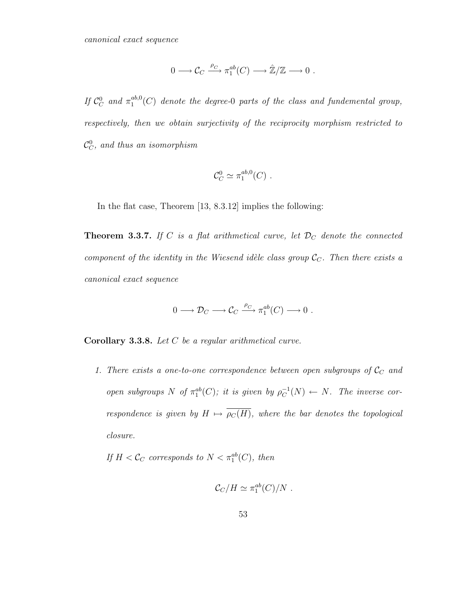$$
0 \longrightarrow \mathcal{C}_C \xrightarrow{\rho_C} \pi_1^{ab}(C) \longrightarrow \hat{\mathbb{Z}}/\mathbb{Z} \longrightarrow 0 .
$$

If  $\mathcal{C}_C^0$  and  $\pi_1^{ab,0}$  $_1^{ab,0}(C)$  denote the degree-0 parts of the class and fundemental group, respectively, then we obtain surjectivity of the reciprocity morphism restricted to  $\mathcal{C}_C^0$ , and thus an isomorphism

$$
\mathcal{C}_C^0 \simeq \pi_1^{ab,0}(C) \ .
$$

In the flat case, Theorem [13, 8.3.12] implies the following:

**Theorem 3.3.7.** If C is a flat arithmetical curve, let  $\mathcal{D}_C$  denote the connected component of the identity in the Wiesend idèle class group  $\mathcal{C}_C$ . Then there exists a canonical exact sequence

$$
0 \longrightarrow \mathcal{D}_C \longrightarrow \mathcal{C}_C \stackrel{\rho_C}{\longrightarrow} \pi_1^{ab}(C) \longrightarrow 0 .
$$

Corollary 3.3.8. Let C be a regular arithmetical curve.

1. There exists a one-to-one correspondence between open subgroups of  $\mathcal{C}_C$  and open subgroups N of  $\pi_1^{ab}(C)$ ; it is given by  $\rho_C^{-1}$  $_C^{-1}(N) \leftarrow N$ . The inverse correspondence is given by  $H \mapsto \overline{\rho_C(H)}$ , where the bar denotes the topological closure.

If  $H < C_C$  corresponds to  $N < \pi_1^{ab}(C)$ , then

$$
\mathcal{C}_C/H \simeq \pi_1^{ab}(C)/N.
$$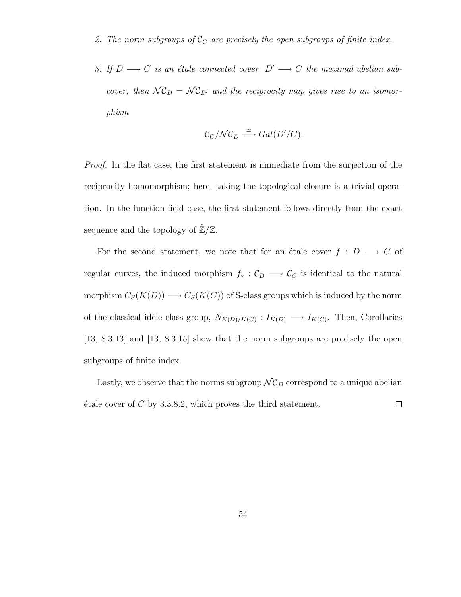- 2. The norm subgroups of  $\mathcal{C}_C$  are precisely the open subgroups of finite index.
- 3. If  $D \longrightarrow C$  is an étale connected cover,  $D' \longrightarrow C$  the maximal abelian subcover, then  $NC_D = NC_{D'}$  and the reciprocity map gives rise to an isomorphism

$$
\mathcal{C}_C/\mathcal{NC}_D \stackrel{\simeq}{\longrightarrow} Gal(D'/C).
$$

Proof. In the flat case, the first statement is immediate from the surjection of the reciprocity homomorphism; here, taking the topological closure is a trivial operation. In the function field case, the first statement follows directly from the exact sequence and the topology of  $\mathbb{Z}/\mathbb{Z}$ .

For the second statement, we note that for an étale cover  $f : D \longrightarrow C$  of regular curves, the induced morphism  $f_* : C_D \longrightarrow C_C$  is identical to the natural morphism  $C_S(K(D)) \longrightarrow C_S(K(C))$  of S-class groups which is induced by the norm of the classical idèle class group,  $N_{K(D)/K(C)}$ :  $I_{K(D)} \longrightarrow I_{K(C)}$ . Then, Corollaries [13, 8.3.13] and [13, 8.3.15] show that the norm subgroups are precisely the open subgroups of finite index.

Lastly, we observe that the norms subgroup  $\mathcal{NC}_D$  correspond to a unique abelian  $\acute{e}$ tale cover of C by 3.3.8.2, which proves the third statement.  $\Box$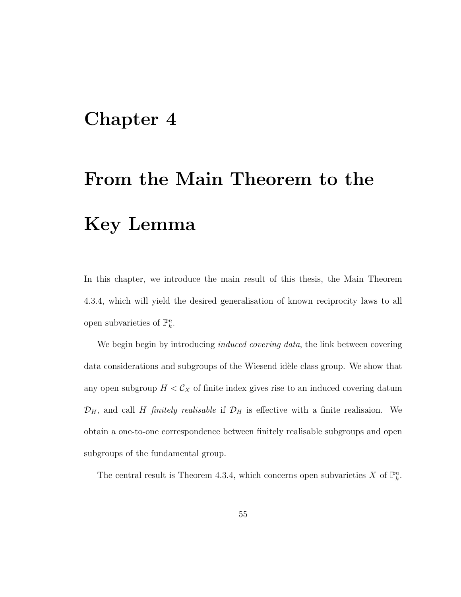## Chapter 4

# From the Main Theorem to the Key Lemma

In this chapter, we introduce the main result of this thesis, the Main Theorem 4.3.4, which will yield the desired generalisation of known reciprocity laws to all open subvarieties of  $\mathbb{P}_k^n$ .

We begin begin by introducing *induced covering data*, the link between covering data considerations and subgroups of the Wiesend idèle class group. We show that any open subgroup  $H < C_X$  of finite index gives rise to an induced covering datum  $\mathcal{D}_H$ , and call H finitely realisable if  $\mathcal{D}_H$  is effective with a finite realisaion. We obtain a one-to-one correspondence between finitely realisable subgroups and open subgroups of the fundamental group.

The central result is Theorem 4.3.4, which concerns open subvarieties X of  $\mathbb{P}_k^n$ .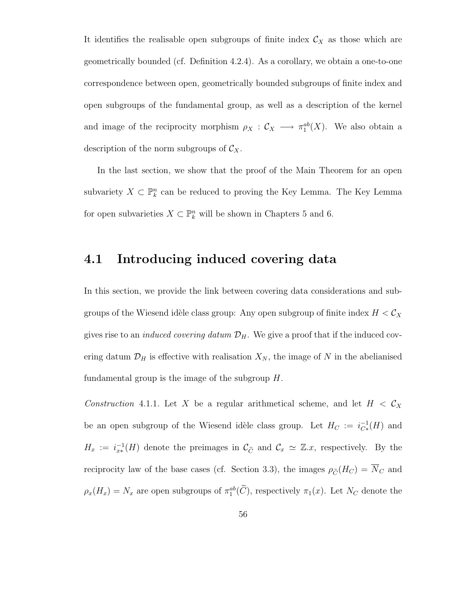It identifies the realisable open subgroups of finite index  $\mathcal{C}_X$  as those which are geometrically bounded (cf. Definition 4.2.4). As a corollary, we obtain a one-to-one correspondence between open, geometrically bounded subgroups of finite index and open subgroups of the fundamental group, as well as a description of the kernel and image of the reciprocity morphism  $\rho_X : \mathcal{C}_X \longrightarrow \pi_1^{ab}(X)$ . We also obtain a description of the norm subgroups of  $\mathcal{C}_X$ .

In the last section, we show that the proof of the Main Theorem for an open subvariety  $X \subset \mathbb{P}^n_k$  can be reduced to proving the Key Lemma. The Key Lemma for open subvarieties  $X \subset \mathbb{P}_k^n$  will be shown in Chapters 5 and 6.

### 4.1 Introducing induced covering data

In this section, we provide the link between covering data considerations and subgroups of the Wiesend idèle class group: Any open subgroup of finite index  $H < \mathcal{C}_X$ gives rise to an *induced covering datum*  $\mathcal{D}_H$ . We give a proof that if the induced covering datum  $\mathcal{D}_H$  is effective with realisation  $X_N$ , the image of N in the abelianised fundamental group is the image of the subgroup  $H$ .

Construction 4.1.1. Let X be a regular arithmetical scheme, and let  $H < C_X$ be an open subgroup of the Wiesend idèle class group. Let  $H_C := i_{C*}^{-1}$  $C^{1}_{*k*}(H)$  and  $H_x := i_{x*}^{-1}(H)$  denote the preimages in  $\mathcal{C}_{\tilde{C}}$  and  $\mathcal{C}_x \simeq \mathbb{Z}.x$ , respectively. By the reciprocity law of the base cases (cf. Section 3.3), the images  $\rho_{\tilde{C}}(H_C) = \overline{N}_C$  and  $\rho_x(H_x) = N_x$  are open subgroups of  $\pi_1^{ab}(\tilde{C})$ , respectively  $\pi_1(x)$ . Let  $N_C$  denote the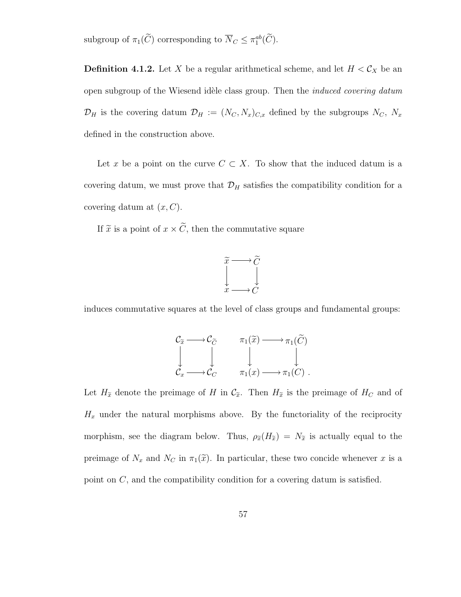subgroup of  $\pi_1(C)$  corresponding to  $\overline{N}_C \leq \pi_1^{ab}(\overline{C})$ .

**Definition 4.1.2.** Let X be a regular arithmetical scheme, and let  $H < C_X$  be an open subgroup of the Wiesend idèle class group. Then the *induced covering datum*  $\mathcal{D}_H$  is the covering datum  $\mathcal{D}_H := (N_C, N_x)_{C,x}$  defined by the subgroups  $N_C, N_x$ defined in the construction above.

Let x be a point on the curve  $C \subset X$ . To show that the induced datum is a covering datum, we must prove that  $\mathcal{D}_H$  satisfies the compatibility condition for a covering datum at  $(x, C)$ .

If  $\tilde{x}$  is a point of  $x \times \tilde{C}$ , then the commutative square



induces commutative squares at the level of class groups and fundamental groups:

$$
\begin{array}{ccc}\nC_{\widetilde{x}} & \longrightarrow C_{\widetilde{C}} & \pi_1(\widetilde{x}) \longrightarrow \pi_1(\widetilde{C}) \\
\downarrow & \downarrow & \downarrow & \downarrow \\
\mathcal{C}_x & \longrightarrow \mathcal{C}_C & \pi_1(x) \longrightarrow \pi_1(C)\n\end{array}.
$$

Let  $H_{\tilde{x}}$  denote the preimage of H in  $\mathcal{C}_{\tilde{x}}$ . Then  $H_{\tilde{x}}$  is the preimage of  $H_C$  and of  $H_x$  under the natural morphisms above. By the functoriality of the reciprocity morphism, see the diagram below. Thus,  $\rho_{\tilde{x}}(H_{\tilde{x}}) = N_{\tilde{x}}$  is actually equal to the preimage of  $N_x$  and  $N_c$  in  $\pi_1(\tilde{x})$ . In particular, these two concide whenever x is a point on C, and the compatibility condition for a covering datum is satisfied.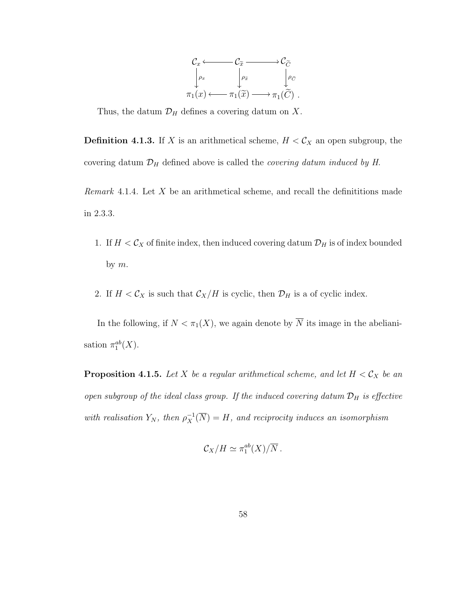

Thus, the datum  $\mathcal{D}_H$  defines a covering datum on X.

**Definition 4.1.3.** If X is an arithmetical scheme,  $H < C_X$  an open subgroup, the covering datum  $\mathcal{D}_H$  defined above is called the *covering datum induced by H*.

Remark 4.1.4. Let  $X$  be an arithmetical scheme, and recall the definitions made in 2.3.3.

- 1. If  $H < C_X$  of finite index, then induced covering datum  $\mathcal{D}_H$  is of index bounded by  $m$ .
- 2. If  $H < C_X$  is such that  $C_X/H$  is cyclic, then  $\mathcal{D}_H$  is a of cyclic index.

In the following, if  $N < \pi_1(X)$ , we again denote by  $\overline{N}$  its image in the abelianisation  $\pi_1^{ab}(X)$ .

**Proposition 4.1.5.** Let X be a regular arithmetical scheme, and let  $H < C_X$  be an open subgroup of the ideal class group. If the induced covering datum  $\mathcal{D}_H$  is effective with realisation  $Y_N$ , then  $\rho_X^{-1}(\overline{N}) = H$ , and reciprocity induces an isomorphism

$$
\mathcal{C}_X/H \simeq \pi_1^{ab}(X)/\overline{N}.
$$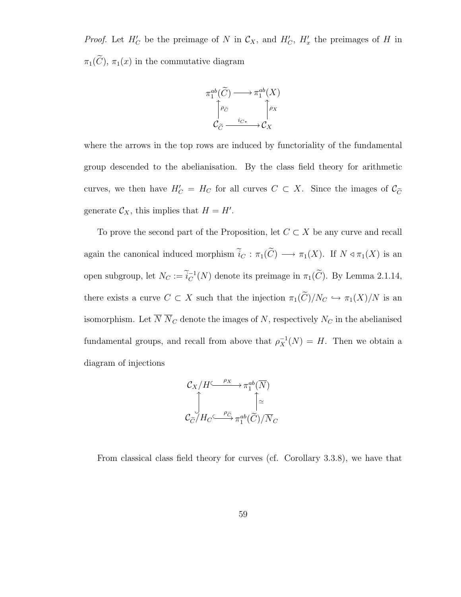*Proof.* Let  $H'_C$  be the preimage of N in  $\mathcal{C}_X$ , and  $H'_C$ ,  $H'_x$  the preimages of H in  $\pi_1(\widetilde{C})$ ,  $\pi_1(x)$  in the commutative diagram



where the arrows in the top rows are induced by functoriality of the fundamental group descended to the abelianisation. By the class field theory for arithmetic curves, we then have  $H'_C = H_C$  for all curves  $C \subset X$ . Since the images of  $\mathcal{C}_{\widetilde{C}}$ generate  $\mathcal{C}_X$ , this implies that  $H = H'$ .

To prove the second part of the Proposition, let  $C \subset X$  be any curve and recall again the canonical induced morphism  $\tilde{i}_C : \pi_1(\tilde{C}) \longrightarrow \pi_1(X)$ . If  $N \triangleleft \pi_1(X)$  is an open subgroup, let  $N_C := \widetilde{i}_C^{-1}$  $_C^{-1}(N)$  denote its preimage in  $\pi_1(C)$ . By Lemma 2.1.14, there exists a curve  $C \subset X$  such that the injection  $\pi_1(\widetilde{C})/N_C \hookrightarrow \pi_1(X)/N$  is an isomorphism. Let  $\overline{N}\ \overline{N}_C$  denote the images of  $N,$  respectively  $N_C$  in the abelianised fundamental groups, and recall from above that  $\rho_X^{-1}(N) = H$ . Then we obtain a diagram of injections

$$
\mathcal{C}_X/H \xrightarrow{\rho_X} \pi_1^{ab}(\overline{N})
$$

$$
\updownarrow \gtrsim
$$

$$
\mathcal{C}_{\widetilde{C}}/H_C \xrightarrow{\rho_{\widetilde{C}}} \pi_1^{ab}(\widetilde{C})/\overline{N}_C
$$

From classical class field theory for curves (cf. Corollary 3.3.8), we have that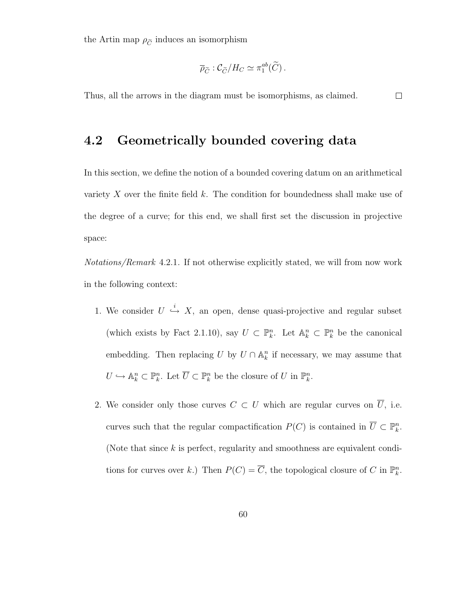the Artin map  $\rho_{\tilde{C}}$  induces an isomorphism

$$
\overline{\rho}_{\widetilde{C}}: \mathcal{C}_{\widetilde{C}}/H_C \simeq \pi_1^{ab}(\widetilde{C})\,.
$$

Thus, all the arrows in the diagram must be isomorphisms, as claimed.  $\Box$ 

### 4.2 Geometrically bounded covering data

In this section, we define the notion of a bounded covering datum on an arithmetical variety  $X$  over the finite field  $k$ . The condition for boundedness shall make use of the degree of a curve; for this end, we shall first set the discussion in projective space:

Notations/Remark 4.2.1. If not otherwise explicitly stated, we will from now work in the following context:

- 1. We consider  $U \stackrel{i}{\hookrightarrow} X$ , an open, dense quasi-projective and regular subset (which exists by Fact 2.1.10), say  $U \subset \mathbb{P}_k^n$ . Let  $\mathbb{A}_k^n \subset \mathbb{P}_k^n$  be the canonical embedding. Then replacing U by  $U \cap \mathbb{A}_k^n$  if necessary, we may assume that  $U \hookrightarrow \mathbb{A}^n_k \subset \mathbb{P}^n_k$ . Let  $\overline{U} \subset \mathbb{P}^n_k$  be the closure of  $U$  in  $\mathbb{P}^n_k$ .
- 2. We consider only those curves  $C \subset U$  which are regular curves on  $\overline{U}$ , i.e. curves such that the regular compactification  $P(C)$  is contained in  $\overline{U} \subset \mathbb{P}_k^n$ . (Note that since  $k$  is perfect, regularity and smoothness are equivalent conditions for curves over k.) Then  $P(C) = \overline{C}$ , the topological closure of C in  $\mathbb{P}_k^n$ .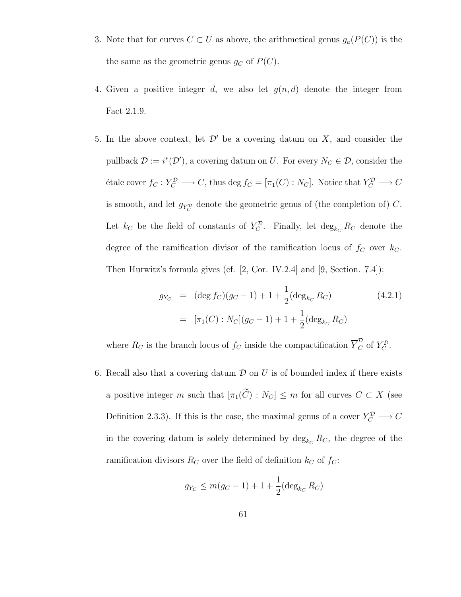- 3. Note that for curves  $C \subset U$  as above, the arithmetical genus  $g_a(P(C))$  is the the same as the geometric genus  $g_C$  of  $P(C)$ .
- 4. Given a positive integer d, we also let  $g(n, d)$  denote the integer from Fact 2.1.9.
- 5. In the above context, let  $\mathcal{D}'$  be a covering datum on X, and consider the pullback  $\mathcal{D} := i^*(\mathcal{D}')$ , a covering datum on U. For every  $N_C \in \mathcal{D}$ , consider the étale cover  $f_C : Y_C^D \longrightarrow C$ , thus deg  $f_C = [\pi_1(C) : N_C]$ . Notice that  $Y_C^D \longrightarrow C$ is smooth, and let  $g_{Y_C^{\mathcal{D}}}$  denote the geometric genus of (the completion of) C. Let  $k_C$  be the field of constants of  $Y_C^{\mathcal{D}}$ . Finally, let  $\deg_{k_C} R_C$  denote the degree of the ramification divisor of the ramification locus of  $f_C$  over  $k_C$ . Then Hurwitz's formula gives (cf. [2, Cor. IV.2.4] and [9, Section. 7.4]):

$$
g_{Y_C} = (\deg f_C)(g_C - 1) + 1 + \frac{1}{2}(\deg_{k_C} R_C)
$$
(4.2.1)  

$$
= [\pi_1(C) : N_C](g_C - 1) + 1 + \frac{1}{2}(\deg_{k_C} R_C)
$$

where  $R_C$  is the branch locus of  $f_C$  inside the compactification  $\overline{Y}_C^{\mathcal{D}}$  of  $Y_C^{\mathcal{D}}$ .

6. Recall also that a covering datum  $\mathcal D$  on  $U$  is of bounded index if there exists a positive integer m such that  $[\pi_1(\widetilde{C}) : N_C] \leq m$  for all curves  $C \subset X$  (see Definition 2.3.3). If this is the case, the maximal genus of a cover  $Y_C^{\mathcal{D}} \longrightarrow C$ in the covering datum is solely determined by  $\deg_{k_C} R_C$ , the degree of the ramification divisors  $R_C$  over the field of definition  $k_C$  of  $f_C$ :

$$
g_{Y_C} \le m(g_C - 1) + 1 + \frac{1}{2} (\deg_{k_C} R_C)
$$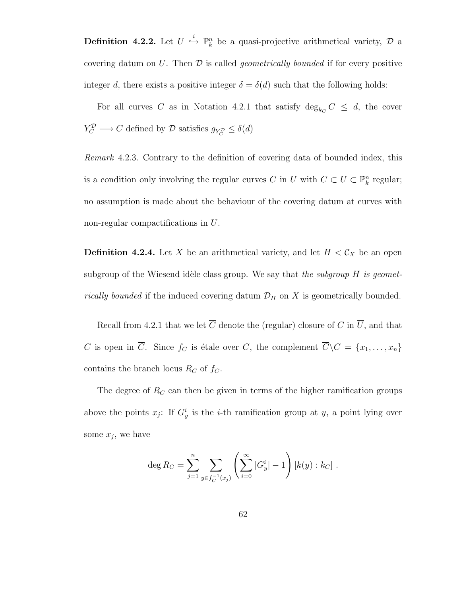**Definition 4.2.2.** Let  $U \stackrel{i}{\hookrightarrow} \mathbb{P}_k^n$  be a quasi-projective arithmetical variety,  $D$  a covering datum on U. Then  $\mathcal D$  is called *geometrically bounded* if for every positive integer d, there exists a positive integer  $\delta = \delta(d)$  such that the following holds:

For all curves C as in Notation 4.2.1 that satisfy  $\deg_{k_C} C \leq d$ , the cover  $Y_C^{\mathcal{D}} \longrightarrow C$  defined by  $\mathcal{D}$  satisfies  $g_{Y_C^{\mathcal{D}}} \leq \delta(d)$ 

Remark 4.2.3. Contrary to the definition of covering data of bounded index, this is a condition only involving the regular curves C in U with  $\overline{C} \subset \overline{U} \subset \mathbb{P}^n_k$  regular; no assumption is made about the behaviour of the covering datum at curves with non-regular compactifications in U.

**Definition 4.2.4.** Let X be an arithmetical variety, and let  $H < C_X$  be an open subgroup of the Wiesend idèle class group. We say that the subgroup  $H$  is geomet*rically bounded* if the induced covering datum  $\mathcal{D}_H$  on X is geometrically bounded.

Recall from 4.2.1 that we let  $\overline{C}$  denote the (regular) closure of C in  $\overline{U}$ , and that C is open in  $\overline{C}$ . Since  $f_C$  is étale over C, the complement  $\overline{C}\backslash C = \{x_1, \ldots, x_n\}$ contains the branch locus  $R_C$  of  $f_C$ .

The degree of  $R_C$  can then be given in terms of the higher ramification groups above the points  $x_j$ : If  $G_y^i$  is the *i*-th ramification group at y, a point lying over some  $x_j$ , we have

$$
\deg R_C = \sum_{j=1}^n \sum_{y \in f_C^{-1}(x_j)} \left( \sum_{i=0}^\infty |G^i_y| - 1 \right) [k(y) : k_C].
$$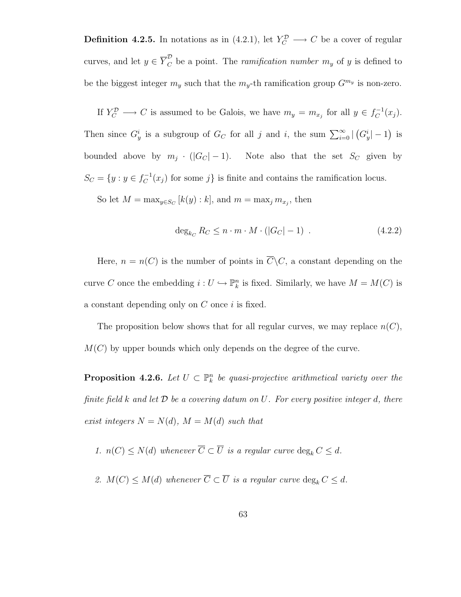**Definition 4.2.5.** In notations as in  $(4.2.1)$ , let  $Y_C^{\mathcal{D}} \longrightarrow C$  be a cover of regular curves, and let  $y \in \overline{Y}_C^{\mathcal{D}}$  be a point. The *ramification number*  $m_y$  of y is defined to be the biggest integer  $m_y$  such that the  $m_y$ -th ramification group  $G^{m_y}$  is non-zero.

If  $Y_C^{\mathcal{D}} \longrightarrow C$  is assumed to be Galois, we have  $m_y = m_{x_j}$  for all  $y \in f_C^{-1}$  $C^{-1}(x_j).$ Then since  $G_y^i$  is a subgroup of  $G_C$  for all j and i, the sum  $\sum_{i=0}^{\infty} |(G_y^i|-1)$  is bounded above by  $m_j \cdot (|G_C| - 1)$ . Note also that the set  $S_C$  given by  $S_C = \{y : y \in f_C^{-1}\}$  $C^{-1}(x_j)$  for some j is finite and contains the ramification locus.

So let  $M = \max_{y \in S_C} [k(y) : k]$ , and  $m = \max_j m_{x_j}$ , then

$$
\deg_{k_C} R_C \le n \cdot m \cdot M \cdot (|G_C| - 1) \tag{4.2.2}
$$

Here,  $n = n(C)$  is the number of points in  $\overline{C}\backslash C$ , a constant depending on the curve C once the embedding  $i: U \hookrightarrow \mathbb{P}^n_k$  is fixed. Similarly, we have  $M = M(C)$  is a constant depending only on  $C$  once  $i$  is fixed.

The proposition below shows that for all regular curves, we may replace  $n(C)$ ,  $M(C)$  by upper bounds which only depends on the degree of the curve.

**Proposition 4.2.6.** Let  $U \subset \mathbb{P}_k^n$  be quasi-projective arithmetical variety over the finite field k and let  $\mathcal D$  be a covering datum on U. For every positive integer d, there exist integers  $N = N(d)$ ,  $M = M(d)$  such that

1. 
$$
n(C) \leq N(d)
$$
 whenever  $\overline{C} \subset \overline{U}$  is a regular curve  $\deg_k C \leq d$ .

2.  $M(C) \leq M(d)$  whenever  $\overline{C} \subset \overline{U}$  is a regular curve  $\deg_k C \leq d$ .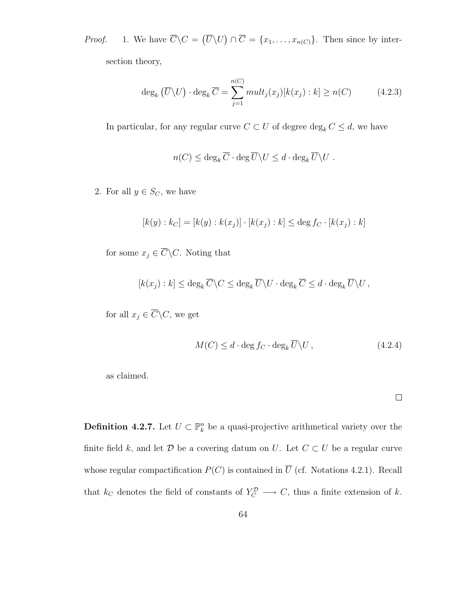*Proof.* 1. We have  $\overline{C}\backslash C = (\overline{U}\backslash U) \cap \overline{C} = \{x_1, \ldots, x_{n(C)}\}.$  Then since by intersection theory,

$$
\deg_k(\overline{U}\backslash U) \cdot \deg_k \overline{C} = \sum_{j=1}^{n(C)} mult_j(x_j)[k(x_j) : k] \ge n(C)
$$
 (4.2.3)

In particular, for any regular curve  $C\subset U$  of degree  $\deg_k C\leq d,$  we have

$$
n(C) \leq \deg_k \overline{C} \cdot \deg \overline{U} \backslash U \leq d \cdot \deg_k \overline{U} \backslash U .
$$

2. For all  $y \in S_C$ , we have

$$
[k(y) : k_C] = [k(y) : k(x_j)] \cdot [k(x_j) : k] \le \deg f_C \cdot [k(x_j) : k]
$$

for some  $x_j \in \overline{C} \backslash C$ . Noting that

$$
[k(x_j) : k] \leq \deg_k \overline{C} \backslash C \leq \deg_k \overline{U} \backslash U \cdot \deg_k \overline{C} \leq d \cdot \deg_k \overline{U} \backslash U,
$$

for all  $x_j\in \overline{C}\backslash C,$  we get

$$
M(C) \le d \cdot \deg f_C \cdot \deg_k \overline{U} \backslash U, \qquad (4.2.4)
$$

as claimed.

 $\Box$ 

**Definition 4.2.7.** Let  $U \subset \mathbb{P}_k^n$  be a quasi-projective arithmetical variety over the finite field k, and let  $D$  be a covering datum on U. Let  $C \subset U$  be a regular curve whose regular compactification  $P(C)$  is contained in  $\overline{U}$  (cf. Notations 4.2.1). Recall that  $k_C$  denotes the field of constants of  $Y_C^{\mathcal{D}} \longrightarrow C$ , thus a finite extension of k.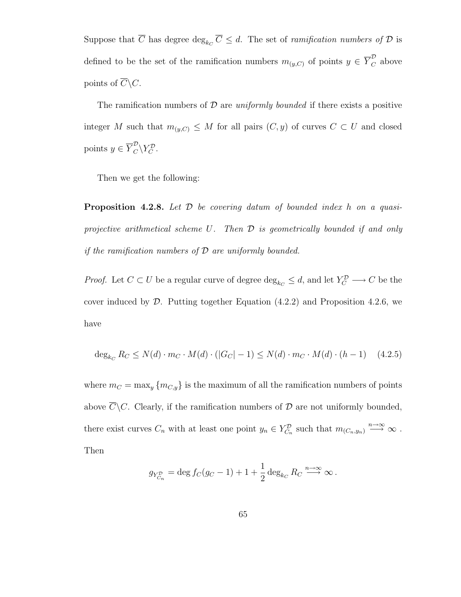Suppose that  $\overline{C}$  has degree  $\deg_{k_C} \overline{C} \leq d$ . The set of *ramification numbers of*  $\mathcal D$  is defined to be the set of the ramification numbers  $m_{(y,C)}$  of points  $y \in \overline{Y}_C^{\mathcal{D}}$  above points of  $\overline{C}\backslash C$ .

The ramification numbers of  $\mathcal D$  are uniformly bounded if there exists a positive integer M such that  $m_{(y,C)} \leq M$  for all pairs  $(C, y)$  of curves  $C \subset U$  and closed points  $y \in \overline{Y}_C^{\mathcal{D}} \backslash Y_C^{\mathcal{D}}$ .

Then we get the following:

**Proposition 4.2.8.** Let  $D$  be covering datum of bounded index h on a quasiprojective arithmetical scheme U. Then D is geometrically bounded if and only if the ramification numbers of  $D$  are uniformly bounded.

*Proof.* Let  $C \subset U$  be a regular curve of degree  $\deg_{k_C} \leq d$ , and let  $Y_C^D \longrightarrow C$  be the cover induced by  $D$ . Putting together Equation  $(4.2.2)$  and Proposition 4.2.6, we have

$$
\deg_{k_C} R_C \le N(d) \cdot m_C \cdot M(d) \cdot (|G_C| - 1) \le N(d) \cdot m_C \cdot M(d) \cdot (h - 1) \tag{4.2.5}
$$

where  $m_C = \max_y \{m_{C,y}\}\$ is the maximum of all the ramification numbers of points above  $\overline{C}\backslash C$ . Clearly, if the ramification numbers of  $\mathcal D$  are not uniformly bounded, there exist curves  $C_n$  with at least one point  $y_n \in Y^{\mathcal{D}}_{C_n}$  such that  $m_{(C_n,y_n)} \stackrel{n \to \infty}{\longrightarrow} \infty$ . Then

$$
g_{Y_{C_n}^{\mathcal{D}}} = \deg f_C(g_C - 1) + 1 + \frac{1}{2} \deg_{k_C} R_C \stackrel{n \to \infty}{\longrightarrow} \infty.
$$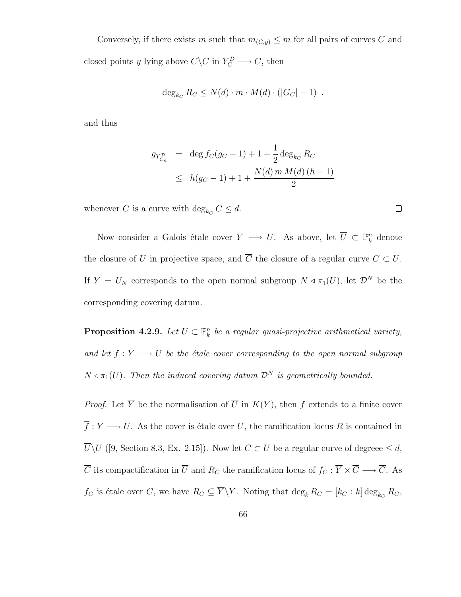Conversely, if there exists m such that  $m_{(C,y)} \leq m$  for all pairs of curves C and closed points y lying above  $\overline{C}\backslash C$  in  $Y_C^{\mathcal{D}} \longrightarrow C$ , then

$$
\deg_{k_C} R_C \le N(d) \cdot m \cdot M(d) \cdot (|G_C| - 1) .
$$

and thus

$$
g_{Y_{C_n}^{\mathcal{D}}} = \deg f_C(g_C - 1) + 1 + \frac{1}{2} \deg_{k_C} R_C
$$
  
 
$$
\leq h(g_C - 1) + 1 + \frac{N(d) \, m \, M(d) \, (h - 1)}{2}
$$

 $\Box$ 

whenever C is a curve with  $\deg_{k_C} C \leq d$ .

Now consider a Galois étale cover  $Y \longrightarrow U$ . As above, let  $\overline{U} \subset \mathbb{P}_k^n$  denote the closure of U in projective space, and  $\overline{C}$  the closure of a regular curve  $C \subset U$ . If  $Y = U_N$  corresponds to the open normal subgroup  $N \triangleleft \pi_1(U)$ , let  $\mathcal{D}^N$  be the corresponding covering datum.

**Proposition 4.2.9.** Let  $U \subset \mathbb{P}_k^n$  be a regular quasi-projective arithmetical variety, and let  $f: Y \longrightarrow U$  be the étale cover corresponding to the open normal subgroup  $N \triangleleft \pi_1(U)$ . Then the induced covering datum  $\mathcal{D}^N$  is geometrically bounded.

*Proof.* Let  $\overline{Y}$  be the normalisation of  $\overline{U}$  in  $K(Y)$ , then f extends to a finite cover  $\overline{f} : \overline{Y} \longrightarrow \overline{U}$ . As the cover is étale over U, the ramification locus R is contained in  $\overline{U}\backslash U$  ([9, Section 8.3, Ex. 2.15]). Now let  $C \subset U$  be a regular curve of degreee  $\leq d$ ,  $\overline{C}$  its compactification in  $\overline{U}$  and  $R_C$  the ramification locus of  $f_C : \overline{Y} \times \overline{C} \longrightarrow \overline{C}$ . As  $f_C$  is étale over C, we have  $R_C \subseteq \overline{Y} \backslash Y$ . Noting that  $\deg_k R_C = [k_C : k] \deg_{k_C} R_C$ ,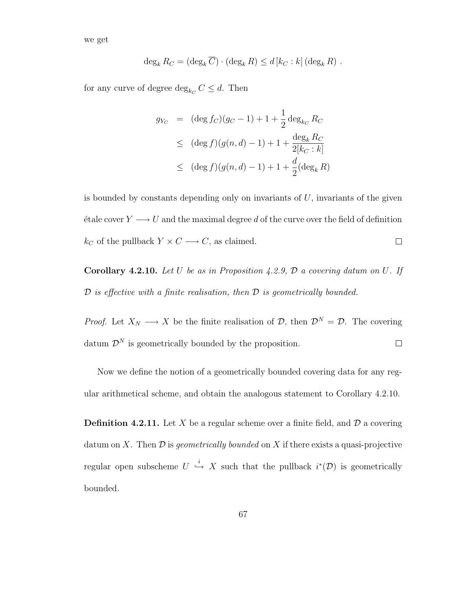we get

$$
\deg_k R_C = (\deg_k \overline{C}) \cdot (\deg_k R) \leq d \left[ k_C : k \right] (\deg_k R) .
$$

for any curve of degree  $\deg_{k_C} C \leq d$ . Then

$$
g_{Y_C} = (\deg f_C)(g_C - 1) + 1 + \frac{1}{2} \deg_{k_C} R_C
$$
  
\n
$$
\leq (\deg f)(g(n, d) - 1) + 1 + \frac{\deg_k R_C}{2[k_C : k]}
$$
  
\n
$$
\leq (\deg f)(g(n, d) - 1) + 1 + \frac{d}{2}(\deg_k R)
$$

is bounded by constants depending only on invariants of  $U$ , invariants of the given étale cover  $Y \longrightarrow U$  and the maximal degree d of the curve over the field of definition  $k_C$  of the pullback  $Y \times C \longrightarrow C,$  as claimed.  $\Box$ 

**Corollary 4.2.10.** Let U be as in Proposition 4.2.9,  $\mathcal{D}$  a covering datum on U. If  $\mathcal D$  is effective with a finite realisation, then  $\mathcal D$  is geometrically bounded.

*Proof.* Let  $X_N \longrightarrow X$  be the finite realisation of  $\mathcal{D}$ , then  $\mathcal{D}^N = \mathcal{D}$ . The covering datum  $\mathcal{D}^N$  is geometrically bounded by the proposition.  $\Box$ 

Now we define the notion of a geometrically bounded covering data for any regular arithmetical scheme, and obtain the analogous statement to Corollary 4.2.10.

**Definition 4.2.11.** Let X be a regular scheme over a finite field, and  $\mathcal{D}$  a covering datum on X. Then  $\mathcal D$  is geometrically bounded on X if there exists a quasi-projective regular open subscheme  $U \stackrel{i}{\hookrightarrow} X$  such that the pullback  $i^*(\mathcal{D})$  is geometrically bounded.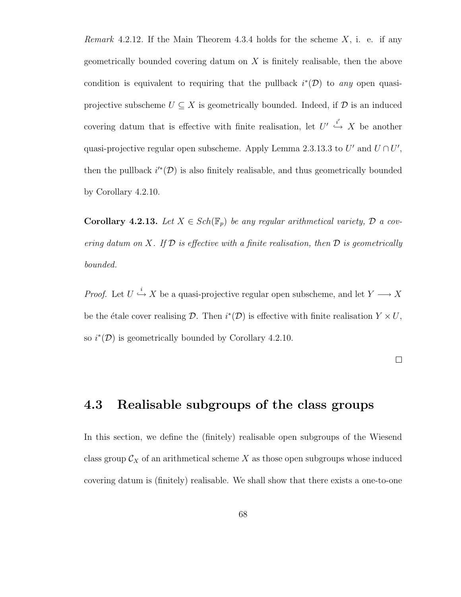Remark 4.2.12. If the Main Theorem 4.3.4 holds for the scheme  $X$ , i. e. if any geometrically bounded covering datum on  $X$  is finitely realisable, then the above condition is equivalent to requiring that the pullback  $i^*(\mathcal{D})$  to any open quasiprojective subscheme  $U \subseteq X$  is geometrically bounded. Indeed, if  $D$  is an induced covering datum that is effective with finite realisation, let  $U' \stackrel{i'}{\hookrightarrow} X$  be another quasi-projective regular open subscheme. Apply Lemma 2.3.13.3 to  $U'$  and  $U \cap U'$ , then the pullback  $i^{\prime*}(\mathcal{D})$  is also finitely realisable, and thus geometrically bounded by Corollary 4.2.10.

**Corollary 4.2.13.** Let  $X \in Sch(\mathbb{F}_p)$  be any regular arithmetical variety,  $\mathcal{D}$  a covering datum on X. If  $\mathcal D$  is effective with a finite realisation, then  $\mathcal D$  is geometrically bounded.

*Proof.* Let  $U \stackrel{i}{\hookrightarrow} X$  be a quasi-projective regular open subscheme, and let  $Y \longrightarrow X$ be the étale cover realising  $\mathcal{D}$ . Then  $i^*(\mathcal{D})$  is effective with finite realisation  $Y \times U$ , so  $i^*(\mathcal{D})$  is geometrically bounded by Corollary 4.2.10.

 $\Box$ 

# 4.3 Realisable subgroups of the class groups

In this section, we define the (finitely) realisable open subgroups of the Wiesend class group  $\mathcal{C}_X$  of an arithmetical scheme X as those open subgroups whose induced covering datum is (finitely) realisable. We shall show that there exists a one-to-one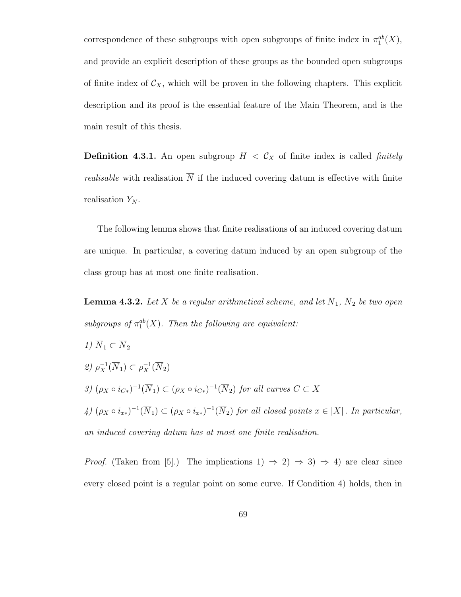correspondence of these subgroups with open subgroups of finite index in  $\pi_1^{ab}(X)$ , and provide an explicit description of these groups as the bounded open subgroups of finite index of  $C_X$ , which will be proven in the following chapters. This explicit description and its proof is the essential feature of the Main Theorem, and is the main result of this thesis.

**Definition 4.3.1.** An open subgroup  $H < C_X$  of finite index is called *finitely realisable* with realisation  $\overline{N}$  if the induced covering datum is effective with finite realisation  $Y_N$ .

The following lemma shows that finite realisations of an induced covering datum are unique. In particular, a covering datum induced by an open subgroup of the class group has at most one finite realisation.

**Lemma 4.3.2.** Let X be a regular arithmetical scheme, and let  $\overline{N}_1$ ,  $\overline{N}_2$  be two open subgroups of  $\pi_1^{ab}(X)$ . Then the following are equivalent:

1)  $\overline{N}_1 \subset \overline{N}_2$ 2)  $\rho_X^{-1}(\overline{N}_1) \subset \rho_X^{-1}(\overline{N}_2)$ 3)  $(\rho_X \circ i_{C*})^{-1}(\overline{N}_1) \subset (\rho_X \circ i_{C*})^{-1}(\overline{N}_2)$  for all curves  $C \subset X$  $\mathcal{A}$ )  $(\rho_X \circ i_{x*})^{-1}(\overline{N}_1) \subset (\rho_X \circ i_{x*})^{-1}(\overline{N}_2)$  for all closed points  $x \in |X|$ . In particular, an induced covering datum has at most one finite realisation.

*Proof.* (Taken from [5].) The implications 1)  $\Rightarrow$  2)  $\Rightarrow$  3)  $\Rightarrow$  4) are clear since every closed point is a regular point on some curve. If Condition 4) holds, then in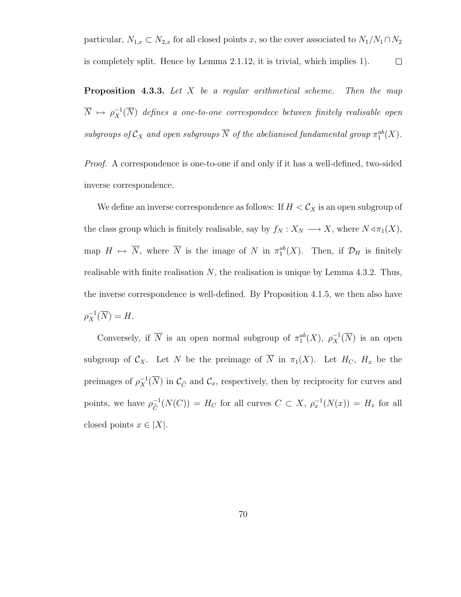particular,  $N_{1,x} \subset N_{2,x}$  for all closed points x, so the cover associated to  $N_1/N_1 \cap N_2$ is completely split. Hence by Lemma 2.1.12, it is trivial, which implies 1).  $\Box$ 

**Proposition 4.3.3.** Let  $X$  be a regular arithmetical scheme. Then the map  $\overline{N}$   $\mapsto$   $\rho_X^{-1}(\overline{N})$  defines a one-to-one correspondece between finitely realisable open subgroups of  $\mathcal{C}_X$  and open subgroups  $\overline{N}$  of the abelianised fundamental group  $\pi_1^{ab}(X)$ .

Proof. A correspondence is one-to-one if and only if it has a well-defined, two-sided inverse correspondence.

We define an inverse correspondence as follows: If  $H < \mathcal{C}_X$  is an open subgroup of the class group which is finitely realisable, say by  $f_N : X_N \longrightarrow X$ , where  $N \triangleleft \pi_1(X)$ , map  $H \mapsto \overline{N}$ , where  $\overline{N}$  is the image of N in  $\pi_1^{ab}(X)$ . Then, if  $\mathcal{D}_H$  is finitely realisable with finite realisation  $N$ , the realisation is unique by Lemma 4.3.2. Thus, the inverse correspondence is well-defined. By Proposition 4.1.5, we then also have  $\rho_X^{-1}(\overline{N})=H.$ 

Conversely, if  $\overline{N}$  is an open normal subgroup of  $\pi_1^{ab}(X)$ ,  $\rho_X^{-1}(\overline{N})$  is an open subgroup of  $C_X$ . Let N be the preimage of  $\overline{N}$  in  $\pi_1(X)$ . Let  $H_C$ ,  $H_x$  be the preimages of  $\rho_X^{-1}(\overline{N})$  in  $\mathcal{C}_{\tilde{C}}$  and  $\mathcal{C}_x$ , respectively, then by reciprocity for curves and points, we have  $\rho^{-1}_{\tilde{c}}$  $\overline{C}^{-1}(N(C)) = H_C$  for all curves  $C \subset X$ ,  $\rho_x^{-1}(N(x)) = H_x$  for all closed points  $x \in |X|$ .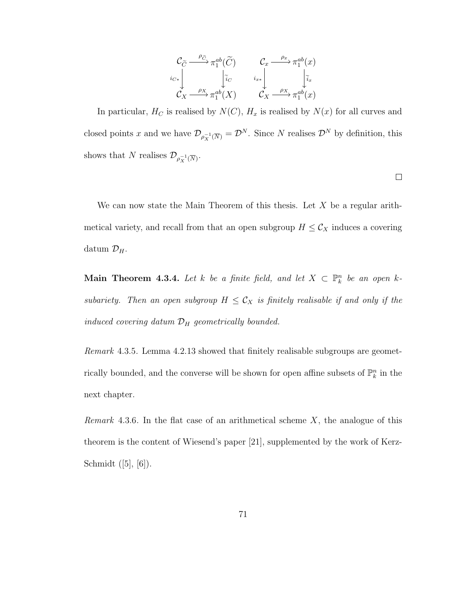$$
\begin{array}{ccc}\n\mathcal{C}_{\widetilde{C}} & \xrightarrow{\rho_{\widetilde{C}}} \pi_1^{ab}(\widetilde{C}) & & \mathcal{C}_x & \xrightarrow{\rho_x} \pi_1^{ab}(x) \\
\downarrow i_{C*} & & \downarrow i_{C} & \\
\mathcal{C}_X & \xrightarrow{\rho_X} \pi_1^{ab}(X) & & \mathcal{C}_X & \xrightarrow{\rho_X} \pi_1^{ab}(x)\n\end{array}
$$

In particular,  $H_C$  is realised by  $N(C)$ ,  $H_x$  is realised by  $N(x)$  for all curves and closed points x and we have  $\mathcal{D}_{\rho_X^{-1}(\overline{N})} = \mathcal{D}^N$ . Since N realises  $\mathcal{D}^N$  by definition, this shows that N realises  $\mathcal{D}_{\rho_X^{-1}(\overline{N})}$ .

 $\Box$ 

We can now state the Main Theorem of this thesis. Let  $X$  be a regular arithmetical variety, and recall from that an open subgroup  $H \leq C_X$  induces a covering datum  $\mathcal{D}_H$ .

Main Theorem 4.3.4. Let k be a finite field, and let  $X \subset \mathbb{P}^n_k$  be an open ksubariety. Then an open subgroup  $H \leq C_X$  is finitely realisable if and only if the induced covering datum  $\mathcal{D}_H$  geometrically bounded.

Remark 4.3.5. Lemma 4.2.13 showed that finitely realisable subgroups are geometrically bounded, and the converse will be shown for open affine subsets of  $\mathbb{P}^n_k$  in the next chapter.

*Remark* 4.3.6. In the flat case of an arithmetical scheme  $X$ , the analogue of this theorem is the content of Wiesend's paper [21], supplemented by the work of Kerz-Schmidt ([5], [6]).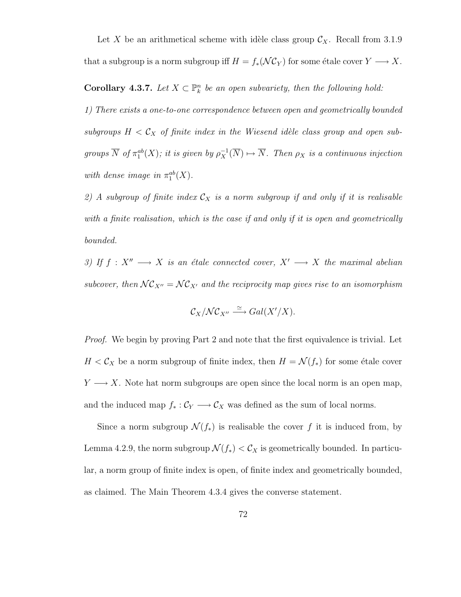Let X be an arithmetical scheme with idèle class group  $\mathcal{C}_X$ . Recall from 3.1.9 that a subgroup is a norm subgroup iff  $H = f_*(\mathcal{NC}_Y)$  for some étale cover  $Y \longrightarrow X$ .

**Corollary 4.3.7.** Let  $X \subset \mathbb{P}_k^n$  be an open subvariety, then the following hold:

1) There exists a one-to-one correspondence between open and geometrically bounded subgroups  $H < C_X$  of finite index in the Wiesend idèle class group and open subgroups  $\overline{N}$  of  $\pi_1^{ab}(X)$ ; it is given by  $\rho_X^{-1}(\overline{N}) \mapsto \overline{N}$ . Then  $\rho_X$  is a continuous injection with dense image in  $\pi_1^{ab}(X)$ .

2) A subgroup of finite index  $\mathcal{C}_X$  is a norm subgroup if and only if it is realisable with a finite realisation, which is the case if and only if it is open and geometrically bounded.

3) If  $f : X'' \longrightarrow X$  is an étale connected cover,  $X' \longrightarrow X$  the maximal abelian subcover, then  $\mathcal{NC}_{X''} = \mathcal{NC}_{X'}$  and the reciprocity map gives rise to an isomorphism

$$
\mathcal{C}_X/\mathcal{NC}_{X''} \xrightarrow{\simeq} Gal(X'/X).
$$

*Proof.* We begin by proving Part 2 and note that the first equivalence is trivial. Let  $H < C_X$  be a norm subgroup of finite index, then  $H = \mathcal{N}(f_*)$  for some étale cover  $Y \longrightarrow X$ . Note hat norm subgroups are open since the local norm is an open map, and the induced map  $f_* : C_Y \longrightarrow C_X$  was defined as the sum of local norms.

Since a norm subgroup  $\mathcal{N}(f_*)$  is realisable the cover f it is induced from, by Lemma 4.2.9, the norm subgroup  $\mathcal{N}(f_*) < \mathcal{C}_X$  is geometrically bounded. In particular, a norm group of finite index is open, of finite index and geometrically bounded, as claimed. The Main Theorem 4.3.4 gives the converse statement.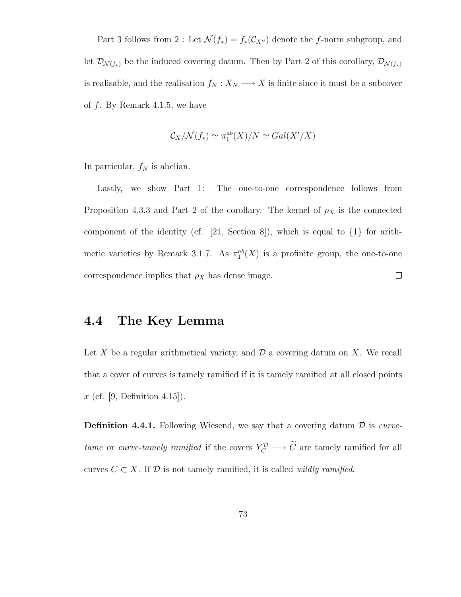Part 3 follows from 2 : Let  $\mathcal{N}(f_*) = f_*(\mathcal{C}_{X''})$  denote the f-norm subgroup, and let  $\mathcal{D}_{\mathcal{N}(f_*)}$  be the induced covering datum. Then by Part 2 of this corollary,  $\mathcal{D}_{\mathcal{N}(f_*)}$ is realisable, and the realisation  $f_N : X_N \longrightarrow X$  is finite since it must be a subcover of f. By Remark 4.1.5, we have

$$
\mathcal{C}_X/\mathcal{N}(f_*)\simeq \pi_1^{ab}(X)/N\simeq Gal(X'/X)
$$

In particular,  $f_N$  is abelian.

Lastly, we show Part 1: The one-to-one correspondence follows from Proposition 4.3.3 and Part 2 of the corollary. The kernel of  $\rho_X$  is the connected component of the identity (cf. [21, Section 8]), which is equal to {1} for arithmetic varieties by Remark 3.1.7. As  $\pi_1^{ab}(X)$  is a profinite group, the one-to-one correspondence implies that  $\rho_X$  has dense image.  $\Box$ 

## 4.4 The Key Lemma

Let X be a regular arithmetical variety, and  $\mathcal D$  a covering datum on X. We recall that a cover of curves is tamely ramified if it is tamely ramified at all closed points x (cf. [9, Definition 4.15]).

**Definition 4.4.1.** Following Wiesend, we say that a covering datum  $D$  is *curve*tame or curve-tamely ramified if the covers  $Y_C^{\mathcal{D}} \longrightarrow \widetilde{C}$  are tamely ramified for all curves  $C \subset X$ . If  $D$  is not tamely ramified, it is called *wildly ramified*.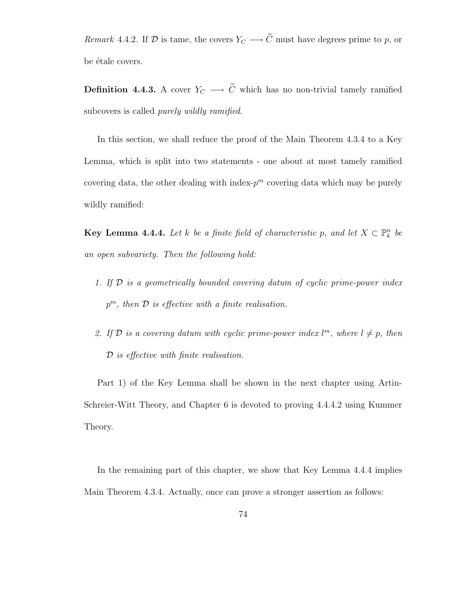Remark 4.4.2. If D is tame, the covers  $Y_C \longrightarrow \tilde{C}$  must have degrees prime to p, or be étale covers.

**Definition 4.4.3.** A cover  $Y_C \longrightarrow \tilde{C}$  which has no non-trivial tamely ramified subcovers is called purely wildly ramified.

In this section, we shall reduce the proof of the Main Theorem 4.3.4 to a Key Lemma, which is split into two statements - one about at most tamely ramified covering data, the other dealing with index- $p^m$  covering data which may be purely wildly ramified:

**Key Lemma 4.4.4.** Let k be a finite field of characteristic p, and let  $X \subset \mathbb{P}_k^n$  be an open subvariety. Then the following hold:

- 1. If  $D$  is a geometrically bounded covering datum of cyclic prime-power index  $p^m$ , then  $\mathcal D$  is effective with a finite realisation.
- 2. If  $\mathcal D$  is a covering datum with cyclic prime-power index  $l^m$ , where  $l \neq p$ , then D is effective with finite realisation.

Part 1) of the Key Lemma shall be shown in the next chapter using Artin-Schreier-Witt Theory, and Chapter 6 is devoted to proving 4.4.4.2 using Kummer Theory.

In the remaining part of this chapter, we show that Key Lemma 4.4.4 implies Main Theorem 4.3.4. Actually, once can prove a stronger assertion as follows: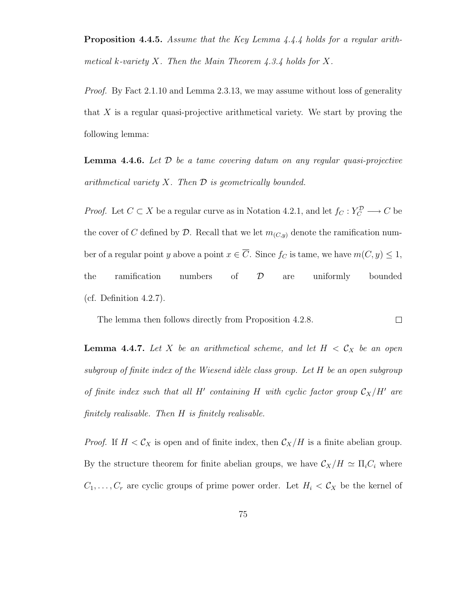Proposition 4.4.5. Assume that the Key Lemma 4.4.4 holds for a regular arithmetical k-variety X. Then the Main Theorem  $4.3.4$  holds for X.

*Proof.* By Fact 2.1.10 and Lemma 2.3.13, we may assume without loss of generality that  $X$  is a regular quasi-projective arithmetical variety. We start by proving the following lemma:

**Lemma 4.4.6.** Let  $\mathcal{D}$  be a tame covering datum on any regular quasi-projective arithmetical variety  $X$ . Then  $D$  is geometrically bounded.

*Proof.* Let  $C \subset X$  be a regular curve as in Notation 4.2.1, and let  $f_C : Y_C^D \longrightarrow C$  be the cover of C defined by D. Recall that we let  $m_{(C,y)}$  denote the ramification number of a regular point y above a point  $x \in \overline{C}$ . Since  $f_C$  is tame, we have  $m(C, y) \leq 1$ , the ramification numbers of D are uniformly bounded (cf. Definition 4.2.7).

The lemma then follows directly from Proposition 4.2.8.  $\Box$ 

**Lemma 4.4.7.** Let X be an arithmetical scheme, and let  $H < C_X$  be an open subgroup of finite index of the Wiesend idèle class group. Let  $H$  be an open subgroup of finite index such that all H' containing H with cyclic factor group  $C_X/H'$  are finitely realisable. Then H is finitely realisable.

*Proof.* If  $H < C_X$  is open and of finite index, then  $C_X/H$  is a finite abelian group. By the structure theorem for finite abelian groups, we have  $\mathcal{C}_X/H \simeq \Pi_i C_i$  where  $C_1, \ldots, C_r$  are cyclic groups of prime power order. Let  $H_i < C_X$  be the kernel of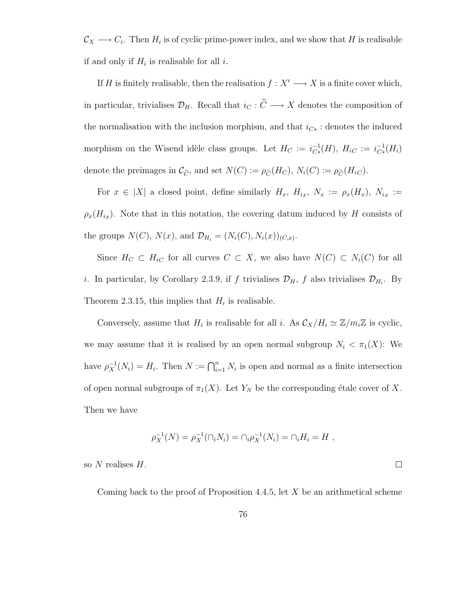$\mathcal{C}_X \longrightarrow C_i$ . Then  $H_i$  is of cyclic prime-power index, and we show that H is realisable if and only if  $H_i$  is realisable for all i.

If H is finitely realisable, then the realisation  $f : X' \longrightarrow X$  is a finite cover which, in particular, trivialises  $\mathcal{D}_H$ . Recall that  $i_C : \widetilde{C} \longrightarrow X$  denotes the composition of the normalisation with the inclusion morphism, and that  $i_{C*}$ : denotes the induced morphism on the Wisend idèle class groups. Let  $H_C := i_{C*}^{-1}$  $_{C*}^{-1}(H), H_{iC} := i_{C*}^{-1}$  $C_*^{-1}(H_i)$ denote the preimages in  $\mathcal{C}_{\widetilde{C}}$ , and set  $N(C) := \rho_{\widetilde{C}}(H_C)$ ,  $N_i(C) := \rho_{\widetilde{C}}(H_{iC})$ .

For  $x \in |X|$  a closed point, define similarly  $H_x$ ,  $H_{ix}$ ,  $N_x := \rho_x(H_x)$ ,  $N_{ix} :=$  $\rho_x(H_{ix})$ . Note that in this notation, the covering datum induced by H consists of the groups  $N(C)$ ,  $N(x)$ , and  $\mathcal{D}_{H_i} = (N_i(C), N_i(x))_{(C,x)}$ .

Since  $H_C \subset H_{iC}$  for all curves  $C \subset X$ , we also have  $N(C) \subset N_i(C)$  for all *i*. In particular, by Corollary 2.3.9, if f trivialises  $\mathcal{D}_H$ , f also trivialises  $\mathcal{D}_{H_i}$ . By Theorem 2.3.15, this implies that  $H_i$  is realisable.

Conversely, assume that  $H_i$  is realisable for all i. As  $\mathcal{C}_X/H_i \simeq \mathbb{Z}/m_i\mathbb{Z}$  is cyclic, we may assume that it is realised by an open normal subgroup  $N_i < \pi_1(X)$ : We have  $\rho_X^{-1}(N_i) = H_i$ . Then  $N := \bigcap_{i=1}^n N_i$  is open and normal as a finite intersection of open normal subgroups of  $\pi_1(X)$ . Let  $Y_N$  be the corresponding étale cover of X. Then we have

$$
\rho_X^{-1}(N) = \rho_X^{-1}(\cap_i N_i) = \cap_i \rho_X^{-1}(N_i) = \cap_i H_i = H ,
$$

so  $N$  realises  $H$ .

Coming back to the proof of Proposition 4.4.5, let  $X$  be an arithmetical scheme

 $\Box$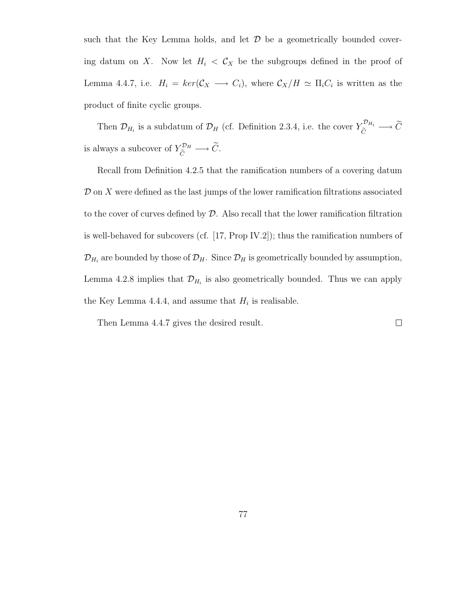such that the Key Lemma holds, and let  $\mathcal D$  be a geometrically bounded covering datum on X. Now let  $H_i < C_X$  be the subgroups defined in the proof of Lemma 4.4.7, i.e.  $H_i = \ker(\mathcal{C}_X \longrightarrow C_i)$ , where  $\mathcal{C}_X/H \simeq \Pi_i C_i$  is written as the product of finite cyclic groups.

Then  $\mathcal{D}_{H_i}$  is a subdatum of  $\mathcal{D}_H$  (cf. Definition 2.3.4, i.e. the cover  $Y_{\tilde{C}}^{\mathcal{D}_{H_i}} \longrightarrow \tilde{C}$ is always a subcover of  $Y_{\widetilde{C}}^{\mathcal{D}_H} \longrightarrow \widetilde{C}$ .

Recall from Definition 4.2.5 that the ramification numbers of a covering datum  $\mathcal D$  on  $X$  were defined as the last jumps of the lower ramification filtrations associated to the cover of curves defined by  $\mathcal D$ . Also recall that the lower ramification filtration is well-behaved for subcovers (cf. [17, Prop IV.2]); thus the ramification numbers of  $\mathcal{D}_{H_i}$  are bounded by those of  $\mathcal{D}_H$ . Since  $\mathcal{D}_H$  is geometrically bounded by assumption, Lemma 4.2.8 implies that  $\mathcal{D}_{H_i}$  is also geometrically bounded. Thus we can apply the Key Lemma 4.4.4, and assume that  $H_i$  is realisable.

Then Lemma 4.4.7 gives the desired result.

 $\Box$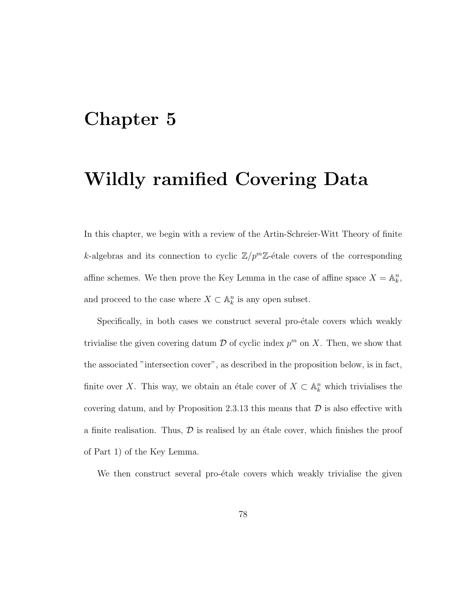# Chapter 5

# Wildly ramified Covering Data

In this chapter, we begin with a review of the Artin-Schreier-Witt Theory of finite k-algebras and its connection to cyclic  $\mathbb{Z}/p^m\mathbb{Z}$ -étale covers of the corresponding affine schemes. We then prove the Key Lemma in the case of affine space  $X = \mathbb{A}_k^n$ , and proceed to the case where  $X \subset \mathbb{A}^n_k$  is any open subset.

Specifically, in both cases we construct several pro- $\acute{e}$ tale covers which weakly trivialise the given covering datum  $\mathcal D$  of cyclic index  $p^m$  on X. Then, we show that the associated "intersection cover", as described in the proposition below, is in fact, finite over X. This way, we obtain an étale cover of  $X \subset \mathbb{A}^n_k$  which trivialises the covering datum, and by Proposition 2.3.13 this means that  $D$  is also effective with a finite realisation. Thus,  $\mathcal D$  is realised by an étale cover, which finishes the proof of Part 1) of the Key Lemma.

We then construct several pro-étale covers which weakly trivialise the given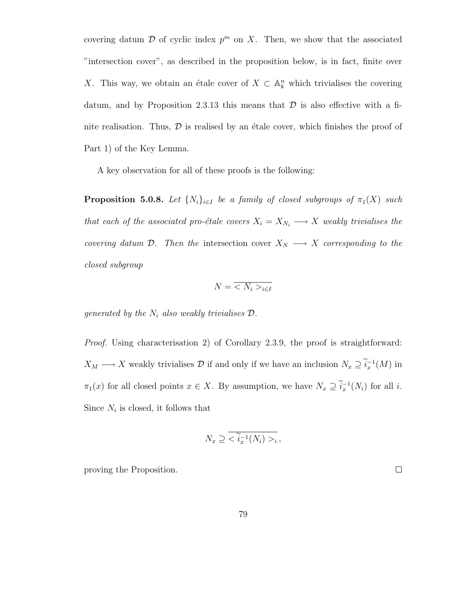covering datum  $\mathcal D$  of cyclic index  $p^m$  on X. Then, we show that the associated "intersection cover", as described in the proposition below, is in fact, finite over X. This way, we obtain an étale cover of  $X \subset \mathbb{A}^n_k$  which trivialises the covering datum, and by Proposition 2.3.13 this means that  $\mathcal D$  is also effective with a finite realisation. Thus,  $\mathcal D$  is realised by an étale cover, which finishes the proof of Part 1) of the Key Lemma.

A key observation for all of these proofs is the following:

**Proposition 5.0.8.** Let  $\{N_i\}_{i\in I}$  be a family of closed subgroups of  $\pi_1(X)$  such that each of the associated pro-étale covers  $X_i = X_{N_i} \longrightarrow X$  weakly trivialises the covering datum  $\mathcal{D}$ . Then the intersection cover  $X_N \longrightarrow X$  corresponding to the closed subgroup

$$
N = \overline{\langle N_i \rangle_{i \in I}}
$$

generated by the  $N_i$  also weakly trivialises  $\mathcal{D}$ .

Proof. Using characterisation 2) of Corollary 2.3.9, the proof is straightforward:  $X_M \longrightarrow X$  weakly trivialises  $\mathcal D$  if and only if we have an inclusion  $N_x \supseteq i_x^{-1}(M)$  in  $\pi_1(x)$  for all closed points  $x \in X$ . By assumption, we have  $N_x \supseteq \tilde{i}_x^{-1}(N_i)$  for all  $i$ . Since  $N_i$  is closed, it follows that

$$
N_x \supseteq \overline{\tilde{i}_x^{-1}(N_i) >_i},
$$

proving the Proposition.

 $\Box$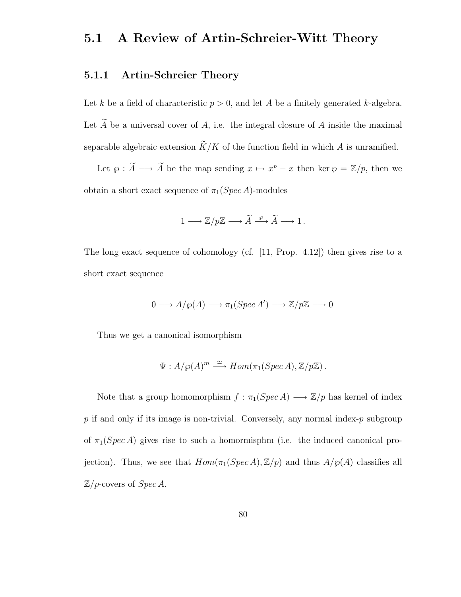# 5.1 A Review of Artin-Schreier-Witt Theory

### 5.1.1 Artin-Schreier Theory

Let k be a field of characteristic  $p > 0$ , and let A be a finitely generated k-algebra. Let  $\widetilde{A}$  be a universal cover of A, i.e. the integral closure of A inside the maximal separable algebraic extension  $\widetilde{K}/K$  of the function field in which A is unramified.

Let  $\varphi : \widetilde{A} \longrightarrow \widetilde{A}$  be the map sending  $x \mapsto x^p - x$  then ker  $\varphi = \mathbb{Z}/p$ , then we obtain a short exact sequence of  $\pi_1(Spec A)$ -modules

$$
1\longrightarrow {\mathbb Z}/p{\mathbb Z} \longrightarrow \widetilde{A} \stackrel{\wp}{\longrightarrow} \widetilde{A} \longrightarrow 1\,.
$$

The long exact sequence of cohomology (cf. [11, Prop. 4.12]) then gives rise to a short exact sequence

$$
0 \longrightarrow A/\wp(A) \longrightarrow \pi_1(Spec\,A') \longrightarrow \mathbb{Z}/p\mathbb{Z} \longrightarrow 0
$$

Thus we get a canonical isomorphism

$$
\Psi: A/\wp(A)^m \stackrel{\simeq}{\longrightarrow} Hom(\pi_1(Spec\,A), \mathbb{Z}/p\mathbb{Z}).
$$

Note that a group homomorphism  $f : \pi_1(Spec\,A) \longrightarrow \mathbb{Z}/p$  has kernel of index  $p$  if and only if its image is non-trivial. Conversely, any normal index- $p$  subgroup of  $\pi_1(Spec A)$  gives rise to such a homormisphm (i.e. the induced canonical projection). Thus, we see that  $Hom(\pi_1(Spec A), \mathbb{Z}/p)$  and thus  $A/\wp(A)$  classifies all  $\mathbb{Z}/p$ -covers of  $Spec A$ .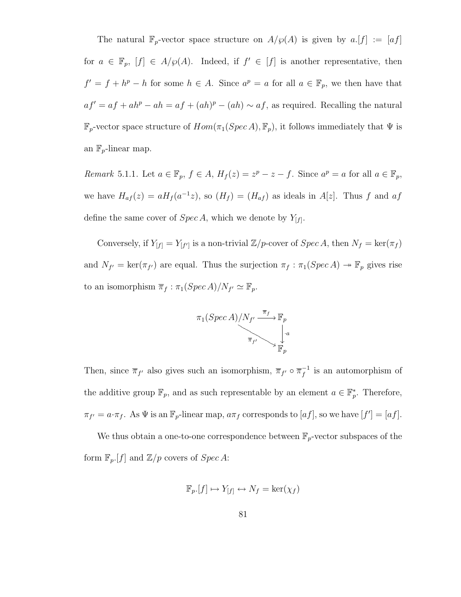The natural  $\mathbb{F}_p$ -vector space structure on  $A/\wp(A)$  is given by  $a.[f] := [af]$ for  $a \in \mathbb{F}_p$ ,  $[f] \in A/\wp(A)$ . Indeed, if  $f' \in [f]$  is another representative, then  $f' = f + h^p - h$  for some  $h \in A$ . Since  $a^p = a$  for all  $a \in \mathbb{F}_p$ , we then have that  $af' = af + ah^p - ah = af + (ah)^p - (ah) \sim af$ , as required. Recalling the natural  $\mathbb{F}_p$ -vector space structure of  $Hom(\pi_1(Spec\,A), \mathbb{F}_p)$ , it follows immediately that  $\Psi$  is an  $\mathbb{F}_p$ -linear map.

Remark 5.1.1. Let  $a \in \mathbb{F}_p$ ,  $f \in A$ ,  $H_f(z) = z^p - z - f$ . Since  $a^p = a$  for all  $a \in \mathbb{F}_p$ , we have  $H_{af}(z) = aH_f(a^{-1}z)$ , so  $(H_f) = (H_{af})$  as ideals in  $A[z]$ . Thus f and  $af$ define the same cover of  $Spec A$ , which we denote by  $Y_{[f]}$ .

Conversely, if  $Y_{[f]} = Y_{[f']}$  is a non-trivial  $\mathbb{Z}/p$ -cover of  $Spec A$ , then  $N_f = \ker(\pi_f)$ and  $N_{f'} = \ker(\pi_{f'})$  are equal. Thus the surjection  $\pi_f : \pi_1(Spec A) \to \mathbb{F}_p$  gives rise to an isomorphism  $\overline{\pi}_f : \pi_1(Spec\,A)/N_{f'} \simeq \mathbb{F}_p$ .



Then, since  $\overline{\pi}_{f'}$  also gives such an isomorphism,  $\overline{\pi}_{f'} \circ \overline{\pi}_f^{-1}$  $f^{-1}$  is an automorphism of the additive group  $\mathbb{F}_p$ , and as such representable by an element  $a \in \mathbb{F}_p^*$ . Therefore,  $\pi_{f'} = a \cdot \pi_f$ . As  $\Psi$  is an  $\mathbb{F}_p$ -linear map,  $a\pi_f$  corresponds to  $[af]$ , so we have  $[f'] = [af]$ .

We thus obtain a one-to-one correspondence between  $\mathbb{F}_p\text{-vector subspaces of the}$ form  $\mathbb{F}_p[f]$  and  $\mathbb{Z}/p$  covers of  $Spec A$ :

$$
\mathbb{F}_p[f] \mapsto Y_{[f]} \leftrightarrow N_f = \ker(\chi_f)
$$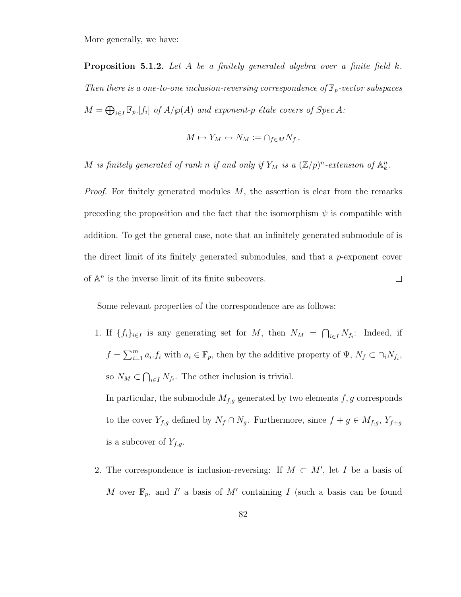More generally, we have:

**Proposition 5.1.2.** Let A be a finitely generated algebra over a finite field k. Then there is a one-to-one inclusion-reversing correspondence of  $\mathbb{F}_p$ -vector subspaces  $M = \bigoplus_{i \in I} \mathbb{F}_p[f_i]$  of  $A/\wp(A)$  and exponent-p étale covers of Spec A:

$$
M \mapsto Y_M \leftrightarrow N_M := \cap_{f \in M} N_f \, .
$$

M is finitely generated of rank n if and only if  $Y_M$  is a  $(\mathbb{Z}/p)^n$ -extension of  $\mathbb{A}_k^n$ .

*Proof.* For finitely generated modules  $M$ , the assertion is clear from the remarks preceding the proposition and the fact that the isomorphism  $\psi$  is compatible with addition. To get the general case, note that an infinitely generated submodule of is the direct limit of its finitely generated submodules, and that a p-exponent cover of  $\mathbb{A}^n$  is the inverse limit of its finite subcovers.  $\Box$ 

Some relevant properties of the correspondence are as follows:

1. If  $\{f_i\}_{i\in I}$  is any generating set for M, then  $N_M = \bigcap_{i\in I} N_{f_i}$ : Indeed, if  $f = \sum_{i=1}^m a_i f_i$  with  $a_i \in \mathbb{F}_p$ , then by the additive property of  $\Psi$ ,  $N_f \subset \bigcap_i N_{f_i}$ , so  $N_M \subset \bigcap_{i \in I} N_{f_i}$ . The other inclusion is trivial.

In particular, the submodule  $M_{f,g}$  generated by two elements  $f, g$  corresponds to the cover  $Y_{f,g}$  defined by  $N_f \cap N_g$ . Furthermore, since  $f + g \in M_{f,g}, Y_{f+g}$ is a subcover of  $Y_{f,g}$ .

2. The correspondence is inclusion-reversing: If  $M \subset M'$ , let I be a basis of M over  $\mathbb{F}_p$ , and I' a basis of M' containing I (such a basis can be found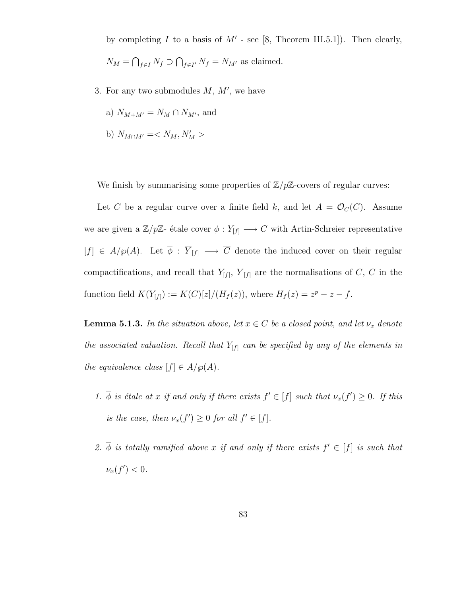by completing I to a basis of  $M'$  - see [8, Theorem III.5.1]). Then clearly,  $N_M = \bigcap_{f \in I} N_f \supset \bigcap_{f \in I'} N_f = N_{M'}$  as claimed.

- 3. For any two submodules  $M, M'$ , we have
	- a)  $N_{M+M'} = N_M \cap N_{M'}$ , and
	- b)  $N_{M \cap M'} = \langle N_M, N_M' \rangle$

We finish by summarising some properties of  $\mathbb{Z}/p\mathbb{Z}$ -covers of regular curves:

Let C be a regular curve over a finite field k, and let  $A = \mathcal{O}_C(C)$ . Assume we are given a  $\mathbb{Z}/p\mathbb{Z}$ - étale cover  $\phi: Y_{[f]} \longrightarrow C$  with Artin-Schreier representative  $[f] \in A/\wp(A)$ . Let  $\overline{\phi} : \overline{Y}_{[f]} \longrightarrow \overline{C}$  denote the induced cover on their regular compactifications, and recall that  $Y_{[f]}$ ,  $Y_{[f]}$  are the normalisations of C, C in the function field  $K(Y_{[f]}) := K(C)[z]/(H_f(z))$ , where  $H_f(z) = z^p - z - f$ .

**Lemma 5.1.3.** In the situation above, let  $x \in \overline{C}$  be a closed point, and let  $\nu_x$  denote the associated valuation. Recall that  $Y_{[f]}$  can be specified by any of the elements in the equivalence class  $[f] \in A/\wp(A)$ .

- 1.  $\overline{\phi}$  is étale at x if and only if there exists  $f' \in [f]$  such that  $\nu_x(f') \geq 0$ . If this is the case, then  $\nu_x(f') \geq 0$  for all  $f' \in [f]$ .
- 2.  $\overline{\phi}$  is totally ramified above x if and only if there exists  $f' \in [f]$  is such that  $\nu_x(f') < 0.$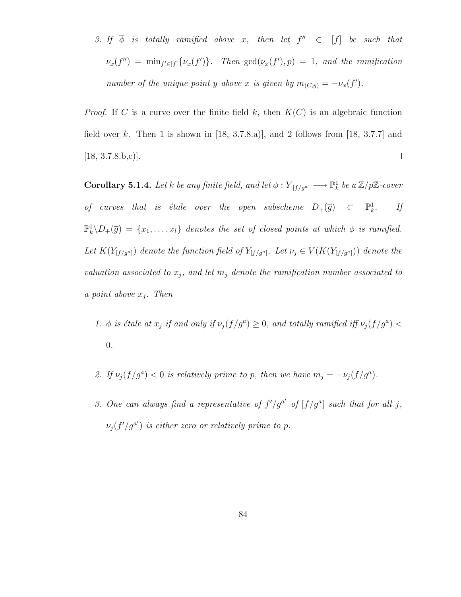3. If  $\overline{\phi}$  is totally ramified above x, then let  $f'' \in [f]$  be such that  $\nu_x(f'') = \min_{f' \in [f]} \{ \nu_x(f') \}.$  Then  $\gcd(\nu_x(f'), p) = 1$ , and the ramification number of the unique point y above x is given by  $m_{(C,y)} = -\nu_x(f')$ .

*Proof.* If C is a curve over the finite field k, then  $K(C)$  is an algebraic function field over k. Then 1 is shown in  $[18, 3.7.8a]$ , and 2 follows from  $[18, 3.7.7]$  and  $[18, 3.7.8.b,c]$ .  $\Box$ 

**Corollary 5.1.4.** Let k be any finite field, and let  $\phi : \overline{Y}_{[f/g^a]} \longrightarrow \mathbb{P}^1_k$  be a  $\mathbb{Z}/p\mathbb{Z}$ -cover of curves that is étale over the open subscheme  $D_+(\overline{g})$   $\subset$   $\mathbb{P}^1_k$ . If  $\mathbb{P}_k^1 \backslash D_+(\overline{g}) = \{x_1, \ldots, x_l\}$  denotes the set of closed points at which  $\phi$  is ramified. Let  $K(Y_{[f/g^a]})$  denote the function field of  $Y_{[f/g^a]}$ . Let  $\nu_j \in V(K(Y_{[f/g^a]}))$  denote the valuation associated to  $x_j$ , and let  $m_j$  denote the ramification number associated to a point above  $x_i$ . Then

- 1.  $\phi$  is étale at  $x_j$  if and only if  $\nu_j(f/g^a) \geq 0$ , and totally ramified iff  $\nu_j(f/g^a)$ 0.
- 2. If  $\nu_j(f/g^a) < 0$  is relatively prime to p, then we have  $m_j = -\nu_j(f/g^a)$ .
- 3. One can always find a representative of  $f'/g^{a'}$  of  $[f/g^{a}]$  such that for all j,  $\nu_j(f'/g^{a'})$  is either zero or relatively prime to p.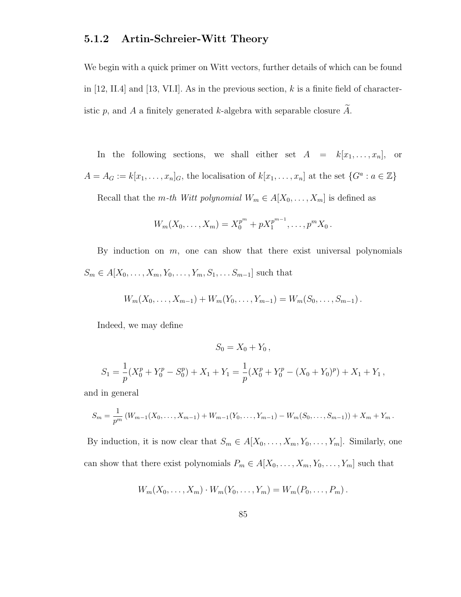### 5.1.2 Artin-Schreier-Witt Theory

We begin with a quick primer on Witt vectors, further details of which can be found in [12, II.4] and [13, VI.I]. As in the previous section, k is a finite field of characteristic p, and A a finitely generated k-algebra with separable closure  $\widetilde{A}$ .

In the following sections, we shall either set  $A = k[x_1, \ldots, x_n],$  or  $A = A_G := k[x_1, \ldots, x_n]_G$ , the localisation of  $k[x_1, \ldots, x_n]$  at the set  $\{G^a : a \in \mathbb{Z}\}\$ 

Recall that the m-th Witt polynomial  $W_m \in A[X_0, \ldots, X_m]$  is defined as

$$
W_m(X_0,\ldots,X_m) = X_0^{p^m} + pX_1^{p^{m-1}},\ldots,p^m X_0.
$$

By induction on  $m$ , one can show that there exist universal polynomials  $S_m \in A[X_0, \ldots, X_m, Y_0, \ldots, Y_m, S_1, \ldots, S_{m-1}]$  such that

$$
W_m(X_0,\ldots,X_{m-1})+W_m(Y_0,\ldots,Y_{m-1})=W_m(S_0,\ldots,S_{m-1}).
$$

Indeed, we may define

$$
S_0 = X_0 + Y_0,
$$
  
\n
$$
S_1 = \frac{1}{p}(X_0^p + Y_0^p - S_0^p) + X_1 + Y_1 = \frac{1}{p}(X_0^p + Y_0^p - (X_0 + Y_0)^p) + X_1 + Y_1,
$$

and in general

$$
S_m = \frac{1}{p^m} (W_{m-1}(X_0, \ldots, X_{m-1}) + W_{m-1}(Y_0, \ldots, Y_{m-1}) - W_m(S_0, \ldots, S_{m-1})) + X_m + Y_m.
$$

By induction, it is now clear that  $S_m \in A[X_0, \ldots, X_m, Y_0, \ldots, Y_m]$ . Similarly, one can show that there exist polynomials  $P_m \in A[X_0, \ldots, X_m, Y_0, \ldots, Y_m]$  such that

$$
W_m(X_0,\ldots,X_m)\cdot W_m(Y_0,\ldots,Y_m)=W_m(P_0,\ldots,P_m)\,.
$$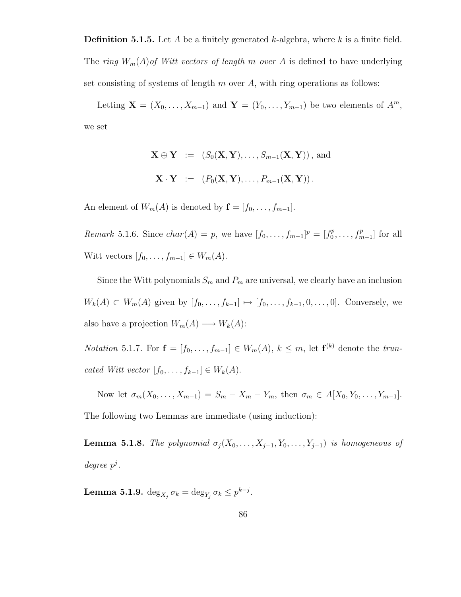**Definition 5.1.5.** Let A be a finitely generated k-algebra, where k is a finite field. The ring  $W_m(A)$  of Witt vectors of length m over A is defined to have underlying set consisting of systems of length  $m$  over  $A$ , with ring operations as follows:

Letting  $\mathbf{X} = (X_0, \ldots, X_{m-1})$  and  $\mathbf{Y} = (Y_0, \ldots, Y_{m-1})$  be two elements of  $A^m$ , we set

$$
\mathbf{X} \oplus \mathbf{Y} := (S_0(\mathbf{X}, \mathbf{Y}), \dots, S_{m-1}(\mathbf{X}, \mathbf{Y})), \text{ and}
$$

$$
\mathbf{X} \cdot \mathbf{Y} := (P_0(\mathbf{X}, \mathbf{Y}), \dots, P_{m-1}(\mathbf{X}, \mathbf{Y})).
$$

An element of  $W_m(A)$  is denoted by  $f = [f_0, \ldots, f_{m-1}]$ .

*Remark* 5.1.6. Since  $char(A) = p$ , we have  $[f_0, ..., f_{m-1}]^p = [f_0^p]$  $f_0^p, \ldots, f_{m-1}^p$  for all Witt vectors  $[f_0, \ldots, f_{m-1}] \in W_m(A)$ .

Since the Witt polynomials  $S_m$  and  $P_m$  are universal, we clearly have an inclusion  $W_k(A) \subset W_m(A)$  given by  $[f_0, \ldots, f_{k-1}] \mapsto [f_0, \ldots, f_{k-1}, 0, \ldots, 0]$ . Conversely, we also have a projection  $W_m(A) \longrightarrow W_k(A)$ :

*Notation* 5.1.7. For  $\mathbf{f} = [f_0, \ldots, f_{m-1}] \in W_m(A), k \leq m$ , let  $\mathbf{f}^{(k)}$  denote the truncated Witt vector  $[f_0, \ldots, f_{k-1}] \in W_k(A)$ .

Now let  $\sigma_m(X_0, ..., X_{m-1}) = S_m - X_m - Y_m$ , then  $\sigma_m \in A[X_0, Y_0, ..., Y_{m-1}]$ . The following two Lemmas are immediate (using induction):

**Lemma 5.1.8.** The polynomial  $\sigma_j(X_0, \ldots, X_{j-1}, Y_0, \ldots, Y_{j-1})$  is homogeneous of  $degree\ p^j$ .

Lemma 5.1.9.  $\deg_{X_j} \sigma_k = \deg_{Y_j} \sigma_k \leq p^{k-j}$ .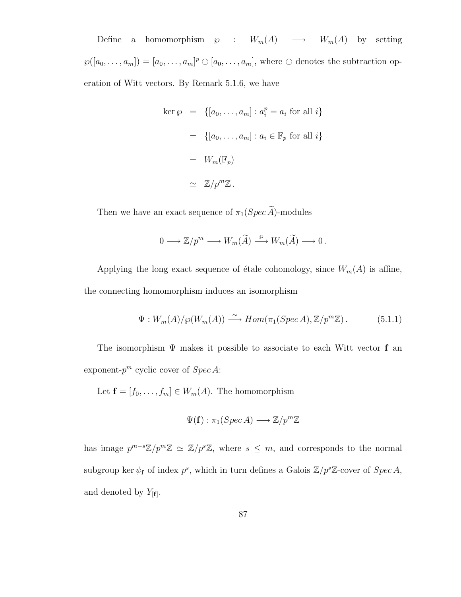Define a homomorphism  $\wp$  :  $W_m(A) \longrightarrow W_m(A)$  by setting  $\wp([a_0,\ldots,a_m]) = [a_0,\ldots,a_m]^p \ominus [a_0,\ldots,a_m]$ , where  $\ominus$  denotes the subtraction operation of Witt vectors. By Remark 5.1.6, we have

$$
\begin{aligned}\n\ker \wp &= \{ [a_0, \dots, a_m] : a_i^p = a_i \text{ for all } i \} \\
&= \{ [a_0, \dots, a_m] : a_i \in \mathbb{F}_p \text{ for all } i \} \\
&= W_m(\mathbb{F}_p) \\
&\simeq \mathbb{Z}/p^m \mathbb{Z}.\n\end{aligned}
$$

Then we have an exact sequence of  $\pi_1(Spec \widetilde{A})$ -modules

$$
0 \longrightarrow \mathbb{Z}/p^m \longrightarrow W_m(\widetilde{A}) \stackrel{\wp}{\longrightarrow} W_m(\widetilde{A}) \longrightarrow 0.
$$

Applying the long exact sequence of étale cohomology, since  $W_m(A)$  is affine, the connecting homomorphism induces an isomorphism

$$
\Psi: W_m(A)/\wp(W_m(A)) \xrightarrow{\simeq} Hom(\pi_1(Spec\,A), \mathbb{Z}/p^m\mathbb{Z}). \tag{5.1.1}
$$

The isomorphism  $\Psi$  makes it possible to associate to each Witt vector **f** an exponent- $p^m$  cyclic cover of  $Spec A$ :

Let  $f = [f_0, \ldots, f_m] \in W_m(A)$ . The homomorphism

$$
\Psi(\mathbf{f}): \pi_1(Spec\,A) \longrightarrow \mathbb{Z}/p^m\mathbb{Z}
$$

has image  $p^{m-s}\mathbb{Z}/p^m\mathbb{Z} \simeq \mathbb{Z}/p^s\mathbb{Z}$ , where  $s \leq m$ , and corresponds to the normal subgroup ker  $\psi_f$  of index  $p^s$ , which in turn defines a Galois  $\mathbb{Z}/p^s\mathbb{Z}$ -cover of  $Spec A$ , and denoted by  $Y_{[f]}$ .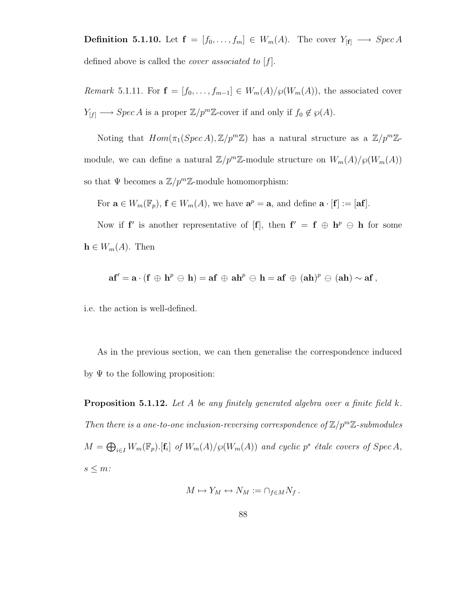**Definition 5.1.10.** Let  $f = [f_0, \ldots, f_m] \in W_m(A)$ . The cover  $Y_{[f]} \longrightarrow Spec A$ defined above is called the *cover* associated to  $[f]$ .

Remark 5.1.11. For  $\mathbf{f} = [f_0, \ldots, f_{m-1}] \in W_m(A)/\wp(W_m(A))$ , the associated cover  $Y_{[f]} \longrightarrow Spec A$  is a proper  $\mathbb{Z}/p^m\mathbb{Z}$ -cover if and only if  $f_0 \notin \wp(A)$ .

Noting that  $Hom(\pi_1(Spec A), \mathbb{Z}/p^m \mathbb{Z})$  has a natural structure as a  $\mathbb{Z}/p^m \mathbb{Z}$ module, we can define a natural  $\mathbb{Z}/p^m\mathbb{Z}$ -module structure on  $W_m(A)/\wp(W_m(A))$ so that  $\Psi$  becomes a  $\mathbb{Z}/p^m\mathbb{Z}$ -module homomorphism:

For  $\mathbf{a} \in W_m(\mathbb{F}_p)$ ,  $\mathbf{f} \in W_m(A)$ , we have  $\mathbf{a}^p = \mathbf{a}$ , and define  $\mathbf{a} \cdot [\mathbf{f}] := [\mathbf{a}\mathbf{f}]$ .

Now if **f**' is another representative of [**f**], then  $f' = f \oplus h^p \oplus h$  for some  $\mathbf{h} \in W_m(A)$ . Then

$$
\mathbf{af}' = \mathbf{a} \cdot (\mathbf{f} \oplus \mathbf{h}^p \ominus \mathbf{h}) = \mathbf{af} \oplus \mathbf{ah}^p \ominus \mathbf{h} = \mathbf{af} \oplus (\mathbf{ah})^p \ominus (\mathbf{ah}) \sim \mathbf{af},
$$

i.e. the action is well-defined.

As in the previous section, we can then generalise the correspondence induced by  $\Psi$  to the following proposition:

**Proposition 5.1.12.** Let A be any finitely generated algebra over a finite field k. Then there is a one-to-one inclusion-reversing correspondence of  $\mathbb{Z}/p^m\mathbb{Z}$ -submodules  $M = \bigoplus_{i \in I} W_m(\mathbb{F}_p)$ . [f<sub>i</sub>] of  $W_m(A)/\wp(W_m(A))$  and cyclic p<sup>s</sup> étale covers of Spec A,  $s \leq m$ :

$$
M \mapsto Y_M \leftrightarrow N_M := \cap_{f \in M} N_f \, .
$$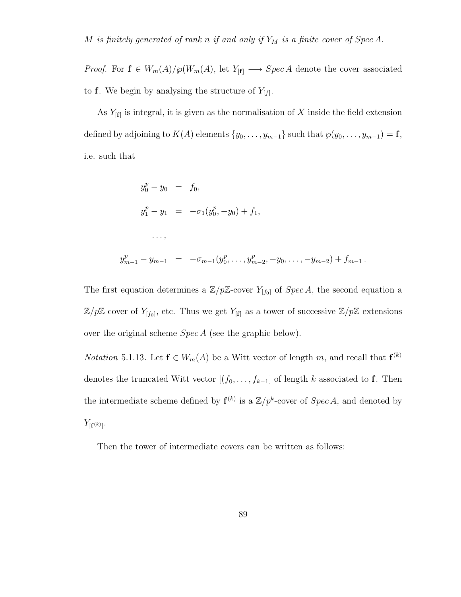*Proof.* For  $f \in W_m(A)/\wp(W_m(A))$ , let  $Y_{[f]} \longrightarrow Spec A$  denote the cover associated to **f**. We begin by analysing the structure of  $Y_{[f]}$ .

As  $Y_{[f]}$  is integral, it is given as the normalisation of X inside the field extension defined by adjoining to  $K(A)$  elements  $\{y_0, \ldots, y_{m-1}\}$  such that  $\varphi(y_0, \ldots, y_{m-1}) = \mathbf{f}$ , i.e. such that

$$
y_0^p - y_0 = f_0,
$$
  
\n
$$
y_1^p - y_1 = -\sigma_1(y_0^p, -y_0) + f_1,
$$
  
\n...  
\n
$$
y_1^p - y_1 = -\sigma_{n-1}(y_0^p, \dots, y_{m-2}^p, -y_0, \dots, -y_{m-2}) + f_{m-1}.
$$

The first equation determines a  $\mathbb{Z}/p\mathbb{Z}$ -cover  $Y_{[f_0]}$  of  $Spec A$ , the second equation a  $\mathbb{Z}/p\mathbb{Z}$  cover of  $Y_{[f_0]}$ , etc. Thus we get  $Y_{[f]}$  as a tower of successive  $\mathbb{Z}/p\mathbb{Z}$  extensions over the original scheme Spec A (see the graphic below).

 $y_n^p$ 

*Notation* 5.1.13. Let  $f \in W_m(A)$  be a Witt vector of length m, and recall that  $f^{(k)}$ denotes the truncated Witt vector  $[(f_0, \ldots, f_{k-1}]$  of length k associated to **f**. Then the intermediate scheme defined by  $f^{(k)}$  is a  $\mathbb{Z}/p^k$ -cover of  $Spec A$ , and denoted by  $Y_{[{\bf f}^{(k)}]}.$ 

Then the tower of intermediate covers can be written as follows: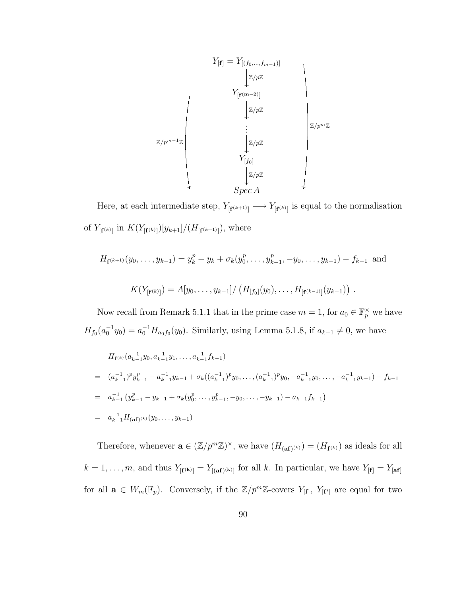

Here, at each intermediate step,  $Y_{\lfloor f^{(k+1)} \rfloor} \longrightarrow Y_{\lfloor f^{(k)} \rfloor}$  is equal to the normalisation of  $Y_{[{\bf f}^{(k)}]}$  in  $K(Y_{[{\bf f}^{(k)}]})[y_{k+1}]/(H_{[{\bf f}^{(k+1)}]}),$  where

$$
H_{\mathbf{f}^{(k+1)}}(y_0, \dots, y_{k-1}) = y_k^p - y_k + \sigma_k(y_0^p, \dots, y_{k-1}^p, -y_0, \dots, y_{k-1}) - f_{k-1} \text{ and}
$$
  

$$
K(Y_{[\mathbf{f}^{(k)}]}) = A[y_0, \dots, y_{k-1}] / (H_{[f_0]}(y_0), \dots, H_{[\mathbf{f}^{(k-1)}]}(y_{k-1})).
$$

Now recall from Remark 5.1.1 that in the prime case  $m = 1$ , for  $a_0 \in \mathbb{F}_p^{\times}$  we have  $H_{f_0}(a_0^{-1}y_0) = a_0^{-1}H_{a_0f_0}(y_0)$ . Similarly, using Lemma 5.1.8, if  $a_{k-1} \neq 0$ , we have

$$
H_{\mathbf{f}^{(k)}}(a_{k-1}^{-1}y_0, a_{k-1}^{-1}y_1, \dots, a_{k-1}^{-1}f_{k-1})
$$
  
\n
$$
= (a_{k-1}^{-1})^p y_{k-1}^p - a_{k-1}^{-1} y_{k-1} + \sigma_k ((a_{k-1}^{-1})^p y_0, \dots, (a_{k-1}^{-1})^p y_0, -a_{k-1}^{-1} y_0, \dots, -a_{k-1}^{-1} y_{k-1}) - f_{k-1}
$$
  
\n
$$
= a_{k-1}^{-1} (y_{k-1}^p - y_{k-1} + \sigma_k (y_0^p, \dots, y_{k-1}^p, -y_0, \dots, -y_{k-1}) - a_{k-1} f_{k-1})
$$
  
\n
$$
= a_{k-1}^{-1} H_{(\mathbf{af})^{(k)}}(y_0, \dots, y_{k-1})
$$

Therefore, whenever  $\mathbf{a} \in (\mathbb{Z}/p^m \mathbb{Z})^{\times}$ , we have  $(H_{(\mathbf{af})^{(k)}}) = (H_{\mathbf{f}^{(k)}})$  as ideals for all  $k = 1, \ldots, m$ , and thus  $Y_{[\mathbf{f}^{(\mathbf{k})}]} = Y_{[(\mathbf{af})^{(\mathbf{k})}]}$  for all k. In particular, we have  $Y_{[\mathbf{f}]} = Y_{[\mathbf{af}]}$ for all  $\mathbf{a} \in W_m(\mathbb{F}_p)$ . Conversely, if the  $\mathbb{Z}/p^m\mathbb{Z}$ -covers  $Y_{[\mathbf{f}]}, Y_{[\mathbf{f}']}$  are equal for two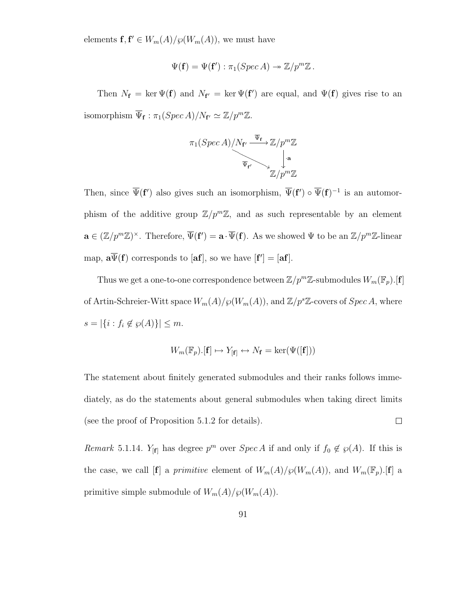elements  $f, f' \in W_m(A)/\wp(W_m(A))$ , we must have

$$
\Psi(\mathbf{f}) = \Psi(\mathbf{f}') : \pi_1(Spec\,A) \to \mathbb{Z}/p^m\mathbb{Z} \, .
$$

Then  $N_f = \ker \Psi(f)$  and  $N_{f'} = \ker \Psi(f')$  are equal, and  $\Psi(f)$  gives rise to an isomorphism  $\overline{\Psi}_{\mathbf{f}} : \pi_1(Spec\,A)/N_{\mathbf{f}'} \simeq \mathbb{Z}/p^m\mathbb{Z}.$ 

$$
\pi_1(Spec\ A)/N_{\mathbf{f}'} \xrightarrow{\overline{\Psi}_{\mathbf{f}}} \mathbb{Z}/p^m \mathbb{Z}
$$
\n
$$
\downarrow \mathbf{a}
$$
\n
$$
\mathbb{Z}/p^m \mathbb{Z}
$$

Then, since  $\overline{\Psi}(\mathbf{f}')$  also gives such an isomorphism,  $\overline{\Psi}(\mathbf{f}') \circ \overline{\Psi}(\mathbf{f})^{-1}$  is an automorphism of the additive group  $\mathbb{Z}/p^m\mathbb{Z}$ , and as such representable by an element  $\mathbf{a} \in (\mathbb{Z}/p^m\mathbb{Z})^{\times}$ . Therefore,  $\overline{\Psi}(\mathbf{f}') = \mathbf{a} \cdot \overline{\Psi}(\mathbf{f})$ . As we showed  $\Psi$  to be an  $\mathbb{Z}/p^m\mathbb{Z}$ -linear map,  $\mathbf{a}\overline{\Psi}(\mathbf{f})$  corresponds to  $[\mathbf{af}]$ , so we have  $[\mathbf{f}'] = [\mathbf{af}]$ .

Thus we get a one-to-one correspondence between  $\mathbb{Z}/p^m\mathbb{Z}$  submodules  $W_m(\mathbb{F}_p).[{\bf f}]$ of Artin-Schreier-Witt space  $W_m(A)/\wp(W_m(A)),$  and  $\mathbb{Z}/p^s\mathbb{Z}$ -covers of  $Spec\,A,$  where  $s = |\{i : f_i \notin \wp(A)\}| \leq m$ .

$$
W_m(\mathbb{F}_p).[\mathbf{f}] \mapsto Y_{[\mathbf{f}]} \leftrightarrow N_{\mathbf{f}} = \ker(\Psi([\mathbf{f}]))
$$

The statement about finitely generated submodules and their ranks follows immediately, as do the statements about general submodules when taking direct limits (see the proof of Proposition 5.1.2 for details).  $\Box$ 

Remark 5.1.14. Y<sub>[f]</sub> has degree  $p^m$  over  $Spec A$  if and only if  $f_0 \notin \mathcal{P}(A)$ . If this is the case, we call  $[\mathbf{f}]$  a *primitive* element of  $W_m(A)/\wp(W_m(A))$ , and  $W_m(\mathbb{F}_p)$ .  $[\mathbf{f}]$  a primitive simple submodule of  $W_m(A)/\wp(W_m(A)).$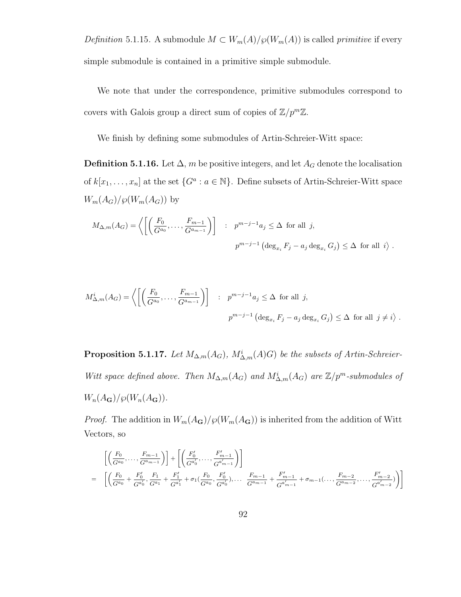Definition 5.1.15. A submodule  $M \subset W_m(A)/\wp(W_m(A))$  is called primitive if every simple submodule is contained in a primitive simple submodule.

We note that under the correspondence, primitive submodules correspond to covers with Galois group a direct sum of copies of  $\mathbb{Z}/p^m\mathbb{Z}$ .

We finish by defining some submodules of Artin-Schreier-Witt space:

**Definition 5.1.16.** Let  $\Delta$ ,  $m$  be positive integers, and let  $A_G$  denote the localisation of  $k[x_1, \ldots, x_n]$  at the set  $\{G^a : a \in \mathbb{N}\}\$ . Define subsets of Artin-Schreier-Witt space  $W_m(A_G)/\wp(W_m(A_G))$  by

$$
M_{\Delta,m}(A_G) = \left\langle \left[ \left( \frac{F_0}{G^{a_0}}, \dots, \frac{F_{m-1}}{G^{a_{m-1}}} \right) \right] \ : \ p^{m-j-1} a_j \leq \Delta \text{ for all } j,
$$
  

$$
p^{m-j-1} \left( \deg_{x_i} F_j - a_j \deg_{x_i} G_j \right) \leq \Delta \text{ for all } i \rangle.
$$

$$
M_{\Delta,m}^i(A_G) = \left\langle \left[ \left( \frac{F_0}{G^{a_0}}, \dots, \frac{F_{m-1}}{G^{a_{m-1}}} \right) \right] : p^{m-j-1} a_j \le \Delta \text{ for all } j,
$$
  

$$
p^{m-j-1} \left( \deg_{x_i} F_j - a_j \deg_{x_i} G_j \right) \le \Delta \text{ for all } j \neq i \right\rangle.
$$

**Proposition 5.1.17.** Let  $M_{\Delta,m}(A_G)$ ,  $M_{\Delta,m}^i(A)$  be the subsets of Artin-Schreier-Witt space defined above. Then  $M_{\Delta,m}(A_G)$  and  $M_{\Delta,m}^i(A_G)$  are  $\mathbb{Z}/p^m$ -submodules of  $W_n(A_{\mathbf{G}})/\wp(W_n(A_{\mathbf{G}})).$ 

*Proof.* The addition in  $W_m(A_G)/\wp(W_m(A_G))$  is inherited from the addition of Witt Vectors, so

$$
\begin{split}\n&\left[\left(\frac{F_0}{G^{a_0}},\ldots,\frac{F_{m-1}}{G^{a_{m-1}}}\right)\right] + \left[\left(\frac{F'_0}{G^{a'_0}},\ldots,\frac{F'_{m-1}}{G^{a'_{m-1}}}\right)\right] \\
&= \left[\left(\frac{F_0}{G^{a_0}} + \frac{F'_0}{G^{a'_0}},\frac{F_1}{G^{a_1}} + \frac{F'_1}{G^{a'_1}} + \sigma_1(\frac{F_0}{G^{a_0}},\frac{F'_0}{G^{a'_0}}),\ldots,\frac{F_{m-1}}{G^{a_{m-1}}} + \frac{F'_{m-1}}{G^{a'_{m-1}}} + \sigma_{m-1}(\ldots,\frac{F_{m-2}}{G^{a_{m-2}}},\ldots,\frac{F'_{m-2}}{G^{a'_{m-2}}})\right)\right]\n\end{split}
$$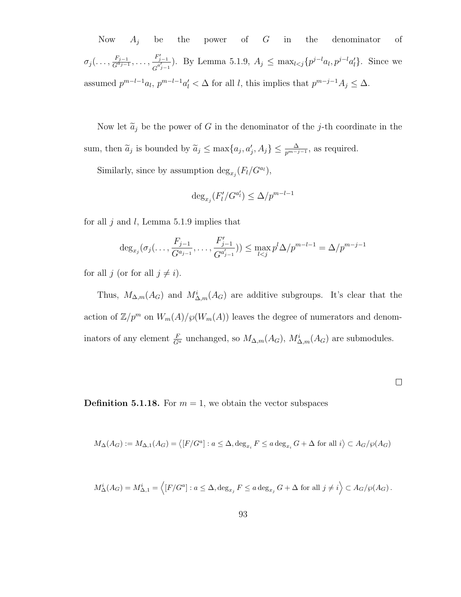Now  $A_j$  be the power of  $G$  in the denominator of  $\sigma_j(\ldots,\frac{F_{j-1}}{G^{a_{j-1}}}$  $\frac{F'_{j-1}}{G^{a_{j-1}}}, \ldots, \frac{F'_{j-1}}{G^{a'_{j-1}}}$  $\frac{F_{j-1}}{G^{a'_{j-1}}}$ ). By Lemma 5.1.9,  $A_j$  ≤ max<sub>l ≤j</sub>{ $p^{j-l}a_l$ ,  $p^{j-l}a'_l$ }. Since we assumed  $p^{m-l-1}a_l$ ,  $p^{m-l-1}a'_l < \Delta$  for all l, this implies that  $p^{m-j-1}A_j \leq \Delta$ .

Now let  $\tilde{a}_j$  be the power of G in the denominator of the j-th coordinate in the sum, then  $\tilde{a}_j$  is bounded by  $\tilde{a}_j \le \max\{a_j, a'_j, A_j\} \le \frac{\Delta}{p^{m-j-1}}$ , as required.

Similarly, since by assumption  $\deg_{x_j}(F_l/G^{a_l}),$ 

$$
\deg_{x_j}(F'_l/G^{a'_l}) \le \Delta/p^{m-l-1}
$$

for all  $j$  and  $l$ , Lemma 5.1.9 implies that

$$
\deg_{x_j}(\sigma_j(\ldots, \frac{F_{j-1}}{G^{a_{j-1}}}, \ldots, \frac{F'_{j-1}}{G^{a_{j-1}'}})) \le \max_{l < j} p^l \Delta / p^{m-l-1} = \Delta / p^{m-j-1}
$$

for all  $j$  (or for all  $j \neq i$ ).

Thus,  $M_{\Delta,m}(A_G)$  and  $M_{\Delta,m}^i(A_G)$  are additive subgroups. It's clear that the action of  $\mathbb{Z}/p^m$  on  $W_m(A)/\wp(W_m(A))$  leaves the degree of numerators and denominators of any element  $\frac{F}{G^a}$  unchanged, so  $M_{\Delta,m}(A_G)$ ,  $M_{\Delta,m}(A_G)$  are submodules.

 $\Box$ 

**Definition 5.1.18.** For  $m = 1$ , we obtain the vector subspaces

$$
M_{\Delta}(A_G):=M_{\Delta,1}(A_G)=\big\langle [F/G^a]: a\leq \Delta, \deg_{x_i} F\leq a\deg_{x_i} G+\Delta \text{ for all } i\big\rangle \subset A_G/\wp(A_G)
$$

$$
M^i_{\Delta}(A_G) = M^i_{\Delta,1} = \left\langle [F/G^a] : a \leq \Delta, \deg_{x_j} F \leq a \deg_{x_j} G + \Delta \text{ for all } j \neq i \right\rangle \subset A_G/\wp(A_G).
$$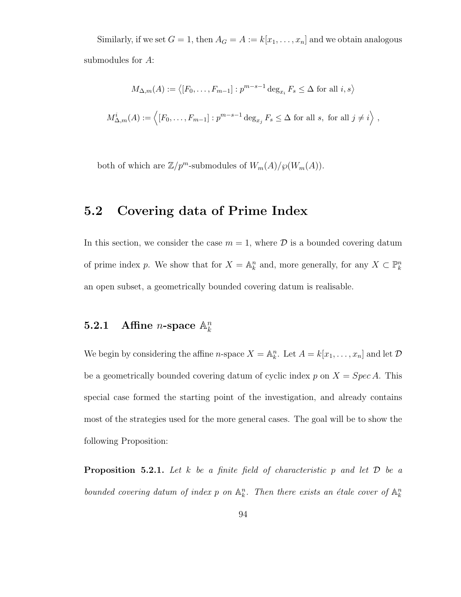Similarly, if we set  $G = 1$ , then  $A_G = A := k[x_1, \ldots, x_n]$  and we obtain analogous submodules for A:

$$
M_{\Delta,m}(A) := \langle [F_0, \dots, F_{m-1}] : p^{m-s-1} \deg_{x_i} F_s \le \Delta \text{ for all } i, s \rangle
$$
  

$$
M_{\Delta,m}^i(A) := \langle [F_0, \dots, F_{m-1}] : p^{m-s-1} \deg_{x_j} F_s \le \Delta \text{ for all } s, \text{ for all } j \ne i \rangle ,
$$

both of which are  $\mathbb{Z}/p^m$ -submodules of  $W_m(A)/\wp(W_m(A))$ .

# 5.2 Covering data of Prime Index

In this section, we consider the case  $m = 1$ , where  $\mathcal D$  is a bounded covering datum of prime index p. We show that for  $X = \mathbb{A}^n_k$  and, more generally, for any  $X \subset \mathbb{P}^n_k$ an open subset, a geometrically bounded covering datum is realisable.

#### 5.2.1 Affine *n*-space  $\mathbb{A}_k^n$ k

We begin by considering the affine *n*-space  $X = \mathbb{A}_k^n$ . Let  $A = k[x_1, \ldots, x_n]$  and let  $D$ be a geometrically bounded covering datum of cyclic index  $p$  on  $X = Spec A$ . This special case formed the starting point of the investigation, and already contains most of the strategies used for the more general cases. The goal will be to show the following Proposition:

**Proposition 5.2.1.** Let k be a finite field of characteristic p and let  $D$  be a bounded covering datum of index p on  $\mathbb{A}_k^n$ . Then there exists an étale cover of  $\mathbb{A}_k^n$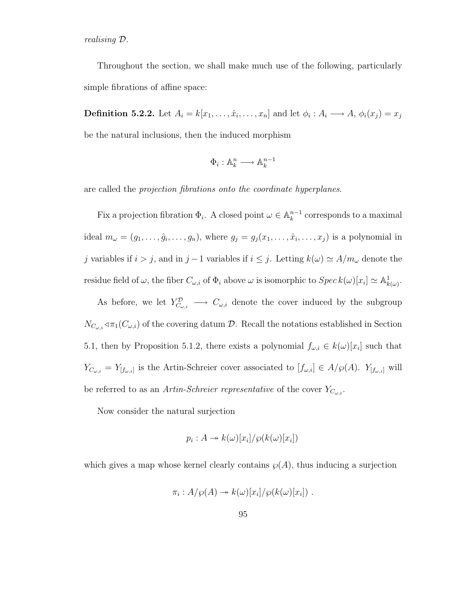realising D.

Throughout the section, we shall make much use of the following, particularly simple fibrations of affine space:

**Definition 5.2.2.** Let  $A_i = k[x_1, \ldots, \hat{x}_i, \ldots, x_n]$  and let  $\phi_i : A_i \longrightarrow A, \phi_i(x_j) = x_j$ be the natural inclusions, then the induced morphism

$$
\Phi_i:\mathbb{A}_k^n\longrightarrow\mathbb{A}_k^{n-1}
$$

are called the projection fibrations onto the coordinate hyperplanes.

Fix a projection fibration  $\Phi_i$ . A closed point  $\omega \in \mathbb{A}_k^{n-1}$  $k^{n-1}$  corresponds to a maximal ideal  $m_{\omega} = (g_1, \ldots, \hat{g}_i, \ldots, g_n)$ , where  $g_j = g_j(x_1, \ldots, \hat{x}_i, \ldots, x_j)$  is a polynomial in j variables if  $i > j$ , and in j − 1 variables if  $i \leq j$ . Letting  $k(\omega) \simeq A/m_{\omega}$  denote the residue field of  $\omega$ , the fiber  $C_{\omega,i}$  of  $\Phi_i$  above  $\omega$  is isomorphic to  $Spec\, k(\omega)[x_i] \simeq \mathbb{A}^1_{k(\omega)}$ .

As before, we let  $Y_{C_{\omega,i}}^{\mathcal{D}} \longrightarrow C_{\omega,i}$  denote the cover induced by the subgroup  $N_{C_{\omega,i}} \triangleleft \pi_1(C_{\omega,i})$  of the covering datum  $\mathcal{D}$ . Recall the notations established in Section 5.1, then by Proposition 5.1.2, there exists a polynomial  $f_{\omega,i} \in k(\omega)[x_i]$  such that  $Y_{C_{\omega,i}} = Y_{[f_{\omega,i}]}$  is the Artin-Schreier cover associated to  $[f_{\omega,i}] \in A/\wp(A)$ .  $Y_{[f_{\omega,i}]}$  will be referred to as an Artin-Schreier representative of the cover  $Y_{C_{\omega,i}}$ .

Now consider the natural surjection

$$
p_i : A \twoheadrightarrow k(\omega)[x_i]/\wp(k(\omega)[x_i])
$$

which gives a map whose kernel clearly contains  $\mathcal{O}(A)$ , thus inducing a surjection

$$
\pi_i: A/\wp(A) \to k(\omega)[x_i]/\wp(k(\omega)[x_i]) .
$$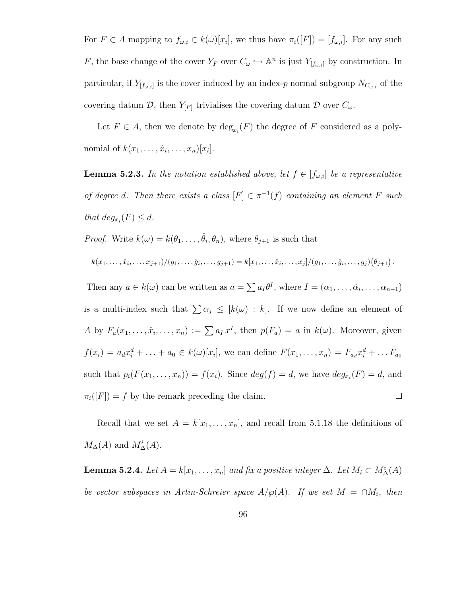For  $F \in A$  mapping to  $f_{\omega,i} \in k(\omega)[x_i]$ , we thus have  $\pi_i([F]) = [f_{\omega,i}]$ . For any such F, the base change of the cover  $Y_F$  over  $C_\omega \hookrightarrow \mathbb{A}^n$  is just  $Y_{[f_\omega,i]}$  by construction. In particular, if  $Y_{[f_{\omega,i}]}$  is the cover induced by an index-p normal subgroup  $N_{C_{\omega,i}}$  of the covering datum  $\mathcal{D}$ , then  $Y_{[F]}$  trivialises the covering datum  $\mathcal{D}$  over  $C_{\omega}$ .

Let  $F \in A$ , then we denote by  $\deg_{x_i}(F)$  the degree of F considered as a polynomial of  $k(x_1, \ldots, \hat{x}_i, \ldots, x_n)[x_i].$ 

**Lemma 5.2.3.** In the notation established above, let  $f \in [f_{\omega,i}]$  be a representative of degree d. Then there exists a class  $[F] \in \pi^{-1}(f)$  containing an element F such that  $deg_{x_i}(F) \leq d$ .

*Proof.* Write  $k(\omega) = k(\theta_1, \dots, \hat{\theta}_i, \theta_n)$ , where  $\theta_{j+1}$  is such that

$$
k(x_1,\ldots,\hat{x}_i,\ldots,x_{j+1})/(g_1,\ldots,\hat{g}_i,\ldots,g_{j+1})=k[x_1,\ldots,\hat{x}_i,\ldots,x_j]/(g_1,\ldots,\hat{g}_i,\ldots,g_j)(\theta_{j+1}).
$$

Then any  $a \in k(\omega)$  can be written as  $a = \sum a_I \theta^I$ , where  $I = (\alpha_1, \dots, \hat{\alpha}_i, \dots, \alpha_{n-1})$ is a multi-index such that  $\sum \alpha_j \leq [k(\omega) : k]$ . If we now define an element of A by  $F_a(x_1,\ldots,\hat{x}_i,\ldots,x_n) := \sum a_I x^I$ , then  $p(F_a) = a$  in  $k(\omega)$ . Moreover, given  $f(x_i) = a_d x_i^d + \ldots + a_0 \in k(\omega)[x_i]$ , we can define  $F(x_1, \ldots, x_n) = F_{a_d} x_i^d + \ldots F_{a_0}$ such that  $p_i(F(x_1,...,x_n)) = f(x_i)$ . Since  $deg(f) = d$ , we have  $deg_{x_i}(F) = d$ , and  $\pi_i([F]) = f$  by the remark preceding the claim.  $\Box$ 

Recall that we set  $A = k[x_1, \ldots, x_n]$ , and recall from 5.1.18 the definitions of  $M_{\Delta}(A)$  and  $M_{\Delta}^{i}(A)$ .

**Lemma 5.2.4.** Let  $A = k[x_1, \ldots, x_n]$  and fix a positive integer  $\Delta$ . Let  $M_i \subset M_{\Delta}^i(A)$ be vector subspaces in Artin-Schreier space  $A/\wp(A)$ . If we set  $M = \cap M_i$ , then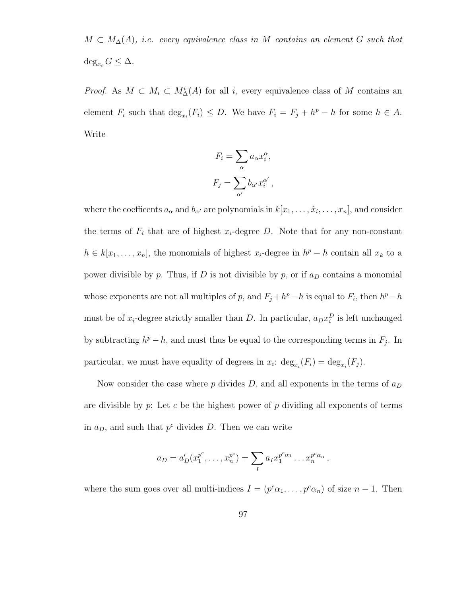$M \subset M_{\Delta}(A)$ , i.e. every equivalence class in M contains an element G such that  $\deg_{x_i} G \leq \Delta.$ 

*Proof.* As  $M \subset M_i \subset M^i_{\Delta}(A)$  for all i, every equivalence class of M contains an element  $F_i$  such that  $\deg_{x_i}(F_i) \leq D$ . We have  $F_i = F_j + h^p - h$  for some  $h \in A$ . Write

$$
F_i = \sum_{\alpha} a_{\alpha} x_i^{\alpha},
$$

$$
F_j = \sum_{\alpha'} b_{\alpha'} x_i^{\alpha'},
$$

where the coefficents  $a_{\alpha}$  and  $b_{\alpha'}$  are polynomials in  $k[x_1, \ldots, \hat{x}_i, \ldots, x_n]$ , and consider the terms of  $F_i$  that are of highest  $x_i$ -degree D. Note that for any non-constant  $h \in k[x_1, \ldots, x_n]$ , the monomials of highest  $x_i$ -degree in  $h^p - h$  contain all  $x_k$  to a power divisible by p. Thus, if D is not divisible by p, or if  $a_D$  contains a monomial whose exponents are not all multiples of p, and  $F_j + h^p - h$  is equal to  $F_i$ , then  $h^p - h$ must be of  $x_i$ -degree strictly smaller than D. In particular,  $a_D x_i^D$  is left unchanged by subtracting  $h^p - h$ , and must thus be equal to the corresponding terms in  $F_j$ . In particular, we must have equality of degrees in  $x_i$ :  $\deg_{x_i}(F_i) = \deg_{x_i}(F_j)$ .

Now consider the case where  $p$  divides  $D$ , and all exponents in the terms of  $a_D$ are divisible by  $p$ : Let  $c$  be the highest power of  $p$  dividing all exponents of terms in  $a_D$ , and such that  $p^c$  divides D. Then we can write

$$
a_D = a'_D(x_1^{p^c}, \dots, x_n^{p^c}) = \sum_I a_I x_1^{p^c \alpha_1} \dots x_n^{p^c \alpha_n},
$$

where the sum goes over all multi-indices  $I = (p^c \alpha_1, \dots, p^c \alpha_n)$  of size  $n-1$ . Then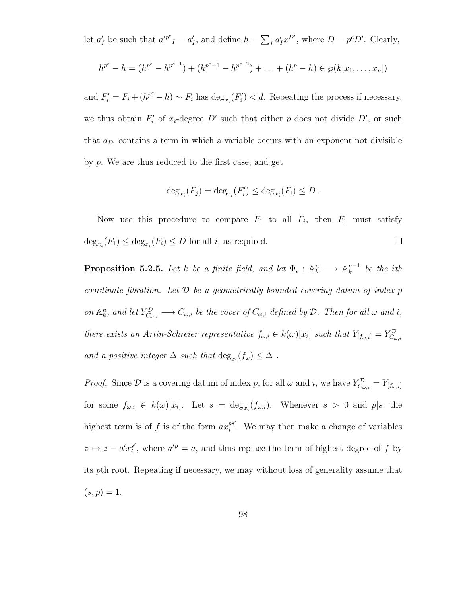let  $a'_I$  be such that  $a'^{p^c}{}_I = a'_I$ , and define  $h = \sum_I a'_I x^{D'}$ , where  $D = p^c D'$ . Clearly,

$$
h^{p^c} - h = (h^{p^c} - h^{p^{c-1}}) + (h^{p^c-1} - h^{p^{c-2}}) + \ldots + (h^p - h) \in \wp(k[x_1, \ldots, x_n])
$$

and  $F_i' = F_i + (h^{p^c} - h) \sim F_i$  has  $\deg_{x_i}(F_i') < d$ . Repeating the process if necessary, we thus obtain  $F_i'$  of  $x_i$ -degree D' such that either p does not divide D', or such that  $a_{D'}$  contains a term in which a variable occurs with an exponent not divisible by p. We are thus reduced to the first case, and get

$$
\deg_{x_i}(F_j) = \deg_{x_i}(F'_i) \le \deg_{x_i}(F_i) \le D.
$$

Now use this procedure to compare  $F_1$  to all  $F_i$ , then  $F_1$  must satisfy  $\deg_{x_i}(F_1) \leq \deg_{x_i}(F_i) \leq D$  for all *i*, as required.  $\Box$ 

**Proposition 5.2.5.** Let k be a finite field, and let  $\Phi_i : \mathbb{A}_k^n \longrightarrow \mathbb{A}_k^{n-1}$  $\frac{n-1}{k}$  be the ith coordinate fibration. Let  $\mathcal D$  be a geometrically bounded covering datum of index  $p$ on  $\mathbb{A}_k^n$ , and let  $Y_{C_{\omega,i}}^{\mathcal{D}} \longrightarrow C_{\omega,i}$  be the cover of  $C_{\omega,i}$  defined by  $\mathcal{D}$ . Then for all  $\omega$  and i, there exists an Artin-Schreier representative  $f_{\omega,i} \in k(\omega)[x_i]$  such that  $Y_{[f_{\omega,i}]} = Y_{C_{\omega,i}}^{\mathcal{D}}$ and a positive integer  $\Delta$  such that  $\deg_{x_i}(f_\omega) \leq \Delta$ .

*Proof.* Since  $\mathcal{D}$  is a covering datum of index p, for all  $\omega$  and i, we have  $Y_{C_{\omega,i}}^{\mathcal{D}} = Y_{[f_{\omega,i}]}$ for some  $f_{\omega,i} \in k(\omega)[x_i]$ . Let  $s = \deg_{x_i}(f_{\omega,i})$ . Whenever  $s > 0$  and  $p|s$ , the highest term is of f is of the form  $ax_i^{ps'}$  $i$ <sup>ps'</sup>. We may then make a change of variables  $z \mapsto z - a'x_i^{s'}$  $s'$ , where  $a'^p = a$ , and thus replace the term of highest degree of f by its pth root. Repeating if necessary, we may without loss of generality assume that  $(s, p) = 1.$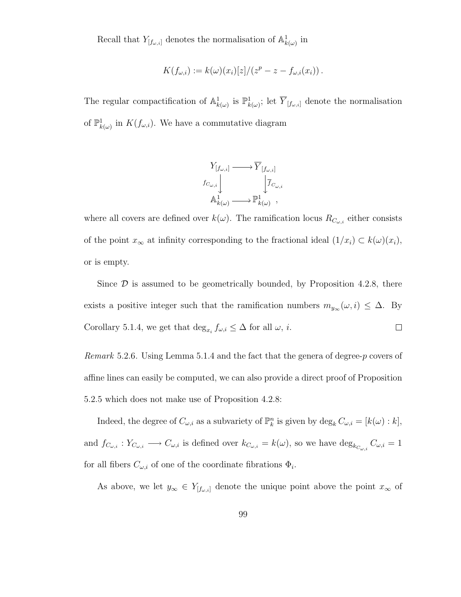Recall that  $Y_{[f_{\omega,i}]}$  denotes the normalisation of  $\mathbb{A}^1_{k(\omega)}$  in

$$
K(f_{\omega,i}) := k(\omega)(x_i)[z]/(z^p - z - f_{\omega,i}(x_i)).
$$

The regular compactification of  $\mathbb{A}^1_{k(\omega)}$  is  $\mathbb{P}^1_{k(\omega)}$ ; let  $\overline{Y}_{[f_{\omega,i}]}$  denote the normalisation of  $\mathbb{P}^1_{k(\omega)}$  in  $K(f_{\omega,i})$ . We have a commutative diagram



where all covers are defined over  $k(\omega)$ . The ramification locus  $R_{C_{\omega,i}}$  either consists of the point  $x_{\infty}$  at infinity corresponding to the fractional ideal  $(1/x_i) \subset k(\omega)(x_i)$ , or is empty.

Since  $\mathcal D$  is assumed to be geometrically bounded, by Proposition 4.2.8, there exists a positive integer such that the ramification numbers  $m_{y_{\infty}}(\omega, i) \leq \Delta$ . By Corollary 5.1.4, we get that  $\deg_{x_i} f_{\omega,i} \leq \Delta$  for all  $\omega, i$ .  $\Box$ 

Remark 5.2.6. Using Lemma 5.1.4 and the fact that the genera of degree-p covers of affine lines can easily be computed, we can also provide a direct proof of Proposition 5.2.5 which does not make use of Proposition 4.2.8:

Indeed, the degree of  $C_{\omega,i}$  as a subvariety of  $\mathbb{P}_k^n$  is given by  $\deg_k C_{\omega,i} = [k(\omega):k],$ and  $f_{C_{\omega,i}}: Y_{C_{\omega,i}} \longrightarrow C_{\omega,i}$  is defined over  $k_{C_{\omega,i}} = k(\omega)$ , so we have  $\deg_{k_{C_{\omega,i}}} C_{\omega,i} = 1$ for all fibers  $C_{\omega,i}$  of one of the coordinate fibrations  $\Phi_i$ .

As above, we let  $y_{\infty} \in Y_{[f_{\omega,i}]}$  denote the unique point above the point  $x_{\infty}$  of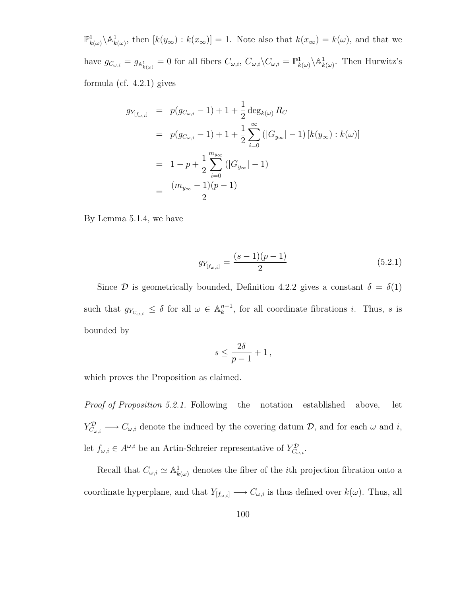$\mathbb{P}^1_{k(\omega)}\setminus\mathbb{A}^1_{k(\omega)}$ , then  $[k(y_\infty):k(x_\infty)]=1$ . Note also that  $k(x_\infty)=k(\omega)$ , and that we have  $g_{C_{\omega,i}} = g_{\mathbb{A}^1_{k(\omega)}} = 0$  for all fibers  $C_{\omega,i}, \overline{C}_{\omega,i}\backslash C_{\omega,i} = \mathbb{P}^1_{k(\omega)}\backslash \mathbb{A}^1_{k(\omega)}$ . Then Hurwitz's formula (cf. 4.2.1) gives

$$
g_{Y_{[f_{\omega,i}]}} = p(g_{C_{\omega,i}} - 1) + 1 + \frac{1}{2} \deg_{k(\omega)} R_C
$$
  
=  $p(g_{C_{\omega,i}} - 1) + 1 + \frac{1}{2} \sum_{i=0}^{\infty} (|G_{y_{\infty}}| - 1) [k(y_{\infty}) : k(\omega)]$   
=  $1 - p + \frac{1}{2} \sum_{i=0}^{m_{y_{\infty}}} (|G_{y_{\infty}}| - 1)$   
=  $\frac{(m_{y_{\infty}} - 1)(p - 1)}{2}$ 

By Lemma 5.1.4, we have

$$
g_{Y_{[f_{\omega,i}]}} = \frac{(s-1)(p-1)}{2} \tag{5.2.1}
$$

Since  $\mathcal D$  is geometrically bounded, Definition 4.2.2 gives a constant  $\delta = \delta(1)$ such that  $g_{Y_{C_{\omega,i}}} \leq \delta$  for all  $\omega \in \mathbb{A}_k^{n-1}$  $k^{n-1}$ , for all coordinate fibrations *i*. Thus, *s* is bounded by

$$
s\leq \frac{2\delta}{p-1}+1\,,
$$

which proves the Proposition as claimed.

Proof of Proposition 5.2.1. Following the notation established above, let  $Y_{C_{\omega,i}}^{\mathcal{D}} \longrightarrow C_{\omega,i}$  denote the induced by the covering datum  $\mathcal{D}$ , and for each  $\omega$  and i, let  $f_{\omega,i} \in A^{\omega,i}$  be an Artin-Schreier representative of  $Y_{C_{\omega,i}}^{\mathcal{D}}$ .

Recall that  $C_{\omega,i} \simeq \mathbb{A}^1_{k(\omega)}$  denotes the fiber of the *i*th projection fibration onto a coordinate hyperplane, and that  $Y_{[f_{\omega,i}]} \longrightarrow C_{\omega,i}$  is thus defined over  $k(\omega)$ . Thus, all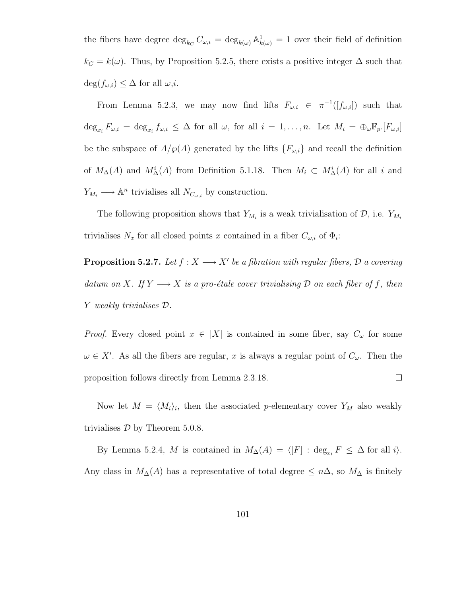the fibers have degree  $\deg_{k_C} C_{\omega,i} = \deg_{k(\omega)} \mathbb{A}^1_{k(\omega)} = 1$  over their field of definition  $k<sub>C</sub> = k(\omega)$ . Thus, by Proposition 5.2.5, there exists a positive integer  $\Delta$  such that  $deg(f_{\omega,i}) \leq \Delta$  for all  $\omega,i$ .

From Lemma 5.2.3, we may now find lifts  $F_{\omega,i} \in \pi^{-1}([f_{\omega,i}])$  such that  $\deg_{x_i} F_{\omega,i} = \deg_{x_i} f_{\omega,i} \leq \Delta$  for all  $\omega$ , for all  $i = 1, \ldots, n$ . Let  $M_i = \bigoplus_{\omega} \mathbb{F}_p$ .  $[F_{\omega,i}]$ be the subspace of  $A/\wp(A)$  generated by the lifts  $\{F_{\omega,i}\}\$ and recall the definition of  $M_{\Delta}(A)$  and  $M_{\Delta}^i(A)$  from Definition 5.1.18. Then  $M_i \subset M_{\Delta}^i(A)$  for all i and  $Y_{M_i} \longrightarrow \mathbb{A}^n$  trivialises all  $N_{C_{\omega,i}}$  by construction.

The following proposition shows that  $Y_{M_i}$  is a weak trivialisation of  $\mathcal{D}$ , i.e.  $Y_{M_i}$ trivialises  $N_x$  for all closed points x contained in a fiber  $C_{\omega,i}$  of  $\Phi_i$ :

**Proposition 5.2.7.** Let  $f : X \longrightarrow X'$  be a fibration with regular fibers,  $D$  a covering datum on X. If  $Y \longrightarrow X$  is a pro-étale cover trivialising  $D$  on each fiber of f, then Y weakly trivialises D.

*Proof.* Every closed point  $x \in |X|$  is contained in some fiber, say  $C_{\omega}$  for some  $\omega \in X'$ . As all the fibers are regular, x is always a regular point of  $C_{\omega}$ . Then the proposition follows directly from Lemma 2.3.18.  $\Box$ 

Now let  $M = \langle M_i \rangle_i$ , then the associated p-elementary cover  $Y_M$  also weakly trivialises  $D$  by Theorem 5.0.8.

By Lemma 5.2.4, M is contained in  $M_{\Delta}(A) = \langle [F] : \deg_{x_i} F \leq \Delta$  for all i $\rangle$ . Any class in  $M_{\Delta}(A)$  has a representative of total degree  $\leq n\Delta$ , so  $M_{\Delta}$  is finitely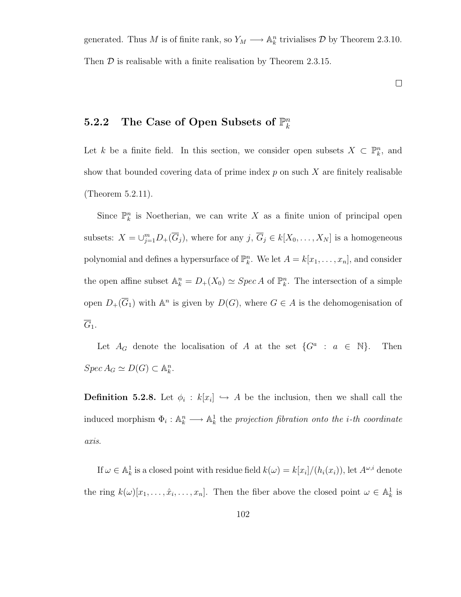generated. Thus M is of finite rank, so  $Y_M \longrightarrow \mathbb{A}_k^n$  trivialises D by Theorem 2.3.10. Then  $D$  is realisable with a finite realisation by Theorem 2.3.15.

 $\Box$ 

#### 5.2.2 The Case of Open Subsets of  $\mathbb{P}_k^n$ k

Let k be a finite field. In this section, we consider open subsets  $X \subset \mathbb{P}^n_k$ , and show that bounded covering data of prime index  $p$  on such  $X$  are finitely realisable (Theorem 5.2.11).

Since  $\mathbb{P}_k^n$  is Noetherian, we can write X as a finite union of principal open subsets:  $X = \bigcup_{j=1}^m D_+(\overline{G}_j)$ , where for any  $j, \overline{G}_j \in k[X_0, \ldots, X_N]$  is a homogeneous polynomial and defines a hypersurface of  $\mathbb{P}_k^n$ . We let  $A = k[x_1, \ldots, x_n]$ , and consider the open affine subset  $\mathbb{A}_k^n = D_+(X_0) \simeq \operatorname{Spec} A$  of  $\mathbb{P}_k^n$ . The intersection of a simple open  $D_{+}(\overline{G}_{1})$  with  $\mathbb{A}^{n}$  is given by  $D(G)$ , where  $G \in A$  is the dehomogenisation of  $\overline{G}_1$ .

Let  $A_G$  denote the localisation of A at the set  $\{G^a : a \in \mathbb{N}\}\$ . Then  $Spec A_G \simeq D(G) \subset \mathbb{A}_k^n$ .

**Definition 5.2.8.** Let  $\phi_i : k[x_i] \hookrightarrow A$  be the inclusion, then we shall call the induced morphism  $\Phi_i: \mathbb{A}_k^n \longrightarrow \mathbb{A}_k^1$  the projection fibration onto the *i*-th coordinate axis.

If  $\omega \in \mathbb{A}^1_k$  is a closed point with residue field  $k(\omega) = k[x_i]/(h_i(x_i))$ , let  $A^{\omega,i}$  denote the ring  $k(\omega)[x_1,\ldots,\hat{x}_i,\ldots,x_n]$ . Then the fiber above the closed point  $\omega \in \mathbb{A}_k^1$  is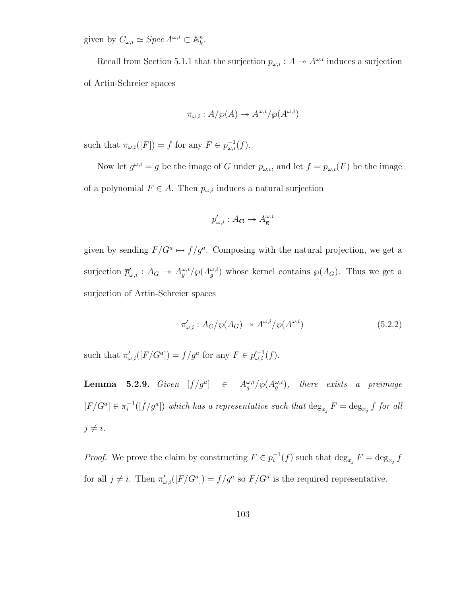given by  $C_{\omega,i} \simeq \operatorname{Spec} A^{\omega,i} \subset \mathbb{A}_k^n$ .

Recall from Section 5.1.1 that the surjection  $p_{\omega,i}: A \to A^{\omega,i}$  induces a surjection of Artin-Schreier spaces

$$
\pi_{\omega,i}: A/\wp(A) \to A^{\omega,i}/\wp(A^{\omega,i})
$$

such that  $\pi_{\omega,i}([F]) = f$  for any  $F \in p_{\omega,i}^{-1}(f)$ .

Now let  $g^{\omega,i} = g$  be the image of G under  $p_{\omega,i}$ , and let  $f = p_{\omega,i}(F)$  be the image of a polynomial  $F \in A$ . Then  $p_{\omega,i}$  induces a natural surjection

$$
p'_{\omega,i}:A_{\mathbf{G}}\twoheadrightarrow A_{\mathbf{g}}^{\omega,i}
$$

given by sending  $F/G^a \mapsto f/g^a$ . Composing with the natural projection, we get a surjection  $\bar{p}'_{\omega,i}$ :  $A_G \to A_g^{\omega,i}/\wp(A_g^{\omega,i})$  whose kernel contains  $\wp(A_G)$ . Thus we get a surjection of Artin-Schreier spaces

$$
\pi'_{\omega,i} : A_G/\wp(A_G) \to A^{\omega,i}/\wp(A^{\omega,i})
$$
\n(5.2.2)

such that  $\pi'_{\omega,i}([F/G^a]) = f/g^a$  for any  $F \in p'^{-1}_{\omega,i}(f)$ .

**Lemma 5.2.9.** Given  $[f/g^a]$   $\in$   $A_g^{\omega,i}/\wp(A_g^{\omega,i})$ , there exists a preimage  $[F/G^a] \in \pi_i^{-1}$  $i^{-1}([f/g^a])$  which has a representative such that  $\deg_{x_j} F = \deg_{x_j} f$  for all  $j \neq i$ .

*Proof.* We prove the claim by constructing  $F \in p_i^{-1}$  $i^{-1}(f)$  such that  $\deg_{x_j} F = \deg_{x_j} f$ for all  $j \neq i$ . Then  $\pi'_{\omega,i}([F/G^a]) = f/g^a$  so  $F/G^a$  is the required representative.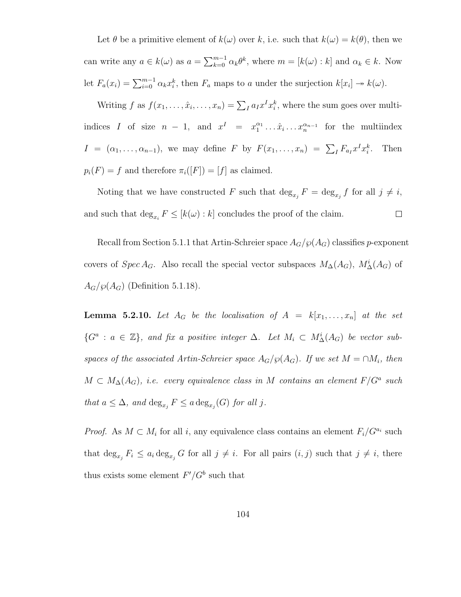Let  $\theta$  be a primitive element of  $k(\omega)$  over k, i.e. such that  $k(\omega) = k(\theta)$ , then we can write any  $a \in k(\omega)$  as  $a = \sum_{k=0}^{m-1} \alpha_k \theta^k$ , where  $m = [k(\omega):k]$  and  $\alpha_k \in k$ . Now let  $F_a(x_i) = \sum_{i=0}^{m-1} \alpha_k x_i^k$ , then  $F_a$  maps to a under the surjection  $k[x_i] \to k(\omega)$ .

Writing f as  $f(x_1, \ldots, \hat{x}_i, \ldots, x_n) = \sum_I a_I x^I x_i^k$ , where the sum goes over multiindices I of size  $n-1$ , and  $x^I = x_1^{\alpha_1} \dots \hat{x}_i \dots x_n^{\alpha_{n-1}}$  for the multiindex  $I = (\alpha_1, \ldots, \alpha_{n-1}),$  we may define F by  $F(x_1, \ldots, x_n) = \sum_I F_{a_I} x^I x_i^k$ . Then  $p_i(F) = f$  and therefore  $\pi_i([F]) = [f]$  as claimed.

Noting that we have constructed F such that  $\deg_{x_j} F = \deg_{x_j} f$  for all  $j \neq i$ , and such that  $\deg_{x_i} F \leq [k(\omega):k]$  concludes the proof of the claim.  $\Box$ 

Recall from Section 5.1.1 that Artin-Schreier space  $A_G/\wp(A_G)$  classifies p-exponent covers of  $Spec A_G$ . Also recall the special vector subspaces  $M_{\Delta}(A_G)$ ,  $M_{\Delta}^i(A_G)$  of  $A_G/\wp(A_G)$  (Definition 5.1.18).

**Lemma 5.2.10.** Let  $A_G$  be the localisation of  $A = k[x_1, \ldots, x_n]$  at the set  $\{G^a : a \in \mathbb{Z}\},\$ and fix a positive integer  $\Delta$ . Let  $M_i \subset M^i_{\Delta}(A_G)$  be vector subspaces of the associated Artin-Schreier space  $A_G/\wp(A_G)$ . If we set  $M = \cap M_i$ , then  $M \subset M_{\Delta}(A_G)$ , i.e. every equivalence class in M contains an element  $F/G^a$  such that  $a \leq \Delta$ , and  $\deg_{x_j} F \leq a \deg_{x_j}(G)$  for all j.

*Proof.* As  $M \subset M_i$  for all i, any equivalence class contains an element  $F_i/G^{a_i}$  such that  $\deg_{x_j} F_i \leq a_i \deg_{x_j} G$  for all  $j \neq i$ . For all pairs  $(i, j)$  such that  $j \neq i$ , there thus exists some element  $F'/G^b$  such that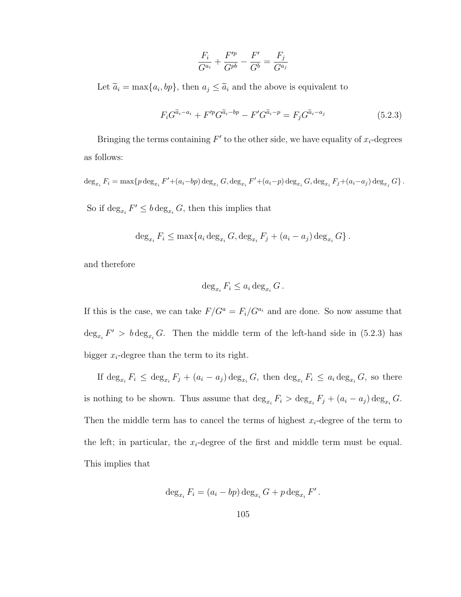$$
\frac{F_i}{G^{a_i}} + \frac{F'^p}{G^{pb}} - \frac{F'}{G^b} = \frac{F_j}{G^{a_j}}
$$

Let  $\tilde{a}_i = \max\{a_i, bp\}$ , then  $a_j \leq \tilde{a}_i$  and the above is equivalent to

$$
F_i G^{\tilde{a}_i - a_i} + F'^p G^{\tilde{a}_i - b_p} - F' G^{\tilde{a}_i - p} = F_j G^{\tilde{a}_i - a_j}
$$
\n
$$
(5.2.3)
$$

Bringing the terms containing  $F'$  to the other side, we have equality of  $x_i$ -degrees as follows:

$$
\deg_{x_i} F_i = \max\{p \deg_{x_i} F' + (a_i - bp) \deg_{x_i} G, \deg_{x_i} F' + (a_i - p) \deg_{x_i} G, \deg_{x_i} F_j + (a_i - a_j) \deg_{x_j} G\}.
$$

So if  $\deg_{x_i} F' \leq b \deg_{x_i} G$ , then this implies that

$$
\deg_{x_i} F_i \le \max\{a_i \deg_{x_i} G, \deg_{x_i} F_j + (a_i - a_j) \deg_{x_i} G\}.
$$

and therefore

$$
\deg_{x_i} F_i \le a_i \deg_{x_i} G.
$$

If this is the case, we can take  $F/G^a = F_i/G^{a_i}$  and are done. So now assume that  $\deg_{x_i} F' > b \deg_{x_i} G$ . Then the middle term of the left-hand side in (5.2.3) has bigger  $x_i$ -degree than the term to its right.

If  $\deg_{x_i} F_i \leq \deg_{x_i} F_j + (a_i - a_j) \deg_{x_i} G$ , then  $\deg_{x_i} F_i \leq a_i \deg_{x_i} G$ , so there is nothing to be shown. Thus assume that  $\deg_{x_i} F_i > \deg_{x_i} F_j + (a_i - a_j) \deg_{x_i} G$ . Then the middle term has to cancel the terms of highest  $x_i$ -degree of the term to the left; in particular, the  $x_i$ -degree of the first and middle term must be equal. This implies that

$$
\deg_{x_i} F_i = (a_i - bp) \deg_{x_i} G + p \deg_{x_i} F'.
$$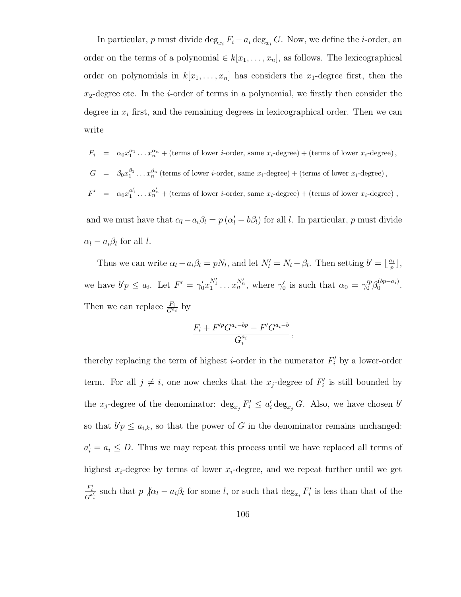In particular, p must divide  $\deg_{x_i} F_i - a_i \deg_{x_i} G$ . Now, we define the *i*-order, an order on the terms of a polynomial  $\in k[x_1, \ldots, x_n]$ , as follows. The lexicographical order on polynomials in  $k[x_1, \ldots, x_n]$  has considers the  $x_1$ -degree first, then the  $x_2$ -degree etc. In the *i*-order of terms in a polynomial, we firstly then consider the degree in  $x_i$  first, and the remaining degrees in lexicographical order. Then we can write

 $F_i = \alpha_0 x_1^{\alpha_1} \dots x_n^{\alpha_n} + \text{(terms of lower } i\text{-order, same } x_i\text{-degree)} + \text{(terms of lower } x_i\text{-degree)},$  $G = \beta_0 x_1^{\beta_1} \dots x_n^{\beta_n}$  (terms of lower *i*-order, same  $x_i$ -degree) + (terms of lower  $x_i$ -degree),  $F' = \alpha_0 x_1^{\alpha'_1} \dots x_n^{\alpha'_n} + (\text{terms of lower } i\text{-order, same } x_i\text{-degree}) + (\text{terms of lower } x_i\text{-degree})$ ,

and we must have that  $\alpha_l - a_i \beta_l = p (\alpha_l' - b \beta_l)$  for all l. In particular, p must divide  $\alpha_l - a_i \beta_l$  for all l.

Thus we can write  $\alpha_l - a_i \beta_l = p N_l$ , and let  $N'_l = N_l - \beta_l$ . Then setting  $b' = \lfloor \frac{a_i}{p} \rfloor$  $\frac{n_i}{p}$ ], we have  $b'p \leq a_i$ . Let  $F' = \gamma_0' x_1^{N_1'} \dots x_n^{N_n'}$ , where  $\gamma_0'$  is such that  $\alpha_0 = \gamma_0'^p \beta_0^{(bp-a_i)}$  $0^{(op-a_i)}$ . Then we can replace  $\frac{F_i}{G^{a_i}}$  by

$$
\frac{F_i + F'^p G^{a_i - bp} - F' G^{a_i - b}}{G_i^{a_i}},
$$

thereby replacing the term of highest *i*-order in the numerator  $F_i'$  by a lower-order term. For all  $j \neq i$ , one now checks that the  $x_j$ -degree of  $F'_i$  is still bounded by the  $x_j$ -degree of the denominator:  $\deg_{x_j} F'_i \leq a'_i \deg_{x_j} G$ . Also, we have chosen b' so that  $b'p \leq a_{i,k}$ , so that the power of G in the denominator remains unchanged:  $a'_i = a_i \leq D$ . Thus we may repeat this process until we have replaced all terms of highest  $x_i$ -degree by terms of lower  $x_i$ -degree, and we repeat further until we get  $F_i'$  $\frac{F_i^2}{G^{a_i'}}$  such that  $p \not | a_l - a_i \beta_l$  for some l, or such that  $\deg_{x_i} F_i'$  is less than that of the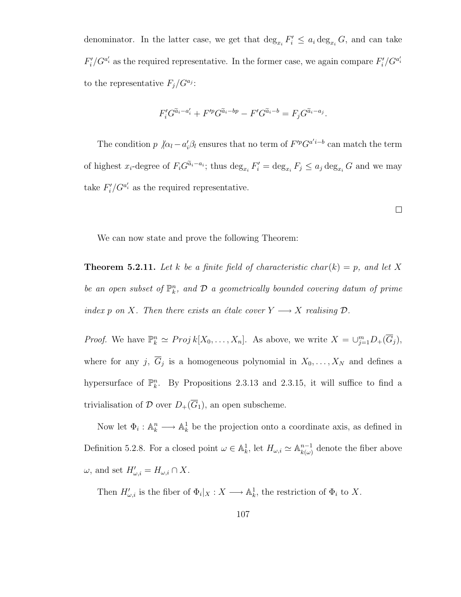denominator. In the latter case, we get that  $\deg_{x_i} F'_i \leq a_i \deg_{x_i} G$ , and can take  $F'_i/G^{a'_i}$  as the required representative. In the former case, we again compare  $F'_i/G^{a'_i}$ to the representative  $F_j/G^{a_j}$ :

$$
F_i' G^{\tilde{a}_i - a_i'} + F'^p G^{\tilde{a}_i - bp} - F' G^{\tilde{a}_i - b} = F_j G^{\tilde{a}_i - a_j}.
$$

The condition  $p \not | \alpha_l - a'_i \beta_l$  ensures that no term of  $F'^p G^{a'i-b}$  can match the term of highest  $x_i$ -degree of  $F_i G^{\tilde{a}_i-a_i}$ ; thus  $\deg_{x_i} F'_i = \deg_{x_i} F_j \leq a_j \deg_{x_i} G$  and we may take  $F_i'/G^{a_i'}$  as the required representative.

**Theorem 5.2.11.** Let k be a finite field of characteristic char(k) = p, and let X be an open subset of  $\mathbb{P}_k^n$ , and  $\mathcal D$  a geometrically bounded covering datum of prime index p on X. Then there exists an étale cover  $Y \longrightarrow X$  realising  $D$ .

We can now state and prove the following Theorem:

*Proof.* We have  $\mathbb{P}_k^n \simeq Proj k[X_0, \ldots, X_n]$ . As above, we write  $X = \bigcup_{j=1}^m D_{+}(\overline{G}_j)$ , where for any j,  $G_j$  is a homogeneous polynomial in  $X_0, \ldots, X_N$  and defines a hypersurface of  $\mathbb{P}_k^n$ . By Propositions 2.3.13 and 2.3.15, it will suffice to find a trivialisation of  $\mathcal D$  over  $D_+(\overline{G}_1),$  an open subscheme.

Now let  $\Phi_i: \mathbb{A}_k^n \longrightarrow \mathbb{A}_k^1$  be the projection onto a coordinate axis, as defined in Definition 5.2.8. For a closed point  $\omega \in \mathbb{A}^1_k$ , let  $H_{\omega,i} \simeq \mathbb{A}^{n-1}_{k(\omega)}$  $\binom{n-1}{k(\omega)}$  denote the fiber above  $\omega$ , and set  $H'_{\omega,i} = H_{\omega,i} \cap X$ .

Then  $H'_{\omega,i}$  is the fiber of  $\Phi_i|_X : X \longrightarrow \mathbb{A}^1_k$ , the restriction of  $\Phi_i$  to X.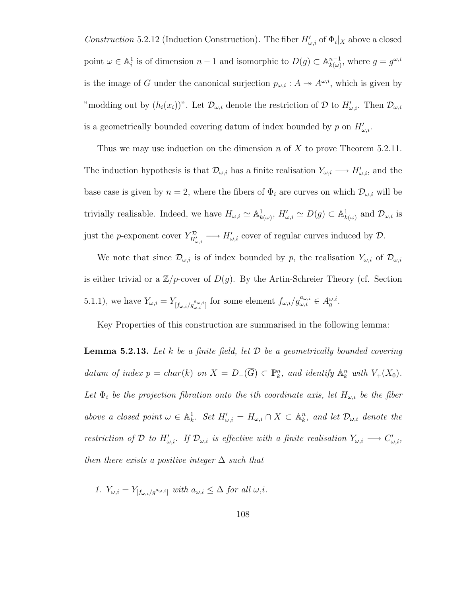Construction 5.2.12 (Induction Construction). The fiber  $H'_{\omega,i}$  of  $\Phi_i|_X$  above a closed point  $\omega \in \mathbb{A}_i^1$  is of dimension  $n-1$  and isomorphic to  $D(g) \subset \mathbb{A}_{k(\omega)}^{n-1}$  $_{k(\omega)}^{n-1}$ , where  $g = g^{\omega, i}$ is the image of G under the canonical surjection  $p_{\omega,i}: A \to A^{\omega,i}$ , which is given by "modding out by  $(h_i(x_i))$ ". Let  $\mathcal{D}_{\omega,i}$  denote the restriction of  $\mathcal D$  to  $H'_{\omega,i}$ . Then  $\mathcal{D}_{\omega,i}$ is a geometrically bounded covering datum of index bounded by p on  $H'_{\omega,i}$ .

Thus we may use induction on the dimension n of X to prove Theorem 5.2.11. The induction hypothesis is that  $\mathcal{D}_{\omega,i}$  has a finite realisation  $Y_{\omega,i} \longrightarrow H'_{\omega,i}$ , and the base case is given by  $n = 2$ , where the fibers of  $\Phi_i$  are curves on which  $\mathcal{D}_{\omega,i}$  will be trivially realisable. Indeed, we have  $H_{\omega,i} \simeq \mathbb{A}^1_{k(\omega)}, H'_{\omega,i} \simeq D(g) \subset \mathbb{A}^1_{k(\omega)}$  and  $\mathcal{D}_{\omega,i}$  is just the p-exponent cover  $Y_{H'_{\omega,i}}^{\mathcal{D}} \longrightarrow H'_{\omega,i}$  cover of regular curves induced by  $\mathcal{D}$ .

We note that since  $\mathcal{D}_{\omega,i}$  is of index bounded by p, the realisation  $Y_{\omega,i}$  of  $\mathcal{D}_{\omega,i}$ is either trivial or a  $\mathbb{Z}/p$ -cover of  $D(g)$ . By the Artin-Schreier Theory (cf. Section 5.1.1), we have  $Y_{\omega,i} = Y_{[f_{\omega,i}/g_{\omega,i}^{a_{\omega,i}}]}$  for some element  $f_{\omega,i}/g_{\omega,i}^{a_{\omega,i}} \in A_g^{\omega,i}$ .

Key Properties of this construction are summarised in the following lemma:

**Lemma 5.2.13.** Let k be a finite field, let  $\mathcal{D}$  be a geometrically bounded covering datum of index  $p = char(k)$  on  $X = D_{+}(\overline{G}) \subset \mathbb{P}_{k}^{n}$ , and identify  $\mathbb{A}_{k}^{n}$  with  $V_{+}(X_{0})$ . Let  $\Phi_i$  be the projection fibration onto the ith coordinate axis, let  $H_{\omega,i}$  be the fiber above a closed point  $\omega \in \mathbb{A}^1_k$ . Set  $H'_{\omega,i} = H_{\omega,i} \cap X \subset \mathbb{A}^n_k$ , and let  $\mathcal{D}_{\omega,i}$  denote the restriction of D to  $H'_{\omega,i}$ . If  $\mathcal{D}_{\omega,i}$  is effective with a finite realisation  $Y_{\omega,i} \longrightarrow C'_{\omega,i}$ , then there exists a positive integer  $\Delta$  such that

1. 
$$
Y_{\omega,i} = Y_{[f_{\omega,i}/g^{a_{\omega,i}}]}
$$
 with  $a_{\omega,i} \leq \Delta$  for all  $\omega,i$ .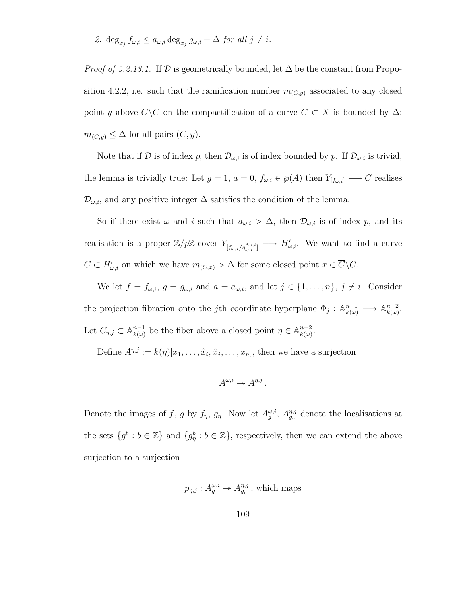2.  $\deg_{x_j} f_{\omega,i} \leq a_{\omega,i} \deg_{x_j} g_{\omega,i} + \Delta$  for all  $j \neq i$ .

*Proof of 5.2.13.1.* If  $D$  is geometrically bounded, let  $\Delta$  be the constant from Proposition 4.2.2, i.e. such that the ramification number  $m_{(C,y)}$  associated to any closed point y above  $\overline{C}\backslash C$  on the compactification of a curve  $C\subset X$  is bounded by  $\Delta$ :  $m_{(C,y)} \leq \Delta$  for all pairs  $(C, y)$ .

Note that if D is of index p, then  $\mathcal{D}_{\omega,i}$  is of index bounded by p. If  $\mathcal{D}_{\omega,i}$  is trivial, the lemma is trivially true: Let  $g = 1$ ,  $a = 0$ ,  $f_{\omega,i} \in \wp(A)$  then  $Y_{[f_{\omega,i}]} \longrightarrow C$  realises  $\mathcal{D}_{\omega,i}$ , and any positive integer  $\Delta$  satisfies the condition of the lemma.

So if there exist  $\omega$  and i such that  $a_{\omega,i} > \Delta$ , then  $\mathcal{D}_{\omega,i}$  is of index p, and its realisation is a proper  $\mathbb{Z}/p\mathbb{Z}$ -cover  $Y_{[f_{\omega,i}/g_{\omega,i}^{\alpha_{\omega,i}}]} \longrightarrow H'_{\omega,i}$ . We want to find a curve  $C \subset H'_{\omega,i}$  on which we have  $m_{(C,x)} > \Delta$  for some closed point  $x \in \overline{C} \backslash C$ .

We let  $f = f_{\omega,i}$ ,  $g = g_{\omega,i}$  and  $a = a_{\omega,i}$ , and let  $j \in \{1, \ldots, n\}$ ,  $j \neq i$ . Consider the projection fibration onto the *j*th coordinate hyperplane  $\Phi_j: \mathbb{A}_{k(\omega)}^{n-1} \longrightarrow \mathbb{A}_{k(\omega)}^{n-2}$  $\frac{n-2}{k(\omega)}$ . Let  $C_{\eta,j} \subset \mathbb{A}^{n-1}_{k(\omega)}$  $_{k(\omega)}^{n-1}$  be the fiber above a closed point  $\eta \in \mathbb{A}_{k(\omega)}^{n-2}$  $\frac{n-2}{k(\omega)}$ .

Define  $A^{\eta,j} := k(\eta)[x_1,\ldots,\hat{x}_i,\hat{x}_j,\ldots,x_n]$ , then we have a surjection

$$
A^{\omega,i} \twoheadrightarrow A^{\eta,j}.
$$

Denote the images of f, g by  $f_{\eta}$ ,  $g_{\eta}$ . Now let  $A_g^{\omega,i}$ ,  $A_{g_{\eta}}^{\eta,j}$  denote the localisations at the sets  $\{g^b : b \in \mathbb{Z}\}\$  and  $\{g^b_\eta : b \in \mathbb{Z}\}\$ , respectively, then we can extend the above surjection to a surjection

$$
p_{\eta,j}: A_g^{\omega,i} \to A_{g_{\eta}}^{\eta,j}
$$
, which maps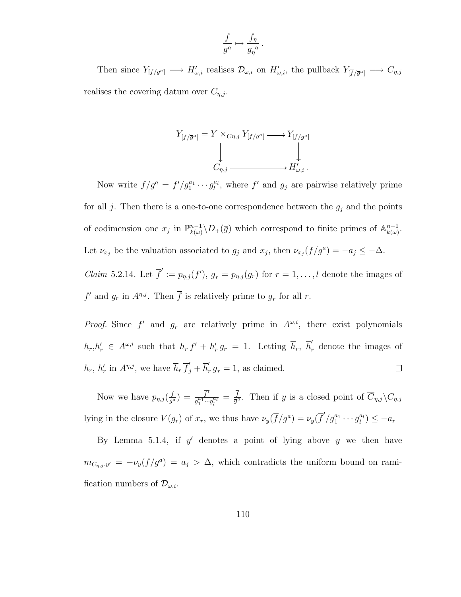$$
\frac{f}{g^a} \mapsto \frac{f_\eta}{g_\eta^{\ a}}.
$$

Then since  $Y_{[f/g^a]} \longrightarrow H'_{\omega,i}$  realises  $\mathcal{D}_{\omega,i}$  on  $H'_{\omega,i}$ , the pullback  $Y_{[\overline{f}/\overline{g}^a]} \longrightarrow C_{\eta,i}$ realises the covering datum over  $C_{\eta,j}$ .

$$
Y_{[\overline{f}/\overline{g}^a]} = Y \times_{C\eta,j} Y_{[f/g^a]} \longrightarrow Y_{[f/g^a]}
$$
  
\n
$$
\downarrow \qquad \qquad \downarrow
$$
  
\n
$$
C_{\eta,j} \longrightarrow H'_{\omega,i}.
$$

Now write  $f/g^a = f'/g_1^{a_1} \cdots g_l^{a_l}$ , where  $f'$  and  $g_j$  are pairwise relatively prime for all  $j$ . Then there is a one-to-one correspondence between the  $g_j$  and the points of codimension one  $x_j$  in  $\mathbb{P}_{k(\omega)}^{n-1}$  $\binom{n-1}{k(\omega)}$ ,  $D_{+}(\overline{g})$  which correspond to finite primes of  $\mathbb{A}_{k(\omega)}^{n-1}$  $\frac{n-1}{k(\omega)}$ . Let  $\nu_{x_j}$  be the valuation associated to  $g_j$  and  $x_j$ , then  $\nu_{x_j}(f/g^a) = -a_j \leq -\Delta$ . *Claim* 5.2.14. Let  $\overline{f}' := p_{\eta,j}(f')$ ,  $\overline{g}_r = p_{\eta,j}(g_r)$  for  $r = 1, \ldots, l$  denote the images of  $f'$  and  $g_r$  in  $A^{\eta,j}$ . Then  $\overline{f}$  is relatively prime to  $\overline{g}_r$  for all r.

*Proof.* Since f' and  $g_r$  are relatively prime in  $A^{\omega,i}$ , there exist polynomials  $h_r, h'_r \in A^{\omega, i}$  such that  $h_r f' + h'_r g_r = 1$ . Letting  $\overline{h}_r, \overline{h}'_r$  denote the images of  $h_r$ ,  $h'_r$  in  $A^{n,j}$ , we have  $\overline{h}_r \overline{f}'_j + \overline{h}'_n$  $r \overline{g}_r = 1$ , as claimed.  $\Box$ 

Now we have  $p_{\eta,j}(\frac{f}{a^{\alpha}})$  $\frac{f}{g^a}) = \frac{\overline{f'}}{\overline{q}_1^{a_1}...}$  $\frac{f'}{\overline{g}_1^{a_1} \cdots \overline{g}_l^{a_l}} = \frac{f}{\overline{g}^{\alpha_l}}$  $\frac{f}{\overline{g}^a}$ . Then if y is a closed point of  $\overline{C}_{\eta,j}\backslash C_{\eta,j}$ lying in the closure  $V(g_r)$  of  $x_r$ , we thus have  $\nu_y(\overline{f}/\overline{g}^a) = \nu_y(\overline{f}'/\overline{g}_1^{a_1} \cdots \overline{g}_l^{a_l}) \le -a_r$ 

By Lemma 5.1.4, if  $y'$  denotes a point of lying above  $y$  we then have  $m_{C_{\eta,j},y'} = -\nu_y(f/g^a) = a_j > \Delta$ , which contradicts the uniform bound on ramification numbers of  $\mathcal{D}_{\omega,i}$ .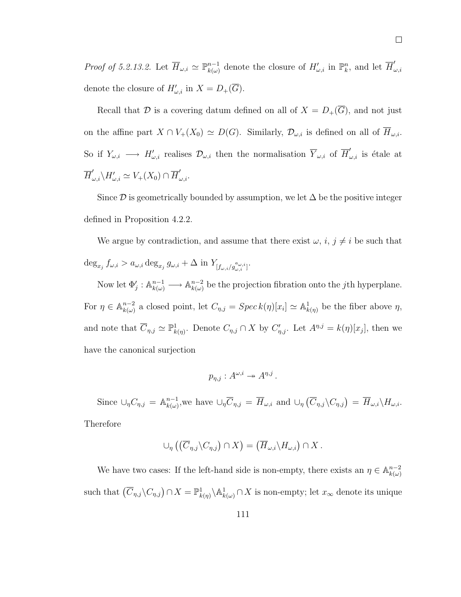*Proof of 5.2.13.2.* Let  $\overline{H}_{\omega,i} \simeq \mathbb{P}_{k(\omega)}^{n-1}$  $_{k(\omega)}^{n-1}$  denote the closure of  $H'_{\omega,i}$  in  $\mathbb{P}^n_k$ , and let  $\overline{H}'_k$  $^{\omega,i}$ denote the closure of  $H'_{\omega,i}$  in  $X = D_{+}(\overline{G}).$ 

Recall that  $\mathcal D$  is a covering datum defined on all of  $X = D_+(\overline G)$ , and not just on the affine part  $X \cap V_+(X_0) \simeq D(G)$ . Similarly,  $\mathcal{D}_{\omega,i}$  is defined on all of  $\overline{H}_{\omega,i}$ . So if  $Y_{\omega,i} \longrightarrow H'_{\omega,i}$  realises  $\mathcal{D}_{\omega,i}$  then the normalisation  $\overline{Y}_{\omega,i}$  of  $\overline{H}'_{\omega,i}$  is étale at  $\overline{H}'_{\omega,i}\backslash H'_{\omega,i}\simeq V_+(X_0)\cap \overline{H}'_{\omega,i}.$ 

Since  $\mathcal D$  is geometrically bounded by assumption, we let  $\Delta$  be the positive integer defined in Proposition 4.2.2.

We argue by contradiction, and assume that there exist  $\omega$ ,  $i, j \neq i$  be such that  $\deg_{x_j} f_{\omega,i} > a_{\omega,i} \deg_{x_j} g_{\omega,i} + \Delta \text{ in } Y_{[f_{\omega,i}/g_{\omega,i}^{a_{\omega,i}}]}$ 

Now let  $\Phi'_j : \mathbb{A}_{k(\omega)}^{n-1} \longrightarrow \mathbb{A}_{k(\omega)}^{n-2}$  $\binom{n-2}{k(\omega)}$  be the projection fibration onto the *j*th hyperplane. For  $\eta \in \mathbb{A}^{n-2}_{k(\omega)}$  $k(\omega)$  a closed point, let  $C_{\eta,j} = Spec k(\eta)[x_i] \simeq \mathbb{A}^1_{k(\eta)}$  be the fiber above  $\eta$ , and note that  $\overline{C}_{\eta,j} \simeq \mathbb{P}^1_{k(\eta)}$ . Denote  $C_{\eta,j} \cap X$  by  $C'_{\eta,j}$ . Let  $A^{\eta,j} = k(\eta)[x_j]$ , then we have the canonical surjection

$$
p_{\eta,j}: A^{\omega,i} \to A^{\eta,j}.
$$

Since  $\cup_{\eta} C_{\eta,j} = \mathbb{A}_{k(\omega)}^{n-1}$  $\lim_{k(\omega)}^{n-1}$ , we have  $\cup_{\eta} \overline{C}_{\eta,j} = \overline{H}_{\omega,i}$  and  $\cup_{\eta} (\overline{C}_{\eta,j} \backslash C_{\eta,j}) = \overline{H}_{\omega,i} \backslash H_{\omega,i}$ . Therefore

$$
\cup_{\eta} \left( \left( \overline{C}_{\eta,j} \backslash C_{\eta,j} \right) \cap X \right) = \left( \overline{H}_{\omega,i} \backslash H_{\omega,i} \right) \cap X.
$$

We have two cases: If the left-hand side is non-empty, there exists an  $\eta \in \mathbb{A}^{n-2}_{k(\omega)}$  $k(\omega)$ such that  $(\overline{C}_{\eta,j}\setminus C_{\eta,j})\cap X=\mathbb{P}^1_{k(\eta)}\setminus \mathbb{A}^1_{k(\omega)}\cap X$  is non-empty; let  $x_\infty$  denote its unique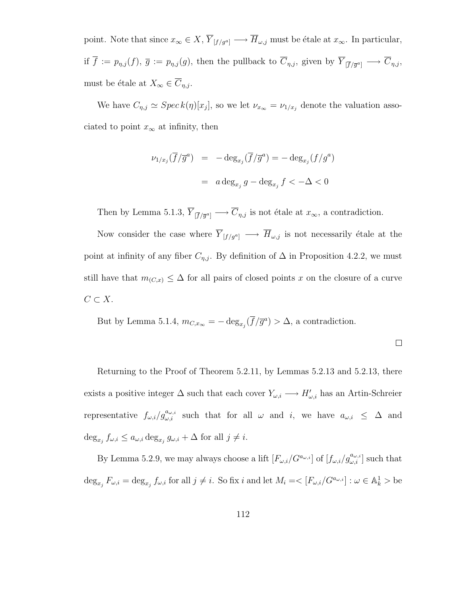point. Note that since  $x_{\infty} \in X$ ,  $\overline{Y}_{[f/g^a]} \longrightarrow \overline{H}_{\omega,j}$  must be étale at  $x_{\infty}$ . In particular, if  $f := p_{\eta,j}(f)$ ,  $\overline{g} := p_{\eta,j}(g)$ , then the pullback to  $C_{\eta,j}$ , given by  $Y_{\lceil \overline{f}/\overline{g}^a \rceil} \longrightarrow C_{\eta,j}$ , must be étale at  $X_{\infty} \in \overline{C}_{\eta,j}$ .

We have  $C_{\eta,j} \simeq \text{Spec } k(\eta)[x_j]$ , so we let  $\nu_{x_\infty} = \nu_{1/x_j}$  denote the valuation associated to point  $x_{\infty}$  at infinity, then

$$
\nu_{1/x_j}(\overline{f}/\overline{g}^a) = -\deg_{x_j}(\overline{f}/\overline{g}^a) = -\deg_{x_j}(f/g^a)
$$

$$
= a \deg_{x_j} g - \deg_{x_j} f < -\Delta < 0
$$

Then by Lemma 5.1.3,  $Y_{\overline{[f/\overline{g}^a]}} \longrightarrow C_{\eta,j}$  is not étale at  $x_{\infty}$ , a contradiction.

Now consider the case where  $\overline{Y}_{[f / g^a]} \longrightarrow \overline{H}_{\omega, j}$  is not necessarily étale at the point at infinity of any fiber  $C_{\eta,j}$ . By definition of  $\Delta$  in Proposition 4.2.2, we must still have that  $m_{(C,x)} \leq \Delta$  for all pairs of closed points x on the closure of a curve  $C \subset X$ .

But by Lemma 5.1.4,  $m_{C,x_{\infty}} = -\deg_{x_j}(\overline{f}/\overline{g}^a) > \Delta$ , a contradiction.

Returning to the Proof of Theorem 5.2.11, by Lemmas 5.2.13 and 5.2.13, there exists a positive integer  $\Delta$  such that each cover  $Y_{\omega,i} \longrightarrow H'_{\omega,i}$  has an Artin-Schreier representative  $f_{\omega,i}/g_{\omega,i}^{a_{\omega,i}}$  such that for all  $\omega$  and i, we have  $a_{\omega,i} \leq \Delta$  and  $\deg_{x_j} f_{\omega,i} \leq a_{\omega,i} \deg_{x_j} g_{\omega,i} + \Delta$  for all  $j \neq i$ .

By Lemma 5.2.9, we may always choose a lift  $[F_{\omega,i}/G^{a_{\omega,i}}]$  of  $[f_{\omega,i}/g_{\omega,i}^{a_{\omega,i}}]$  such that  $\deg_{x_j} F_{\omega,i} = \deg_{x_j} f_{\omega,i}$  for all  $j \neq i$ . So fix i and let  $M_i = \langle [F_{\omega,i}/G^{a_{\omega,i}}] : \omega \in \mathbb{A}^1_k \rangle$  be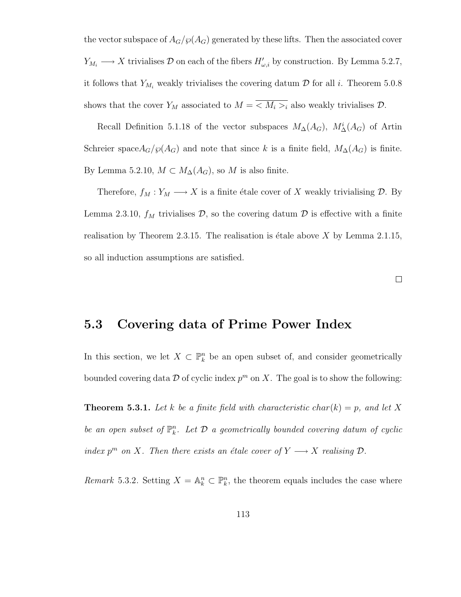the vector subspace of  $A_G/\wp(A_G)$  generated by these lifts. Then the associated cover  $Y_{M_i} \longrightarrow X$  trivialises  $\mathcal D$  on each of the fibers  $H'_{\omega,i}$  by construction. By Lemma 5.2.7, it follows that  $Y_{M_i}$  weakly trivialises the covering datum  $D$  for all i. Theorem 5.0.8 shows that the cover  $Y_M$  associated to  $M = \langle M_i \rangle_i$  also weakly trivialises  $\mathcal{D}$ .

Recall Definition 5.1.18 of the vector subspaces  $M_{\Delta}(A_G)$ ,  $M_{\Delta}^i(A_G)$  of Artin Schreier space $A_G/\wp(A_G)$  and note that since k is a finite field,  $M_{\Delta}(A_G)$  is finite. By Lemma 5.2.10,  $M \subset M_{\Delta}(A_G)$ , so M is also finite.

Therefore,  $f_M : Y_M \longrightarrow X$  is a finite étale cover of X weakly trivialising  $D$ . By Lemma 2.3.10,  $f_M$  trivialises  $\mathcal{D}$ , so the covering datum  $\mathcal D$  is effective with a finite realisation by Theorem 2.3.15. The realisation is étale above  $X$  by Lemma 2.1.15, so all induction assumptions are satisfied.

 $\Box$ 

#### 5.3 Covering data of Prime Power Index

In this section, we let  $X \subset \mathbb{P}^n_k$  be an open subset of, and consider geometrically bounded covering data  $\mathcal D$  of cyclic index  $p^m$  on X. The goal is to show the following:

**Theorem 5.3.1.** Let k be a finite field with characteristic char(k) = p, and let X be an open subset of  $\mathbb{P}_k^n$ . Let  $\mathcal D$  a geometrically bounded covering datum of cyclic index  $p^m$  on X. Then there exists an étale cover of  $Y \longrightarrow X$  realising  $\mathcal{D}$ .

Remark 5.3.2. Setting  $X = \mathbb{A}^n_k \subset \mathbb{P}^n_k$ , the theorem equals includes the case where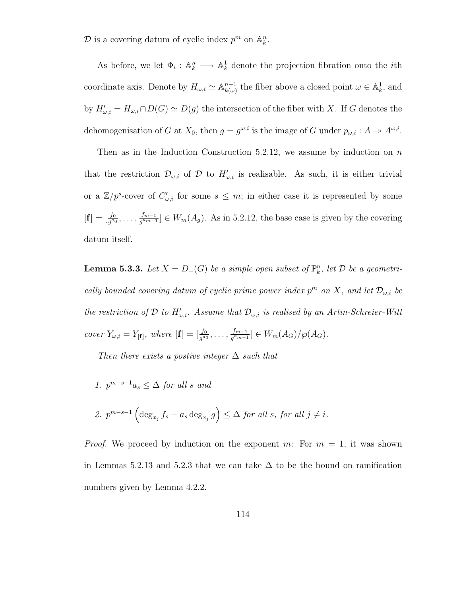$\mathcal{D}$  is a covering datum of cyclic index  $p^m$  on  $\mathbb{A}_k^n$ .

As before, we let  $\Phi_i : \mathbb{A}_k^n \longrightarrow \mathbb{A}_k^1$  denote the projection fibration onto the *i*th coordinate axis. Denote by  $H_{\omega,i} \simeq \mathbb{A}_{k(\omega)}^{n-1}$  $_{k(\omega)}^{n-1}$  the fiber above a closed point  $\omega \in \mathbb{A}^1_k$ , and by  $H'_{\omega,i} = H_{\omega,i} \cap D(G) \simeq D(g)$  the intersection of the fiber with X. If G denotes the dehomogenisation of  $\overline{G}$  at  $X_0$ , then  $g = g^{\omega,i}$  is the image of G under  $p_{\omega,i}: A \twoheadrightarrow A^{\omega,i}$ .

Then as in the Induction Construction 5.2.12, we assume by induction on  $n$ that the restriction  $\mathcal{D}_{\omega,i}$  of  $\mathcal D$  to  $H'_{\omega,i}$  is realisable. As such, it is either trivial or a  $\mathbb{Z}/p^s$ -cover of  $C'_{\omega,i}$  for some  $s \leq m$ ; in either case it is represented by some  $[\mathbf{f}] = [\frac{f_0}{g^{a_0}}, \dots, \frac{f_{m-1}}{g^{a_{m-1}}}]$  $\frac{f_{m-1}}{g^{a_{m-1}}} \in W_m(A_g)$ . As in 5.2.12, the base case is given by the covering datum itself.

**Lemma 5.3.3.** Let  $X = D_{+}(G)$  be a simple open subset of  $\mathbb{P}_{k}^{n}$ , let  $D$  be a geometrically bounded covering datum of cyclic prime power index  $p^m$  on X, and let  $\mathcal{D}_{\omega,i}$  be the restriction of D to  $H'_{\omega,i}$ . Assume that  $\mathcal{D}_{\omega,i}$  is realised by an Artin-Schreier-Witt cover  $Y_{\omega,i} = Y_{[f]}$ , where  $[f] = [\frac{f_0}{g^{a_0}}, \dots, \frac{f_{m-1}}{g^{a_m}}]$  $\frac{f_{m-1}}{g^{a_{m-1}}}$ ]  $\in W_m(A_G)/\wp(A_G)$ .

Then there exists a postive integer  $\Delta$  such that

1.  $p^{m-s-1}a_s \leq \Delta$  for all s and

2. 
$$
p^{m-s-1} \left( \deg_{x_j} f_s - a_s \deg_{x_j} g \right) \leq \Delta
$$
 for all s, for all  $j \neq i$ .

*Proof.* We proceed by induction on the exponent m: For  $m = 1$ , it was shown in Lemmas 5.2.13 and 5.2.3 that we can take  $\Delta$  to be the bound on ramification numbers given by Lemma 4.2.2.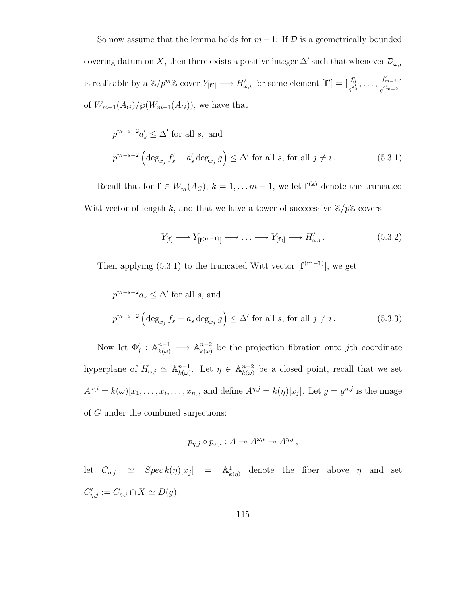So now assume that the lemma holds for  $m-1$ : If  $D$  is a geometrically bounded covering datum on X, then there exists a positive integer  $\Delta'$  such that whenever  $\mathcal{D}_{\omega,i}$ is realisable by a  $\mathbb{Z}/p^m\mathbb{Z}$ -cover  $Y_{[\mathbf{f}']} \longrightarrow H'_{\omega,i}$  for some element  $[\mathbf{f}'] = [\frac{f'_0}{g'_i}]$  $\frac{f_0'}{g^{a_0'}}, \ldots, \frac{f_{m-2}'}{g^{a_{m-2}'}}$  $\frac{J_{m-2}}{g^{a'_{m-2}}}$ of  $W_{m-1}(A_G)/\wp(W_{m-1}(A_G))$ , we have that

$$
p^{m-s-2}a'_s \le \Delta' \text{ for all } s, \text{ and}
$$
  

$$
p^{m-s-2} \left( \deg_{x_j} f'_s - a'_s \deg_{x_j} g \right) \le \Delta' \text{ for all } s, \text{ for all } j \ne i.
$$
 (5.3.1)

Recall that for  $f \in W_m(A_G)$ ,  $k = 1, \ldots m-1$ , we let  $f^{(k)}$  denote the truncated Witt vector of length k, and that we have a tower of successive  $\mathbb{Z}/p\mathbb{Z}$ -covers

$$
Y_{\left[\mathbf{f}\right]} \longrightarrow Y_{\left[\mathbf{f}^{\left(m-1\right)}\right]} \longrightarrow \dots \longrightarrow Y_{\left[\mathbf{f}_{0}\right]} \longrightarrow H'_{\omega,i}.
$$
 (5.3.2)

Then applying (5.3.1) to the truncated Witt vector  $[f^{(m-1)}]$ , we get

$$
p^{m-s-2}a_s \le \Delta' \text{ for all } s, \text{ and}
$$
  

$$
p^{m-s-2} \left( \deg_{x_j} f_s - a_s \deg_{x_j} g \right) \le \Delta' \text{ for all } s, \text{ for all } j \ne i.
$$
 (5.3.3)

Now let  $\Phi'_j : \mathbb{A}_{k(\omega)}^{n-1} \longrightarrow \mathbb{A}_{k(\omega)}^{n-2}$  $\binom{n-2}{k(\omega)}$  be the projection fibration onto jth coordinate hyperplane of  $H_{\omega,i} \simeq \mathbb{A}_{k(\omega)}^{n-1}$  $_{k(\omega)}^{n-1}$ . Let  $\eta \in \mathbb{A}_{k(\omega)}^{n-2}$  $\sum_{k(\omega)}^{n-2}$  be a closed point, recall that we set  $A^{\omega,i} = k(\omega)[x_1, \ldots, \hat{x}_i, \ldots, x_n],$  and define  $A^{\eta,j} = k(\eta)[x_j]$ . Let  $g = g^{\eta,j}$  is the image of G under the combined surjections:

$$
p_{\eta,j} \circ p_{\omega,i} : A \to A^{\omega,i} \to A^{\eta,j},
$$

let  $C_{\eta,j} \simeq Spec k(\eta)[x_j] = \mathbb{A}^1_{k(\eta)}$  denote the fiber above  $\eta$  and set  $C'_{\eta,j} := C_{\eta,j} \cap X \simeq D(g).$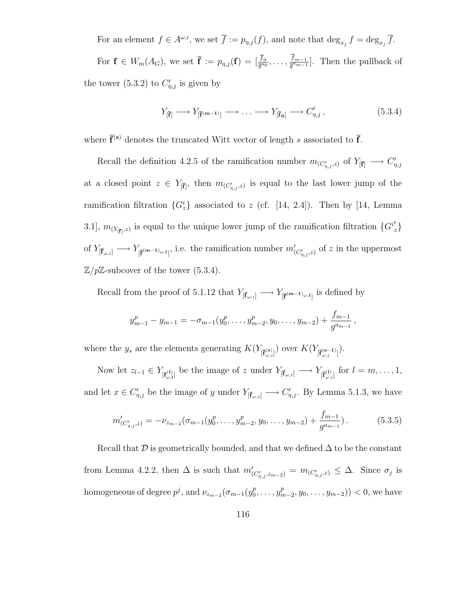For an element  $f \in A^{\omega,i}$ , we set  $\overline{f} := p_{\eta,j}(f)$ , and note that  $\deg_{x_j} f = \deg_{x_j} \overline{f}$ . For  $\mathbf{f} \in W_m(A_G)$ , we set  $\overline{\mathbf{f}} := p_{\eta,j}(\mathbf{f}) = [\frac{\overline{f}_0}{\overline{g}^{a_0}}, \ldots, \frac{f_{m-1}}{\overline{g}^{a_{m-1}}}]$  $\frac{J_{m-1}}{g^{a_{m-1}}}$ . Then the pullback of the tower (5.3.2) to  $C'_{\eta,j}$  is given by

$$
Y_{\left[\overline{\mathbf{f}}\right]} \longrightarrow Y_{\left[\overline{\mathbf{f}}\left(\mathbf{m}-1\right)\right]} \longrightarrow \dots \longrightarrow Y_{\left[\overline{\mathbf{f}}_{\mathbf{0}}\right]} \longrightarrow C'_{\eta,j},\tag{5.3.4}
$$

where  $\bar{f}^{(s)}$  denotes the truncated Witt vector of length s associated to  $\bar{f}$ .

Recall the definition 4.2.5 of the ramification number  $m_{(C'_{\eta,j},z)}$  of  $Y_{\overline{[F]}} \longrightarrow C'_{\eta,j}$ at a closed point  $z \in Y_{\bar{[F]}}$ , then  $m_{(C'_{\eta,j},z)}$  is equal to the last lower jump of the ramification filtration  ${G_z^i}$  associated to z (cf. [14, 2.4]). Then by [14, Lemma 3.1],  $m_{(Y_{\vert \widehat{F}\vert},z)}$  is equal to the unique lower jump of the ramification filtration  ${G^{i}}'_{z}$ of  $Y_{\left[\bar{\mathbf{f}}_{\omega,i}\right]} \longrightarrow Y_{\left[\bar{\mathbf{f}}^{(\mathbf{m}-1)}\right]\omega,i}$ , i.e. the ramification number  $m'_{\left(C'_{\eta,j},z\right)}$  of z in the uppermost  $\mathbb{Z}/p\mathbb{Z}$ -subcover of the tower (5.3.4).

Recall from the proof of 5.1.12 that  $Y_{[\bar{\mathbf{f}}_{\omega,i}]} \longrightarrow Y_{[\bar{\mathbf{f}}^{(\mathbf{m}-1)_{\omega,i}]}}$  is defined by

$$
y_{m-1}^p - y_{m-1} = -\sigma_{m-1}(y_0^p, \ldots, y_{m-2}^p, y_0, \ldots, y_{m-2}) + \frac{f_{m-1}}{g^{a_{m-1}}},
$$

where the  $y_s$  are the elements generating  $K(Y_{\overline{[\mathbf{f}}_{\omega,i}^{(\mathbf{s})}]})$  over  $K(Y_{\overline{[\mathbf{f}}_{\omega,i}^{(\mathbf{s}-1)}]})$ .

Now let  $z_{l-1} \in Y_{\left[\mathbf{f}_{\omega,i}^{(1)}\right]}$  be the image of z under  $Y_{\left[\bar{\mathbf{f}}_{\omega,i}\right]} \longrightarrow Y_{\left[\bar{\mathbf{f}}_{\omega,i}^{(1)}\right]}$  for  $l = m, \ldots, 1$ , and let  $x \in C'_{\eta,j}$  be the image of y under  $Y_{\lbrack \bar{\mathbf{f}}_{\omega,i} \rbrack} \longrightarrow C'_{\eta,j}$ . By Lemma 5.1.3, we have

$$
m'_{(C'_{\eta,j},z)} = -\nu_{z_{m-2}}(\sigma_{m-1}(y_0^p,\ldots,y_{m-2}^p,y_0,\ldots,y_{m-2}) + \frac{f_{m-1}}{g^{a_{m-1}}}).
$$
\n(5.3.5)

Recall that  $\mathcal D$  is geometrically bounded, and that we defined  $\Delta$  to be the constant from Lemma 4.2.2, then  $\Delta$  is such that  $m'_{(C'_{\eta,j},z_{m-2})} = m_{(C'_{\eta,j},z)} \leq \Delta$ . Since  $\sigma_j$  is homogeneous of degree  $p^j$ , and  $\nu_{z_{m-2}}(\sigma_{m-1}(y_0^p))$  $y_0^p, \ldots, y_n^p$  $_{m-2}^{p}, y_0, \ldots, y_{m-2})$ ) < 0, we have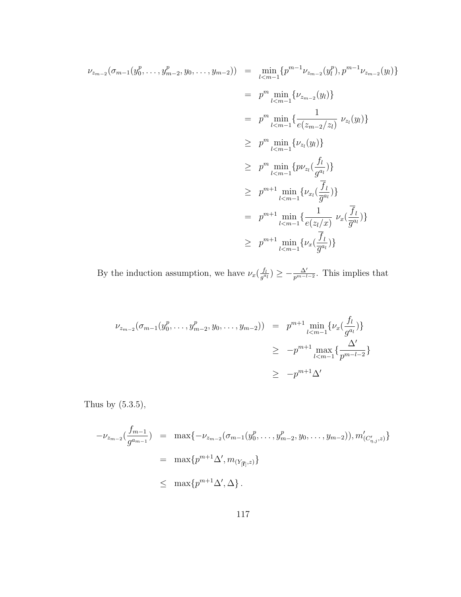$$
\nu_{z_{m-2}}(\sigma_{m-1}(y_0^p, \dots, y_{m-2}^p, y_0, \dots, y_{m-2})) = \min_{l < m-1} \{p^{m-1} \nu_{z_{m-2}}(y_l^p), p^{m-1} \nu_{z_{m-2}}(y_l)\}
$$
\n
$$
= p^m \min_{l < m-1} \{ \nu_{z_{m-2}}(y_l) \}
$$
\n
$$
= p^m \min_{l < m-1} \{ \nu_{z_l}(y_l) \}
$$
\n
$$
\geq p^m \min_{l < m-1} \{ \nu_{z_l}(y_l) \}
$$
\n
$$
\geq p^m \min_{l < m-1} \{ \nu_{z_l}(\frac{f_l}{g^{a_l}}) \}
$$
\n
$$
\geq p^{m+1} \min_{l < m-1} \{ \nu_{x_l}(\frac{f_l}{g^{a_l}}) \}
$$
\n
$$
= p^{m+1} \min_{l < m-1} \{ \nu_{x_l}(\frac{f_l}{g^{a_l}}) \}
$$
\n
$$
\geq p^{m+1} \min_{l < m-1} \{ \frac{1}{e(z_l/x)} \nu_x(\frac{f_l}{g^{a_l}}) \}
$$
\n
$$
\geq p^{m+1} \min_{l < m-1} \{ \nu_x(\frac{f_l}{g^{a_l}}) \}
$$

By the induction assumption, we have  $\nu_x(\frac{f_l}{a^a})$  $\frac{f_l}{g^{a_l}}$ )  $\geq -\frac{\Delta'}{p^{m-l-2}}$ . This implies that

$$
\nu_{z_{m-2}}(\sigma_{m-1}(y_0^p, \dots, y_{m-2}^p, y_0, \dots, y_{m-2})) = p^{m+1} \min_{l < m-1} \{ \nu_x(\frac{f_l}{g^{a_l}}) \}
$$
\n
$$
\geq -p^{m+1} \max_{l < m-1} \{ \frac{\Delta'}{p^{m-l-2}} \}
$$
\n
$$
\geq -p^{m+1} \Delta'
$$

Thus by  $(5.3.5)$ ,

$$
-\nu_{z_{m-2}}(\frac{f_{m-1}}{g^{a_{m-1}}}) = \max\{-\nu_{z_{m-2}}(\sigma_{m-1}(y_0^p, \dots, y_{m-2}^p, y_0, \dots, y_{m-2})), m'_{(C'_{\eta,j},z)}\}
$$
  

$$
= \max\{p^{m+1}\Delta', m_{(Y_{[\overline{f}]},z)}\}
$$
  

$$
\leq \max\{p^{m+1}\Delta', \Delta\}.
$$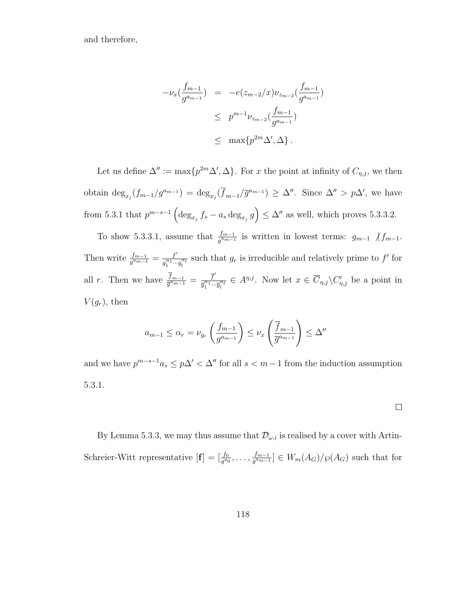and therefore,

$$
-\nu_x(\frac{f_{m-1}}{g^{a_{m-1}}}) = -e(z_{m-2}/x)\nu_{z_{m-2}}(\frac{f_{m-1}}{g^{a_{m-1}}})
$$
  

$$
\leq p^{m-1}\nu_{z_{m-2}}(\frac{f_{m-1}}{g^{a_{m-1}}})
$$
  

$$
\leq \max\{p^{2m}\Delta',\Delta\}.
$$

Let us define  $\Delta'':=\max\{p^{2m}\Delta',\Delta\}$ . For x the point at infinity of  $C_{\eta,j}$ , we then obtain  $\deg_{x_j}(f_{m-1}/g^{a_{m-1}}) = \deg_{x_j}(\overline{f}_{m-1}/\overline{g}^{a_{m-1}}) \geq \Delta''$ . Since  $\Delta'' > p\Delta'$ , we have from 5.3.1 that  $p^{m-s-1} \left( \deg_{x_j} f_s - a_s \deg_{x_j} g \right) \leq \Delta''$  as well, which proves 5.3.3.2.

To show 5.3.3.1, assume that  $\frac{f_{m-1}}{g^{a_{m-1}}}$  is written in lowest terms:  $g_{m-1}$   $\big/ \frac{f_{m-1}}{g_{m-1}}\big/$ . Then write  $\frac{f_{m-1}}{g^{a_{m-1}}} = \frac{f'}{g_1^{a_1}...}$  $\frac{f'}{g_1^{\alpha_1} \cdots g_l^{\alpha_l}}$  such that  $g_r$  is irreducible and relatively prime to  $f'$  for all r. Then we have  $\frac{\overline{f}_{m-1}}{\overline{g}^{a_{m-1}}} = \frac{\overline{f}'}{\overline{g}^{a_1}_{1...}}$  $\frac{f}{\overline{g}_1^{\alpha_1} \cdots \overline{g}_l^{\alpha_l}} \in A^{\eta, j}$ . Now let  $x \in \overline{C}_{\eta, j} \backslash C'_{\eta, j}$  be a point in  $V(g_r)$ , then

$$
a_{m-1} \leq \alpha_r = \nu_{g_r} \left( \frac{f_{m-1}}{g^{a_{m-1}}} \right) \leq \nu_x \left( \frac{\overline{f}_{m-1}}{\overline{g}^{a_{m-1}}} \right) \leq \Delta''
$$

and we have  $p^{m-s-1}a_s \leq p\Delta' < \Delta''$  for all  $s < m-1$  from the induction assumption 5.3.1.

By Lemma 5.3.3, we may thus assume that  $\mathcal{D}_{\omega,i}$  is realised by a cover with Artin-Schreier-Witt representative  $[\mathbf{f}] = [\frac{f_0}{g^{a_0}}, \dots, \frac{f_{m-1}}{g^{a_{m-1}}}]$  $\left[\frac{J_{m-1}}{g^{a_{m-1}}}\right] \in W_m(A_G)/\wp(A_G)$  such that for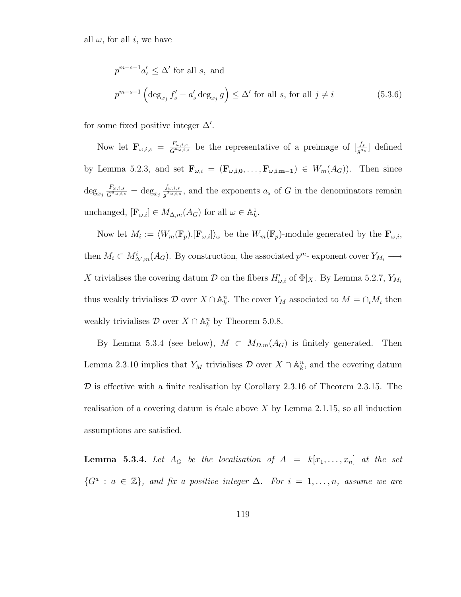all  $\omega$ , for all i, we have

$$
p^{m-s-1}a'_s \le \Delta' \text{ for all } s, \text{ and}
$$
  

$$
p^{m-s-1} \left( \deg_{x_j} f'_s - a'_s \deg_{x_j} g \right) \le \Delta' \text{ for all } s, \text{ for all } j \ne i
$$
 (5.3.6)

for some fixed positive integer  $\Delta'$ .

Now let  $\mathbf{F}_{\omega,i,s} = \frac{F_{\omega,i,s}}{G^{a_{\omega,i,s}}}$  $\frac{F_{\omega,i,s}}{G^{a_{\omega,i,s}}}$  be the representative of a preimage of  $\left[\frac{f_s}{g^{a_s}}\right]$  defined by Lemma 5.2.3, and set  $\mathbf{F}_{\omega,i} = (\mathbf{F}_{\omega,i,0}, \ldots, \mathbf{F}_{\omega,i,m-1}) \in W_m(A_G)$ . Then since  $\deg_{x_j} \frac{F_{\omega,i,s}}{G^{a_{\omega,i,s}}}$  $\frac{F_{\omega,i,s}}{G^{a_{\omega,i,s}}}=\deg_{x_j}\frac{f_{\omega,i,s}}{g^{a_{\omega,i,s}}}$  $\frac{J_{\omega,i,s}}{g^{\alpha_{\omega,i,s}}}$ , and the exponents  $a_s$  of G in the denominators remain unchanged,  $[\mathbf{F}_{\omega,i}] \in M_{\Delta,m}(A_G)$  for all  $\omega \in \mathbb{A}_k^1$ .

Now let  $M_i := \langle W_m(\mathbb{F}_p) . [\mathbf{F}_{\omega,i}] \rangle_\omega$  be the  $W_m(\mathbb{F}_p)$ -module generated by the  $\mathbf{F}_{\omega,i}$ , then  $M_i \subset M^i_{\Delta',m}(A_G)$ . By construction, the associated  $p^m$ - exponent cover  $Y_{M_i} \longrightarrow$ X trivialises the covering datum  $\mathcal D$  on the fibers  $H'_{\omega,i}$  of  $\Phi|_X$ . By Lemma 5.2.7,  $Y_{M_i}$ thus weakly trivialises  $\mathcal D$  over  $X \cap \mathbb A^n_k$ . The cover  $Y_M$  associated to  $M = \bigcap_i M_i$  then weakly trivialises  $D$  over  $X \cap \mathbb{A}^n_k$  by Theorem 5.0.8.

By Lemma 5.3.4 (see below),  $M \subset M_{D,m}(A_G)$  is finitely generated. Then Lemma 2.3.10 implies that  $Y_M$  trivialises  $\mathcal D$  over  $X \cap \mathbb A^n_k$ , and the covering datum  $D$  is effective with a finite realisation by Corollary 2.3.16 of Theorem 2.3.15. The realisation of a covering datum is étale above  $X$  by Lemma 2.1.15, so all induction assumptions are satisfied.

**Lemma 5.3.4.** Let  $A_G$  be the localisation of  $A = k[x_1, \ldots, x_n]$  at the set  $\{G^a : a \in \mathbb{Z}\},\$ and fix a positive integer  $\Delta$ . For  $i = 1, \ldots, n$ , assume we are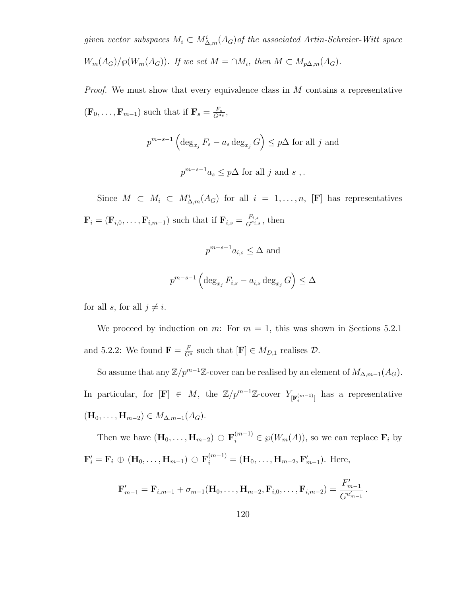given vector subspaces  $M_i \subset M^i_{\Delta,m}(A_G)$  of the associated Artin-Schreier-Witt space  $W_m(A_G)/\wp(W_m(A_G))$ . If we set  $M = \cap M_i$ , then  $M \subset M_{p\Delta,m}(A_G)$ .

Proof. We must show that every equivalence class in M contains a representative  $(\mathbf{F}_0, \ldots, \mathbf{F}_{m-1})$  such that if  $\mathbf{F}_s = \frac{F_s}{G_s}$  $\frac{F_s}{G^{a_s}},$ 

$$
p^{m-s-1} \left( \deg_{x_j} F_s - a_s \deg_{x_j} G \right) \leq p\Delta \text{ for all } j \text{ and}
$$
  

$$
p^{m-s-1} a_s \leq p\Delta \text{ for all } j \text{ and } s ,.
$$

Since  $M \subset M_i \subset M_{\Delta,m}^i(A_G)$  for all  $i = 1, \ldots, n$ , [F] has representatives  $\mathbf{F}_i = (\mathbf{F}_{i,0}, \dots, \mathbf{F}_{i,m-1})$  such that if  $\mathbf{F}_{i,s} = \frac{F_{i,s}}{G^{a_{i,s}}}$  $\frac{F_{i,s}}{G^{a_{i,s}}},$  then

$$
p^{m-s-1}a_{i,s} \leq \Delta \text{ and}
$$
  

$$
p^{m-s-1} \left( \deg_{x_j} F_{i,s} - a_{i,s} \deg_{x_j} G \right) \leq \Delta
$$

for all s, for all  $j \neq i$ .

We proceed by induction on m: For  $m = 1$ , this was shown in Sections 5.2.1 and 5.2.2: We found  $\mathbf{F} = \frac{F}{G^a}$  such that  $[\mathbf{F}] \in M_{D,1}$  realises  $\mathcal{D}$ .

So assume that any  $\mathbb{Z}/p^{m-1}\mathbb{Z}$ -cover can be realised by an element of  $M_{\Delta,m-1}(A_G)$ . In particular, for  $[F] \in M$ , the  $\mathbb{Z}/p^{m-1}\mathbb{Z}$ -cover  $Y_{\lfloor {\bf F}^{(m-1)} \rfloor}$  has a representative  $(\mathbf{H}_0, \ldots, \mathbf{H}_{m-2}) \in M_{\Delta, m-1}(A_G).$ 

Then we have  $(\mathbf{H}_0, \ldots, \mathbf{H}_{m-2}) \oplus \mathbf{F}_i^{(m-1)} \in \wp(W_m(A)),$  so we can replace  $\mathbf{F}_i$  by  ${\bf F}'_i = {\bf F}_i \oplus ({\bf H}_0, \ldots, {\bf H}_{m-1}) \oplus {\bf F}_i^{(m-1)} = ({\bf H}_0, \ldots, {\bf H}_{m-2}, {\bf F}'_{m-1}).$  Here,

$$
\mathbf{F}'_{m-1} = \mathbf{F}_{i,m-1} + \sigma_{m-1}(\mathbf{H}_0, \ldots, \mathbf{H}_{m-2}, \mathbf{F}_{i,0}, \ldots, \mathbf{F}_{i,m-2}) = \frac{F'_{m-1}}{G^{a'_{m-1}}}.
$$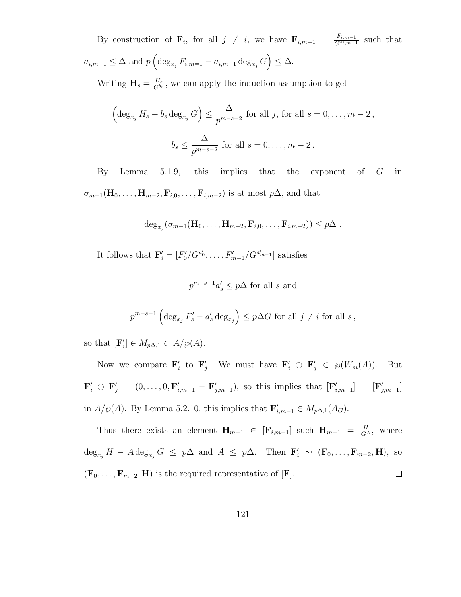By construction of  $\mathbf{F}_i$ , for all  $j \neq i$ , we have  $\mathbf{F}_{i,m-1} = \frac{F_{i,m-1}}{G^{a_{i,m-1}}}$  $\frac{F_{i,m-1}}{G^{a_{i,m-1}}}$  such that  $a_{i,m-1} \leq \Delta$  and  $p\left(\deg_{x_i} F_{i,m=1} - a_{i,m-1} \deg_{x_j} G\right) \leq \Delta.$ 

Writing  $\mathbf{H}_s = \frac{H_s}{G^{b_s}}$  $\frac{H_s}{G^{b_s}}$ , we can apply the induction assumption to get

$$
\left(\deg_{x_j} H_s - b_s \deg_{x_j} G\right) \le \frac{\Delta}{p^{m-s-2}} \text{ for all } j, \text{ for all } s = 0, \dots, m-2,
$$
  

$$
b_s \le \frac{\Delta}{p^{m-s-2}} \text{ for all } s = 0, \dots, m-2.
$$

By Lemma 5.1.9, this implies that the exponent of  $G$  in  $\sigma_{m-1}(\mathbf{H}_0, \ldots, \mathbf{H}_{m-2}, \mathbf{F}_{i,0}, \ldots, \mathbf{F}_{i,m-2})$  is at most  $p\Delta$ , and that

$$
\deg_{x_j}(\sigma_{m-1}(\mathbf{H}_0,\ldots,\mathbf{H}_{m-2},\mathbf{F}_{i,0},\ldots,\mathbf{F}_{i,m-2})) \leq p\Delta.
$$

It follows that  $\mathbf{F}'_i = [F'_0/G^{a'_0}, \dots, F'_{m-1}/G^{a'_{m-1}}]$  satisfies

$$
p^{m-s-1}a'_s \le p\Delta \text{ for all } s \text{ and}
$$

$$
p^{m-s-1} \left( \deg_{x_j} F'_s - a'_s \deg_{x_j} \right) \leq p \Delta G
$$
 for all  $j \neq i$  for all  $s$ ,

so that  $[\mathbf{F}'_i] \in M_{p\Delta,1} \subset A/\wp(A)$ .

Now we compare  $\mathbf{F}'_i$  to  $\mathbf{F}'_j$ : We must have  $\mathbf{F}'_i \oplus \mathbf{F}'_j \in \mathcal{G}(W_m(A))$ . But  ${\bf F}'_i \,\oplus\, {\bf F}'_j = (0,\ldots,0,{\bf F}'_{i,m-1}-{\bf F}'_{j,m-1}),$  so this implies that  $[{\bf F}'_{i,m-1}] = [{\bf F}'_{j,m-1}]$ in  $A/\wp(A)$ . By Lemma 5.2.10, this implies that  $\mathbf{F}'_{i,m-1} \in M_{p\Delta,1}(A_G)$ .

Thus there exists an element  $\mathbf{H}_{m-1} \in [\mathbf{F}_{i,m-1}]$  such  $\mathbf{H}_{m-1} = \frac{H}{G^A}$ , where  $\deg_{x_j} H - A \deg_{x_j} G \leq p\Delta$  and  $A \leq p\Delta$ . Then  $\mathbf{F}'_i \sim (\mathbf{F}_0, \ldots, \mathbf{F}_{m-2}, \mathbf{H})$ , so  $\Box$  $(\mathbf{F}_0, \ldots, \mathbf{F}_{m-2}, \mathbf{H})$  is the required representative of  $[\mathbf{F}]$ .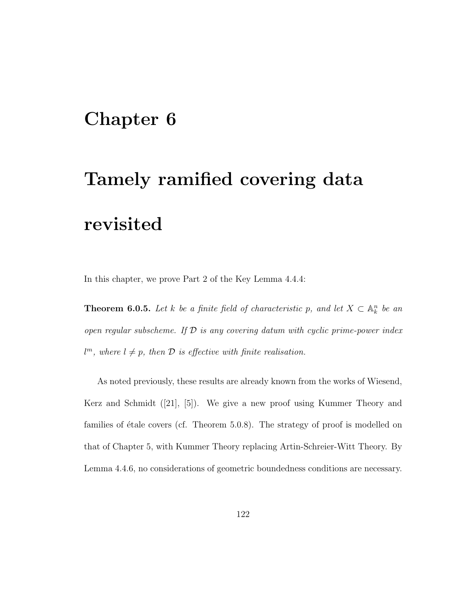## Chapter 6

# Tamely ramified covering data revisited

In this chapter, we prove Part 2 of the Key Lemma 4.4.4:

**Theorem 6.0.5.** Let k be a finite field of characteristic p, and let  $X \subset \mathbb{A}_k^n$  be an open regular subscheme. If  $\mathcal D$  is any covering datum with cyclic prime-power index  $l^m$ , where  $l \neq p$ , then  $\mathcal D$  is effective with finite realisation.

As noted previously, these results are already known from the works of Wiesend, Kerz and Schmidt ([21], [5]). We give a new proof using Kummer Theory and families of étale covers (cf. Theorem 5.0.8). The strategy of proof is modelled on that of Chapter 5, with Kummer Theory replacing Artin-Schreier-Witt Theory. By Lemma 4.4.6, no considerations of geometric boundedness conditions are necessary.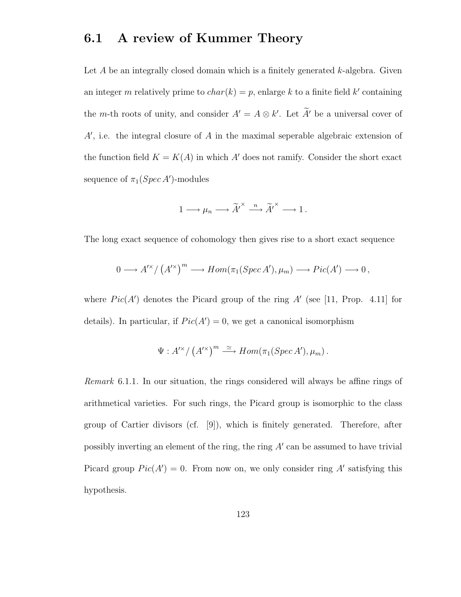### 6.1 A review of Kummer Theory

Let  $A$  be an integrally closed domain which is a finitely generated  $k$ -algebra. Given an integer m relatively prime to  $char(k) = p$ , enlarge k to a finite field k' containing the *m*-th roots of unity, and consider  $A' = A \otimes k'$ . Let  $\tilde{A}'$  be a universal cover of  $A'$ , i.e. the integral closure of  $A$  in the maximal seperable algebraic extension of the function field  $K = K(A)$  in which A' does not ramify. Consider the short exact sequence of  $\pi_1(Spec\,A')$ -modules

$$
1 \longrightarrow \mu_n \longrightarrow \widetilde{A'}^{\times} \stackrel{n}{\longrightarrow} \widetilde{A'}^{\times} \longrightarrow 1.
$$

The long exact sequence of cohomology then gives rise to a short exact sequence

$$
0 \longrightarrow A^{\prime \times} / (A^{\prime \times})^m \longrightarrow Hom(\pi_1(Spec\,A'), \mu_m) \longrightarrow Pic(A') \longrightarrow 0,
$$

where  $Pic(A')$  denotes the Picard group of the ring  $A'$  (see [11, Prop. 4.11] for details). In particular, if  $Pic(A') = 0$ , we get a canonical isomorphism

$$
\Psi: A^{\prime \times}/(A^{\prime \times})^m \stackrel{\simeq}{\longrightarrow} Hom(\pi_1(Spec\,A'), \mu_m).
$$

Remark 6.1.1. In our situation, the rings considered will always be affine rings of arithmetical varieties. For such rings, the Picard group is isomorphic to the class group of Cartier divisors (cf. [9]), which is finitely generated. Therefore, after possibly inverting an element of the ring, the ring  $A'$  can be assumed to have trivial Picard group  $Pic(A') = 0$ . From now on, we only consider ring A' satisfying this hypothesis.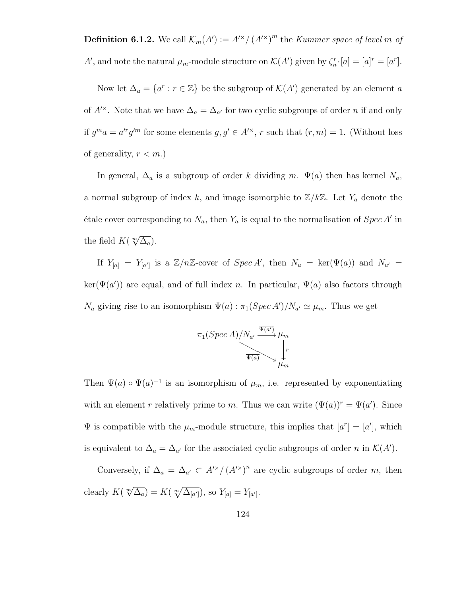**Definition 6.1.2.** We call  $\mathcal{K}_m(A') := A'^{\times}/(A'^{\times})^m$  the *Kummer space of level m of* A', and note the natural  $\mu_m$ -module structure on  $\mathcal{K}(A')$  given by  $\zeta_n^r$ · $[a] = [a]^r = [a^r]$ .

Now let  $\Delta_a = \{a^r : r \in \mathbb{Z}\}\$ be the subgroup of  $\mathcal{K}(A')$  generated by an element a of  $A^{\prime\star}$ . Note that we have  $\Delta_a = \Delta_{a'}$  for two cyclic subgroups of order n if and only if  $g^m a = a'^r g'^m$  for some elements  $g, g' \in A'^{\times}$ , r such that  $(r, m) = 1$ . (Without loss of generality,  $r < m$ .)

In general,  $\Delta_a$  is a subgroup of order k dividing m.  $\Psi(a)$  then has kernel  $N_a$ , a normal subgroup of index k, and image isomorphic to  $\mathbb{Z}/k\mathbb{Z}$ . Let  $Y_a$  denote the étale cover corresponding to  $N_a$ , then  $Y_a$  is equal to the normalisation of  $Spec A'$  in the field  $K(\sqrt[m]{\Delta_a})$ .

If  $Y_{[a]} = Y_{[a']}$  is a  $\mathbb{Z}/n\mathbb{Z}$ -cover of  $Spec A'$ , then  $N_a = ker(\Psi(a))$  and  $N_{a'} =$  $\ker(\Psi(a'))$  are equal, and of full index n. In particular,  $\Psi(a)$  also factors through  $N_a$  giving rise to an isomorphism  $\overline{\Psi(a)} : \pi_1(Spec A')/N_{a'} \simeq \mu_m$ . Thus we get

$$
\pi_1(Spec\ A)/N_{a'} \xrightarrow{\overline{\Psi(a')}} \mu_m
$$
\n
$$
\downarrow^r
$$
\n
$$
\downarrow^r
$$
\n
$$
\downarrow^r
$$

Then  $\Psi(a) \circ \Psi(a)^{-1}$  is an isomorphism of  $\mu_m$ , i.e. represented by exponentiating with an element r relatively prime to m. Thus we can write  $(\Psi(a))^r = \Psi(a')$ . Since  $\Psi$  is compatible with the  $\mu_m$ -module structure, this implies that  $[a^r] = [a']$ , which is equivalent to  $\Delta_a = \Delta_{a'}$  for the associated cyclic subgroups of order n in  $\mathcal{K}(A')$ .

Conversely, if  $\Delta_a = \Delta_{a'} \subset A'^{\times}/(A'^{\times})^n$  are cyclic subgroups of order m, then clearly  $K(\sqrt[m]{\Delta_a}) = K(\sqrt[m]{\Delta_{[a']}})$ , so  $Y_{[a]} = Y_{[a']}.$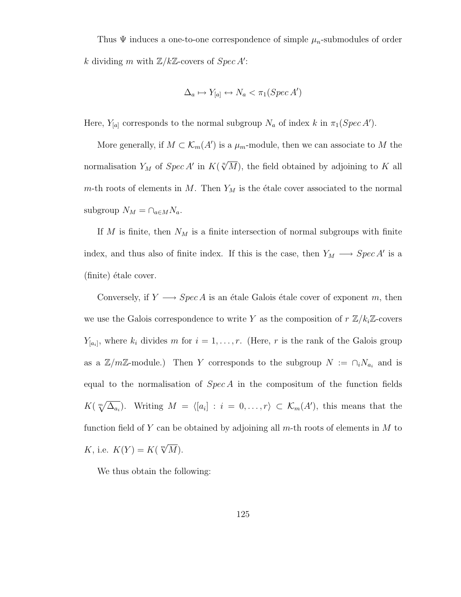Thus  $\Psi$  induces a one-to-one correspondence of simple  $\mu_n$ -submodules of order k dividing m with  $\mathbb{Z}/k\mathbb{Z}$ -covers of  $Spec A'$ :

$$
\Delta_a \mapsto Y_{[a]} \leftrightarrow N_a < \pi_1(Spec\,A')
$$

Here,  $Y_{[a]}$  corresponds to the normal subgroup  $N_a$  of index k in  $\pi_1(Spec A')$ .

More generally, if  $M \subset \mathcal{K}_m(A')$  is a  $\mu_m$ -module, then we can associate to M the normalisation  $Y_M$  of  $Spec A'$  in  $K(\sqrt[n]{M})$ , the field obtained by adjoining to K all m-th roots of elements in  $M$ . Then  $Y_M$  is the étale cover associated to the normal subgroup  $N_M = \bigcap_{a \in M} N_a$ .

If M is finite, then  $N_M$  is a finite intersection of normal subgroups with finite index, and thus also of finite index. If this is the case, then  $Y_M \longrightarrow Spec A'$  is a  $(\text{finite})$  étale cover.

Conversely, if  $Y \longrightarrow Spec A$  is an étale Galois étale cover of exponent m, then we use the Galois correspondence to write Y as the composition of  $r \mathbb{Z}/k_i\mathbb{Z}$ -covers  $Y_{[a_i]}$ , where  $k_i$  divides m for  $i = 1, \ldots, r$ . (Here, r is the rank of the Galois group as a  $\mathbb{Z}/m\mathbb{Z}$ -module.) Then Y corresponds to the subgroup  $N := \bigcap_i N_{a_i}$  and is equal to the normalisation of  $Spec A$  in the compositum of the function fields  $K(\sqrt[m]{\Delta_{a_i}})$ . Writing  $M = \langle [a_i] : i = 0, \ldots, r \rangle \subset \mathcal{K}_m(A')$ , this means that the function field of Y can be obtained by adjoining all  $m$ -th roots of elements in M to K, i.e.  $K(Y) = K(\sqrt[m]{M}).$ 

We thus obtain the following: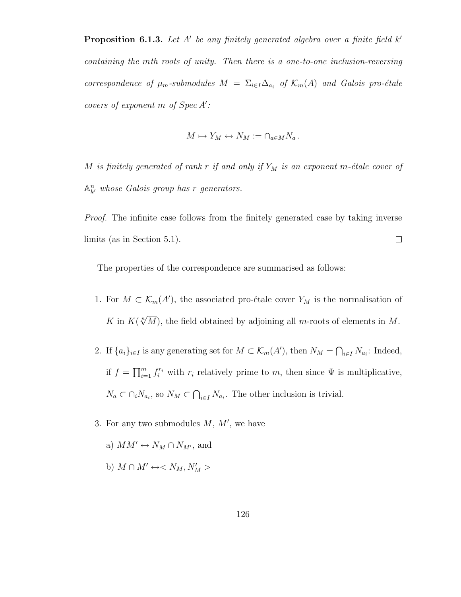**Proposition 6.1.3.** Let A' be any finitely generated algebra over a finite field  $k'$ containing the mth roots of unity. Then there is a one-to-one inclusion-reversing correspondence of  $\mu_m$ -submodules  $M = \sum_{i \in I} \Delta_{a_i}$  of  $\mathcal{K}_m(A)$  and Galois pro-étale covers of exponent  $m$  of  $Spec A'$ :

$$
M \mapsto Y_M \leftrightarrow N_M := \cap_{a \in M} N_a \, .
$$

M is finitely generated of rank r if and only if  $Y_M$  is an exponent m-étale cover of  $\mathbb{A}^n_{k'}$  whose Galois group has r generators.

Proof. The infinite case follows from the finitely generated case by taking inverse limits (as in Section 5.1).  $\Box$ 

The properties of the correspondence are summarised as follows:

- 1. For  $M \subset \mathcal{K}_m(A')$ , the associated pro-étale cover  $Y_M$  is the normalisation of K in  $K(\sqrt[n]{M})$ , the field obtained by adjoining all m-roots of elements in M.
- 2. If  $\{a_i\}_{i\in I}$  is any generating set for  $M \subset \mathcal{K}_m(A')$ , then  $N_M = \bigcap_{i\in I} N_{a_i}$ : Indeed, if  $f = \prod_{i=1}^m f_i^{r_i}$  with  $r_i$  relatively prime to m, then since  $\Psi$  is multiplicative,  $N_a \subset \bigcap_i N_{a_i}$ , so  $N_M \subset \bigcap_{i \in I} N_{a_i}$ . The other inclusion is trivial.
- 3. For any two submodules  $M, M'$ , we have
	- a)  $MM' \leftrightarrow N_M \cap N_{M'}$ , and
	- b)  $M \cap M' \leftrightarrow < N_M, N'_M >$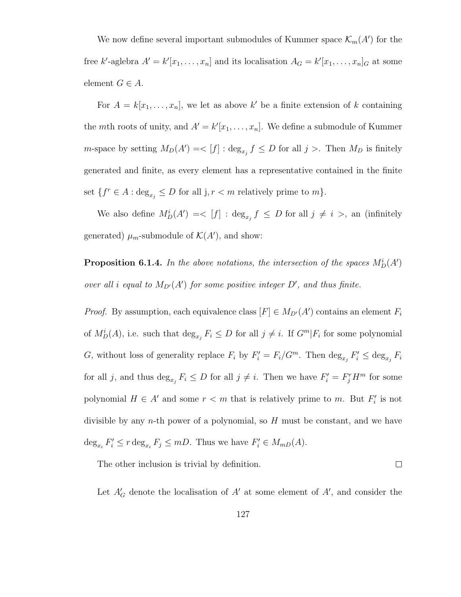We now define several important submodules of Kummer space  $\mathcal{K}_m(A')$  for the free k'-aglebra  $A' = k'[x_1, \ldots, x_n]$  and its localisation  $A_G = k'[x_1, \ldots, x_n]_G$  at some element  $G \in A$ .

For  $A = k[x_1, \ldots, x_n]$ , we let as above k' be a finite extension of k containing the mth roots of unity, and  $A' = k'[x_1, \ldots, x_n]$ . We define a submodule of Kummer *m*-space by setting  $M_D(A') = \langle f | : \deg_{x_j} f \leq D$  for all  $j >$ . Then  $M_D$  is finitely generated and finite, as every element has a representative contained in the finite set  $\{f^r \in A : \deg_{x_j} \leq D \text{ for all } j, r < m \text{ relatively prime to } m\}.$ 

We also define  $M_D^i(A') = \langle f | : \deg_{x_j} f \leq D$  for all  $j \neq i >$ , an (infinitely generated)  $\mu_m$ -submodule of  $\mathcal{K}(A')$ , and show:

**Proposition 6.1.4.** In the above notations, the intersection of the spaces  $M_D^i(A)$ over all i equal to  $M_{D}(A')$  for some positive integer  $D'$ , and thus finite.

*Proof.* By assumption, each equivalence class  $[F] \in M_{D'}(A')$  contains an element  $F_i$ of  $M_D^i(A)$ , i.e. such that  $\deg_{x_j} F_i \leq D$  for all  $j \neq i$ . If  $G^m|F_i$  for some polynomial G, without loss of generality replace  $F_i$  by  $F'_i = F_i/G^m$ . Then  $\deg_{x_j} F'_i \leq \deg_{x_j} F_i$ for all j, and thus  $\deg_{x_j} F_i \leq D$  for all  $j \neq i$ . Then we have  $F'_i = F^r_j H^m$  for some polynomial  $H \in A'$  and some  $r < m$  that is relatively prime to m. But  $F'_i$  is not divisible by any *n*-th power of a polynomial, so  $H$  must be constant, and we have  $\deg_{x_i} F'_i \leq r \deg_{x_i} F_j \leq mD$ . Thus we have  $F'_i \in M_{mD}(A)$ .

The other inclusion is trivial by definition.

 $\Box$ 

Let  $A'_{\mathcal{G}}$  denote the localisation of  $A'$  at some element of  $A'$ , and consider the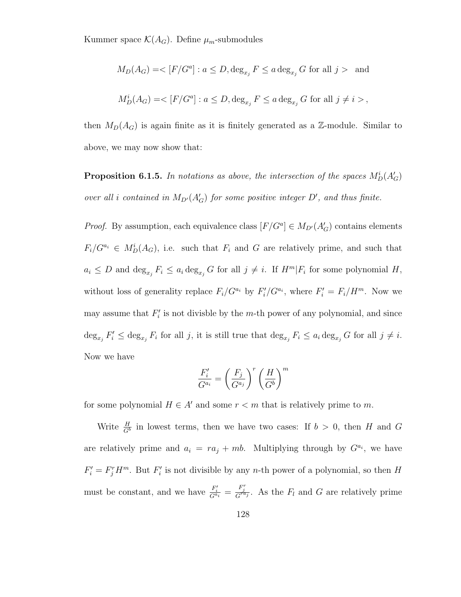Kummer space  $\mathcal{K}(A_G)$ . Define  $\mu_m$ -submodules

$$
M_D(A_G) = <[F/G^a] : a \leq D, \deg_{x_j} F \leq a \deg_{x_j} G \text{ for all } j > \text{ and}
$$
  

$$
M_D^i(A_G) = <[F/G^a] : a \leq D, \deg_{x_j} F \leq a \deg_{x_j} G \text{ for all } j \neq i >
$$

then  $M_D(A_G)$  is again finite as it is finitely generated as a Z-module. Similar to above, we may now show that:

**Proposition 6.1.5.** In notations as above, the intersection of the spaces  $M_D^i(A_G)$ over all i contained in  $M_{D}(A'_{G})$  for some positive integer  $D'$ , and thus finite.

*Proof.* By assumption, each equivalence class  $[F/G^a] \in M_{D'}(A'_G)$  contains elements  $F_i/G^{a_i} \in M_D^i(A_G)$ , i.e. such that  $F_i$  and G are relatively prime, and such that  $a_i \leq D$  and  $\deg_{x_j} F_i \leq a_i \deg_{x_j} G$  for all  $j \neq i$ . If  $H^m | F_i$  for some polynomial  $H$ , without loss of generality replace  $F_i/G^{a_i}$  by  $F'_i/G^{a_i}$ , where  $F'_i = F_i/H^m$ . Now we may assume that  $F_i'$  is not divisble by the m-th power of any polynomial, and since  $\deg_{x_j} F'_i \leq \deg_{x_j} F_i$  for all j, it is still true that  $\deg_{x_j} F_i \leq a_i \deg_{x_j} G$  for all  $j \neq i$ . Now we have

$$
\frac{F_i'}{G^{a_i}} = \left(\frac{F_j}{G^{a_j}}\right)^r \left(\frac{H}{G^b}\right)^m
$$

for some polynomial  $H \in A'$  and some  $r < m$  that is relatively prime to m.

Write  $\frac{H}{G}$  in lowest terms, then we have two cases: If  $b > 0$ , then H and G are relatively prime and  $a_i = ra_j + mb$ . Multiplying through by  $G^{a_i}$ , we have  $F'_{i} = F_{j}^{r} H^{m}$ . But  $F'_{i}$  is not divisible by any n-th power of a polynomial, so then H must be constant, and we have  $\frac{F'_i}{G^{a_i}} = \frac{F_j^r}{G^{ra_j}}$ . As the  $F_l$  and G are relatively prime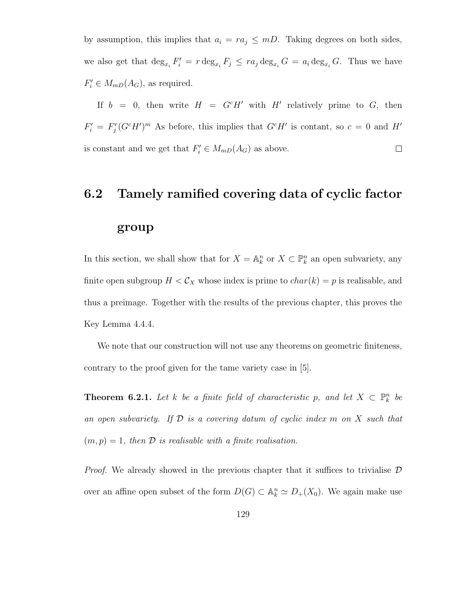by assumption, this implies that  $a_i = ra_j \leq mD$ . Taking degrees on both sides, we also get that  $\deg_{x_i} F'_i = r \deg_{x_i} F_j \leq ra_j \deg_{x_i} G = a_i \deg_{x_i} G$ . Thus we have  $F'_{i} \in M_{mD}(A_G)$ , as required.

If  $b = 0$ , then write  $H = G^c H'$  with H' relatively prime to G, then  $F'_{i} = F_{j}^{r}(G^{c}H')^{m}$  As before, this implies that  $G^{c}H'$  is contant, so  $c = 0$  and H' is constant and we get that  $F_i' \in M_{mD}(A_G)$  as above.  $\Box$ 

#### 6.2 Tamely ramified covering data of cyclic factor

#### group

In this section, we shall show that for  $X = \mathbb{A}^n_k$  or  $X \subset \mathbb{P}^n_k$  an open subvariety, any finite open subgroup  $H < C_X$  whose index is prime to  $char(k) = p$  is realisable, and thus a preimage. Together with the results of the previous chapter, this proves the Key Lemma 4.4.4.

We note that our construction will not use any theorems on geometric finiteness, contrary to the proof given for the tame variety case in [5].

**Theorem 6.2.1.** Let k be a finite field of characteristic p, and let  $X \subset \mathbb{P}_k^n$  be an open subvariety. If  $D$  is a covering datum of cyclic index m on  $X$  such that  $(m, p) = 1$ , then  $\mathcal D$  is realisable with a finite realisation.

*Proof.* We already showed in the previous chapter that it suffices to trivialise  $\mathcal{D}$ over an affine open subset of the form  $D(G) \subset \mathbb{A}_k^n \simeq D_+(X_0)$ . We again make use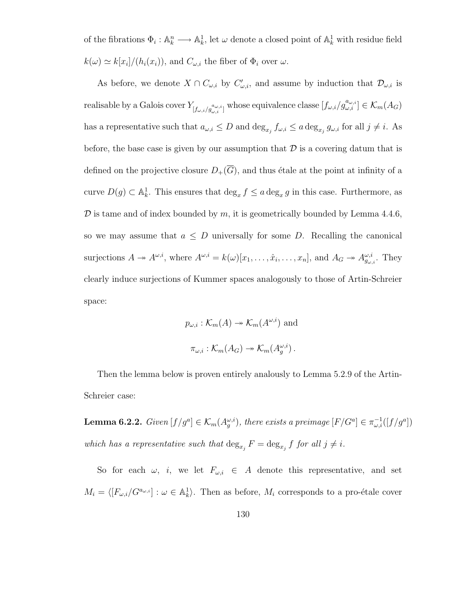of the fibrations  $\Phi_i: \mathbb{A}_k^n \longrightarrow \mathbb{A}_k^1$ , let  $\omega$  denote a closed point of  $\mathbb{A}_k^1$  with residue field  $k(\omega) \simeq k[x_i]/(h_i(x_i))$ , and  $C_{\omega,i}$  the fiber of  $\Phi_i$  over  $\omega$ .

As before, we denote  $X \cap C_{\omega,i}$  by  $C'_{\omega,i}$ , and assume by induction that  $\mathcal{D}_{\omega,i}$  is realisable by a Galois cover  $Y_{[f_{\omega,i}/g_{\omega,i}^{\omega_{\omega,i}}]}$  whose equivalence classe  $[f_{\omega,i}/g_{\omega,i}^{\alpha_{\omega,i}}] \in \mathcal{K}_m(A_G)$ has a representative such that  $a_{\omega,i} \leq D$  and  $\deg_{x_j} f_{\omega,i} \leq a \deg_{x_j} g_{\omega,i}$  for all  $j \neq i$ . As before, the base case is given by our assumption that  $\mathcal D$  is a covering datum that is defined on the projective closure  $D_+(\overline{G})$ , and thus étale at the point at infinity of a curve  $D(g) \subset \mathbb{A}^1_k$ . This ensures that  $\deg_x f \leq a \deg_x g$  in this case. Furthermore, as  $\mathcal D$  is tame and of index bounded by  $m$ , it is geometrically bounded by Lemma 4.4.6, so we may assume that  $a \leq D$  universally for some D. Recalling the canonical surjections  $A \to A^{\omega,i}$ , where  $A^{\omega,i} = k(\omega)[x_1, \ldots, \hat{x}_i, \ldots, x_n]$ , and  $A_G \to A^{\omega,i}_{g_{\omega,i}}$ . They clearly induce surjections of Kummer spaces analogously to those of Artin-Schreier space:

$$
p_{\omega,i}: \mathcal{K}_m(A) \to \mathcal{K}_m(A^{\omega,i})
$$
 and  

$$
\pi_{\omega,i}: \mathcal{K}_m(A_G) \to \mathcal{K}_m(A_g^{\omega,i}).
$$

Then the lemma below is proven entirely analously to Lemma 5.2.9 of the Artin-Schreier case:

**Lemma 6.2.2.** Given  $[f/g^a] \in \mathcal{K}_m(A_g^{\omega,i})$ , there exists a preimage  $[F/G^a] \in \pi_{\omega,i}^{-1}([f/g^a])$ which has a representative such that  $\deg_{x_j} F = \deg_{x_j} f$  for all  $j \neq i$ .

So for each  $\omega$ , *i*, we let  $F_{\omega,i} \in A$  denote this representative, and set  $M_i = \langle [F_{\omega,i}/G^{a_{\omega,i}}] : \omega \in \mathbb{A}^1_k \rangle$ . Then as before,  $M_i$  corresponds to a pro-étale cover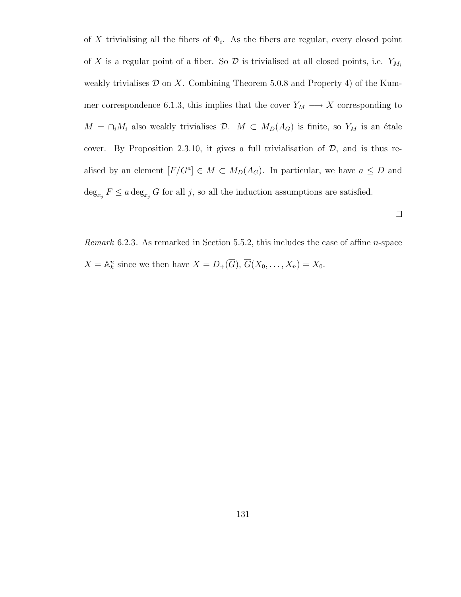of X trivialising all the fibers of  $\Phi_i$ . As the fibers are regular, every closed point of X is a regular point of a fiber. So  $\mathcal D$  is trivialised at all closed points, i.e.  $Y_{M_i}$ weakly trivialises  $D$  on X. Combining Theorem 5.0.8 and Property 4) of the Kummer correspondence 6.1.3, this implies that the cover  $Y_M \longrightarrow X$  corresponding to  $M = \bigcap_i M_i$  also weakly trivialises  $D$ .  $M \subset M_D(A_G)$  is finite, so  $Y_M$  is an étale cover. By Proposition 2.3.10, it gives a full trivialisation of  $D$ , and is thus realised by an element  $[F/G^a] \in M \subset M_D(A_G)$ . In particular, we have  $a \leq D$  and  $\deg_{x_j} F \leq a \deg_{x_j} G$  for all j, so all the induction assumptions are satisfied.

*Remark* 6.2.3. As remarked in Section 5.5.2, this includes the case of affine *n*-space  $X = \mathbb{A}_k^n$  since we then have  $X = D_+(\overline{G}), \overline{G}(X_0, \ldots, X_n) = X_0.$ 

 $\Box$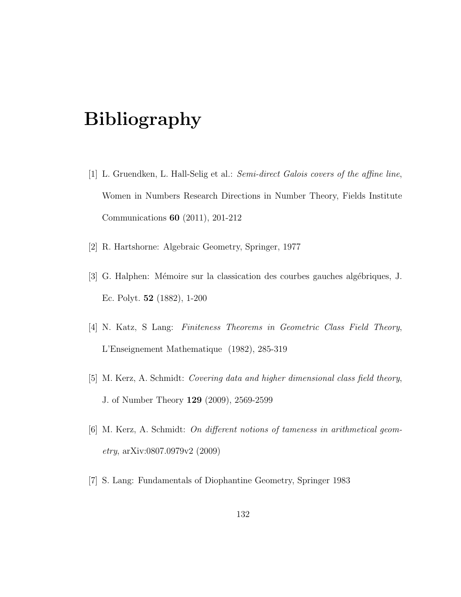## Bibliography

- [1] L. Gruendken, L. Hall-Selig et al.: Semi-direct Galois covers of the affine line, Women in Numbers Research Directions in Number Theory, Fields Institute Communications 60 (2011), 201-212
- [2] R. Hartshorne: Algebraic Geometry, Springer, 1977
- [3] G. Halphen: Mémoire sur la classication des courbes gauches algébriques, J. Ec. Polyt. 52 (1882), 1-200
- [4] N. Katz, S Lang: Finiteness Theorems in Geometric Class Field Theory, L'Enseignement Mathematique (1982), 285-319
- [5] M. Kerz, A. Schmidt: Covering data and higher dimensional class field theory, J. of Number Theory 129 (2009), 2569-2599
- [6] M. Kerz, A. Schmidt: On different notions of tameness in arithmetical geometry, arXiv:0807.0979v2 (2009)
- [7] S. Lang: Fundamentals of Diophantine Geometry, Springer 1983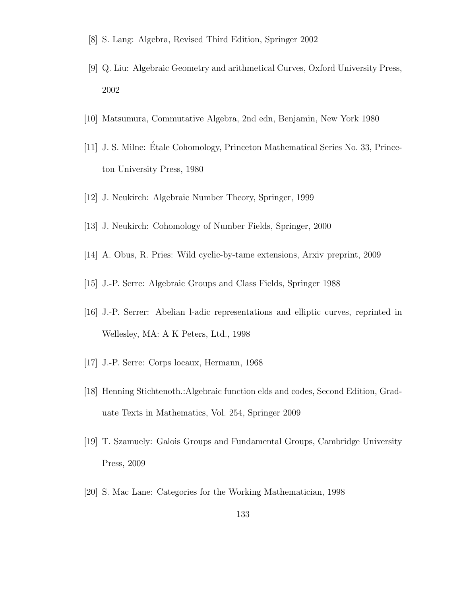- [8] S. Lang: Algebra, Revised Third Edition, Springer 2002
- [9] Q. Liu: Algebraic Geometry and arithmetical Curves, Oxford University Press, 2002
- [10] Matsumura, Commutative Algebra, 2nd edn, Benjamin, New York 1980
- [11] J. S. Milne: Etale Cohomology, Princeton Mathematical Series No. 33, Prince- ´ ton University Press, 1980
- [12] J. Neukirch: Algebraic Number Theory, Springer, 1999
- [13] J. Neukirch: Cohomology of Number Fields, Springer, 2000
- [14] A. Obus, R. Pries: Wild cyclic-by-tame extensions, Arxiv preprint, 2009
- [15] J.-P. Serre: Algebraic Groups and Class Fields, Springer 1988
- [16] J.-P. Serrer: Abelian l-adic representations and elliptic curves, reprinted in Wellesley, MA: A K Peters, Ltd., 1998
- [17] J.-P. Serre: Corps locaux, Hermann, 1968
- [18] Henning Stichtenoth.:Algebraic function elds and codes, Second Edition, Graduate Texts in Mathematics, Vol. 254, Springer 2009
- [19] T. Szamuely: Galois Groups and Fundamental Groups, Cambridge University Press, 2009
- [20] S. Mac Lane: Categories for the Working Mathematician, 1998